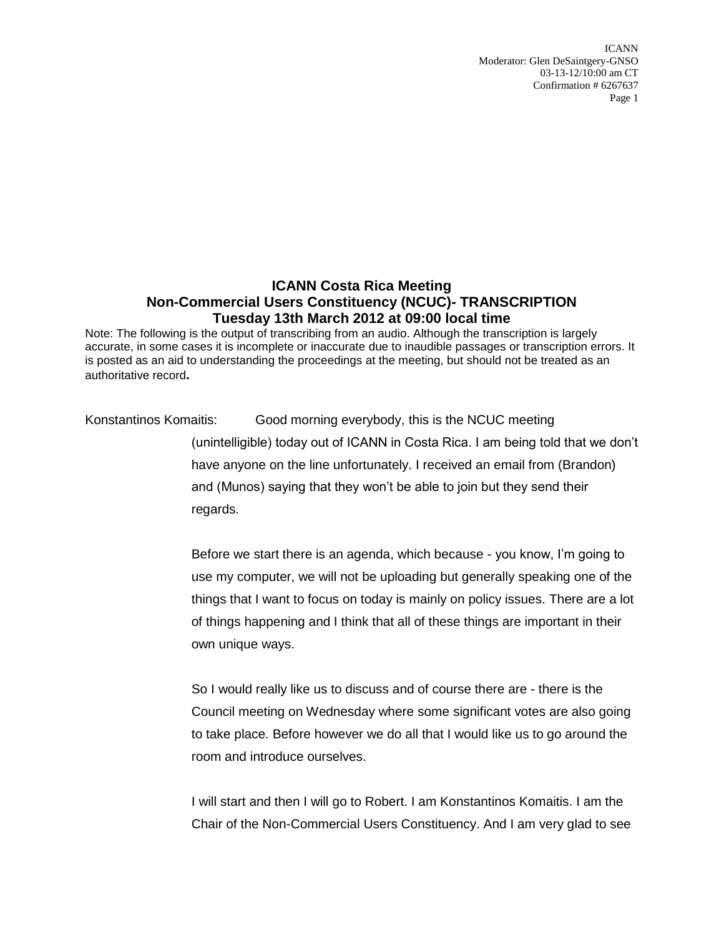ICANN Moderator: Glen DeSaintgery-GNSO 03-13-12/10:00 am CT Confirmation # 6267637 Page 1

## **ICANN Costa Rica Meeting Non-Commercial Users Constituency (NCUC)- TRANSCRIPTION Tuesday 13th March 2012 at 09:00 local time**

Note: The following is the output of transcribing from an audio. Although the transcription is largely accurate, in some cases it is incomplete or inaccurate due to inaudible passages or transcription errors. It is posted as an aid to understanding the proceedings at the meeting, but should not be treated as an authoritative record**.**

Konstantinos Komaitis: Good morning everybody, this is the NCUC meeting

(unintelligible) today out of ICANN in Costa Rica. I am being told that we don't have anyone on the line unfortunately. I received an email from (Brandon) and (Munos) saying that they won't be able to join but they send their regards.

Before we start there is an agenda, which because - you know, I'm going to use my computer, we will not be uploading but generally speaking one of the things that I want to focus on today is mainly on policy issues. There are a lot of things happening and I think that all of these things are important in their own unique ways.

So I would really like us to discuss and of course there are - there is the Council meeting on Wednesday where some significant votes are also going to take place. Before however we do all that I would like us to go around the room and introduce ourselves.

I will start and then I will go to Robert. I am Konstantinos Komaitis. I am the Chair of the Non-Commercial Users Constituency. And I am very glad to see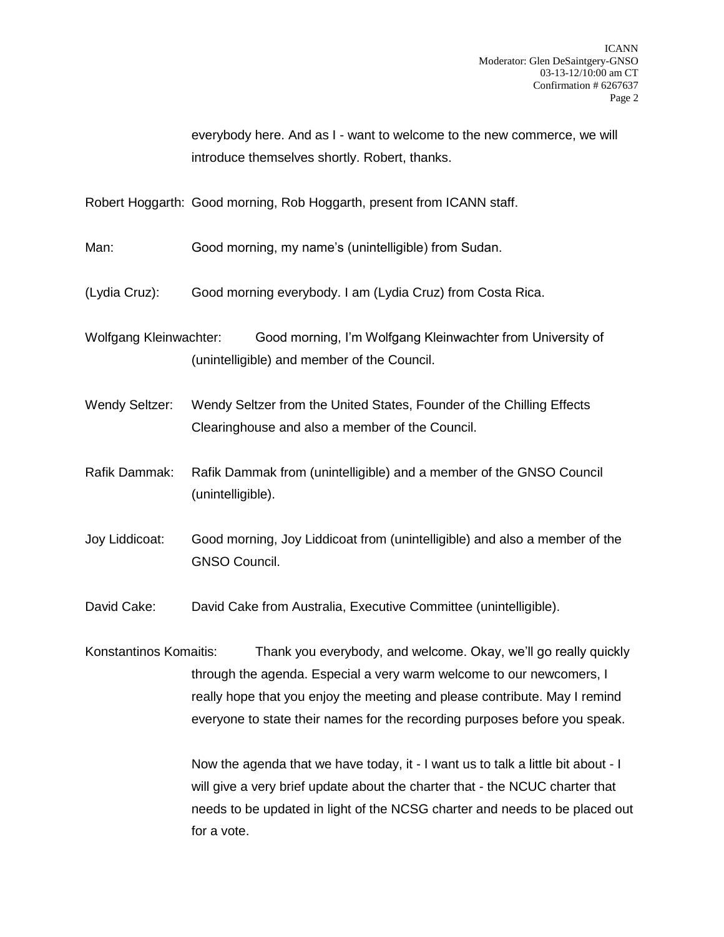everybody here. And as I - want to welcome to the new commerce, we will introduce themselves shortly. Robert, thanks.

Robert Hoggarth: Good morning, Rob Hoggarth, present from ICANN staff.

Man: Good morning, my name's (unintelligible) from Sudan.

(Lydia Cruz): Good morning everybody. I am (Lydia Cruz) from Costa Rica.

Wolfgang Kleinwachter: Good morning, I'm Wolfgang Kleinwachter from University of (unintelligible) and member of the Council.

- Wendy Seltzer: Wendy Seltzer from the United States, Founder of the Chilling Effects Clearinghouse and also a member of the Council.
- Rafik Dammak: Rafik Dammak from (unintelligible) and a member of the GNSO Council (unintelligible).

Joy Liddicoat: Good morning, Joy Liddicoat from (unintelligible) and also a member of the GNSO Council.

David Cake: David Cake from Australia, Executive Committee (unintelligible).

Konstantinos Komaitis: Thank you everybody, and welcome. Okay, we'll go really quickly through the agenda. Especial a very warm welcome to our newcomers, I really hope that you enjoy the meeting and please contribute. May I remind everyone to state their names for the recording purposes before you speak.

> Now the agenda that we have today, it - I want us to talk a little bit about - I will give a very brief update about the charter that - the NCUC charter that needs to be updated in light of the NCSG charter and needs to be placed out for a vote.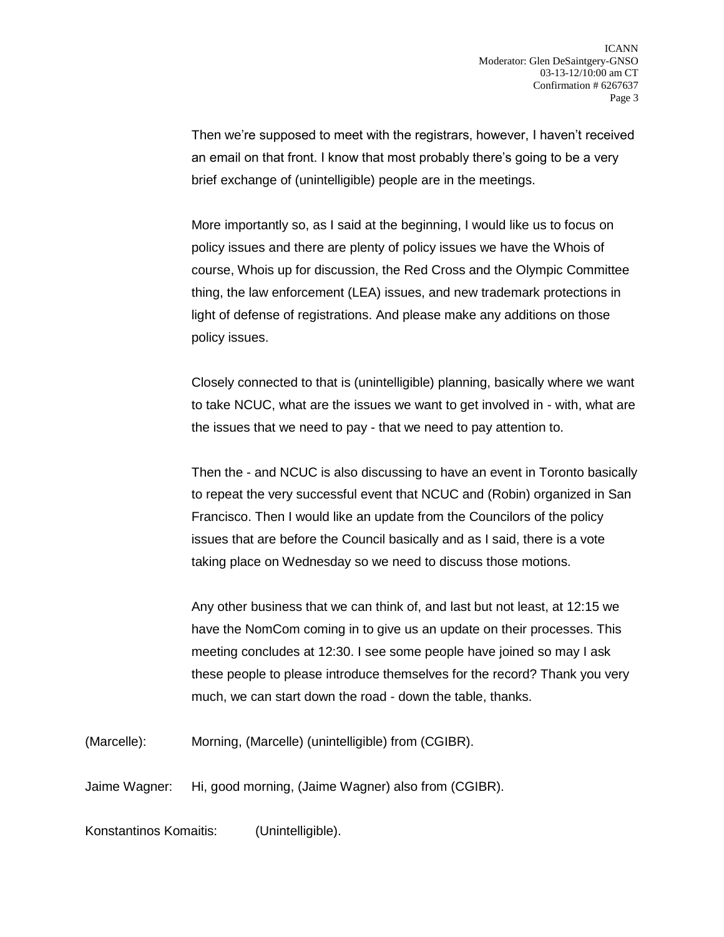Then we're supposed to meet with the registrars, however, I haven't received an email on that front. I know that most probably there's going to be a very brief exchange of (unintelligible) people are in the meetings.

More importantly so, as I said at the beginning, I would like us to focus on policy issues and there are plenty of policy issues we have the Whois of course, Whois up for discussion, the Red Cross and the Olympic Committee thing, the law enforcement (LEA) issues, and new trademark protections in light of defense of registrations. And please make any additions on those policy issues.

Closely connected to that is (unintelligible) planning, basically where we want to take NCUC, what are the issues we want to get involved in - with, what are the issues that we need to pay - that we need to pay attention to.

Then the - and NCUC is also discussing to have an event in Toronto basically to repeat the very successful event that NCUC and (Robin) organized in San Francisco. Then I would like an update from the Councilors of the policy issues that are before the Council basically and as I said, there is a vote taking place on Wednesday so we need to discuss those motions.

Any other business that we can think of, and last but not least, at 12:15 we have the NomCom coming in to give us an update on their processes. This meeting concludes at 12:30. I see some people have joined so may I ask these people to please introduce themselves for the record? Thank you very much, we can start down the road - down the table, thanks.

(Marcelle): Morning, (Marcelle) (unintelligible) from (CGIBR).

Jaime Wagner: Hi, good morning, (Jaime Wagner) also from (CGIBR).

Konstantinos Komaitis: (Unintelligible).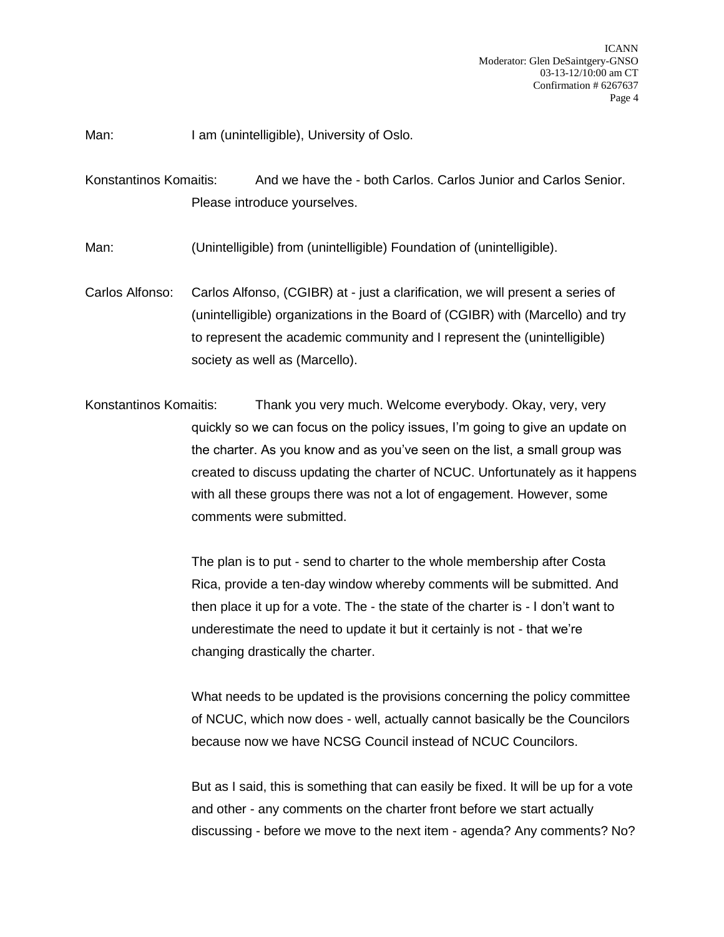Man: I am (unintelligible), University of Oslo.

Konstantinos Komaitis: And we have the - both Carlos. Carlos Junior and Carlos Senior. Please introduce yourselves.

Man: (Unintelligible) from (unintelligible) Foundation of (unintelligible).

Carlos Alfonso: Carlos Alfonso, (CGIBR) at - just a clarification, we will present a series of (unintelligible) organizations in the Board of (CGIBR) with (Marcello) and try to represent the academic community and I represent the (unintelligible) society as well as (Marcello).

Konstantinos Komaitis: Thank you very much. Welcome everybody. Okay, very, very quickly so we can focus on the policy issues, I'm going to give an update on the charter. As you know and as you've seen on the list, a small group was created to discuss updating the charter of NCUC. Unfortunately as it happens with all these groups there was not a lot of engagement. However, some comments were submitted.

> The plan is to put - send to charter to the whole membership after Costa Rica, provide a ten-day window whereby comments will be submitted. And then place it up for a vote. The - the state of the charter is - I don't want to underestimate the need to update it but it certainly is not - that we're changing drastically the charter.

What needs to be updated is the provisions concerning the policy committee of NCUC, which now does - well, actually cannot basically be the Councilors because now we have NCSG Council instead of NCUC Councilors.

But as I said, this is something that can easily be fixed. It will be up for a vote and other - any comments on the charter front before we start actually discussing - before we move to the next item - agenda? Any comments? No?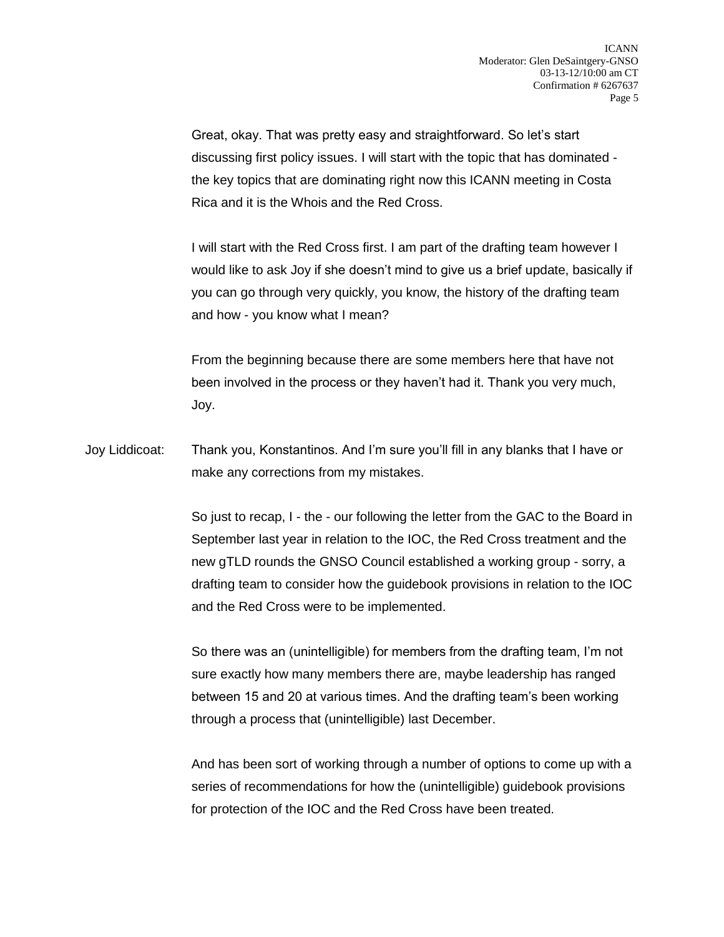Great, okay. That was pretty easy and straightforward. So let's start discussing first policy issues. I will start with the topic that has dominated the key topics that are dominating right now this ICANN meeting in Costa Rica and it is the Whois and the Red Cross.

I will start with the Red Cross first. I am part of the drafting team however I would like to ask Joy if she doesn't mind to give us a brief update, basically if you can go through very quickly, you know, the history of the drafting team and how - you know what I mean?

From the beginning because there are some members here that have not been involved in the process or they haven't had it. Thank you very much, Joy.

Joy Liddicoat: Thank you, Konstantinos. And I'm sure you'll fill in any blanks that I have or make any corrections from my mistakes.

> So just to recap, I - the - our following the letter from the GAC to the Board in September last year in relation to the IOC, the Red Cross treatment and the new gTLD rounds the GNSO Council established a working group - sorry, a drafting team to consider how the guidebook provisions in relation to the IOC and the Red Cross were to be implemented.

So there was an (unintelligible) for members from the drafting team, I'm not sure exactly how many members there are, maybe leadership has ranged between 15 and 20 at various times. And the drafting team's been working through a process that (unintelligible) last December.

And has been sort of working through a number of options to come up with a series of recommendations for how the (unintelligible) guidebook provisions for protection of the IOC and the Red Cross have been treated.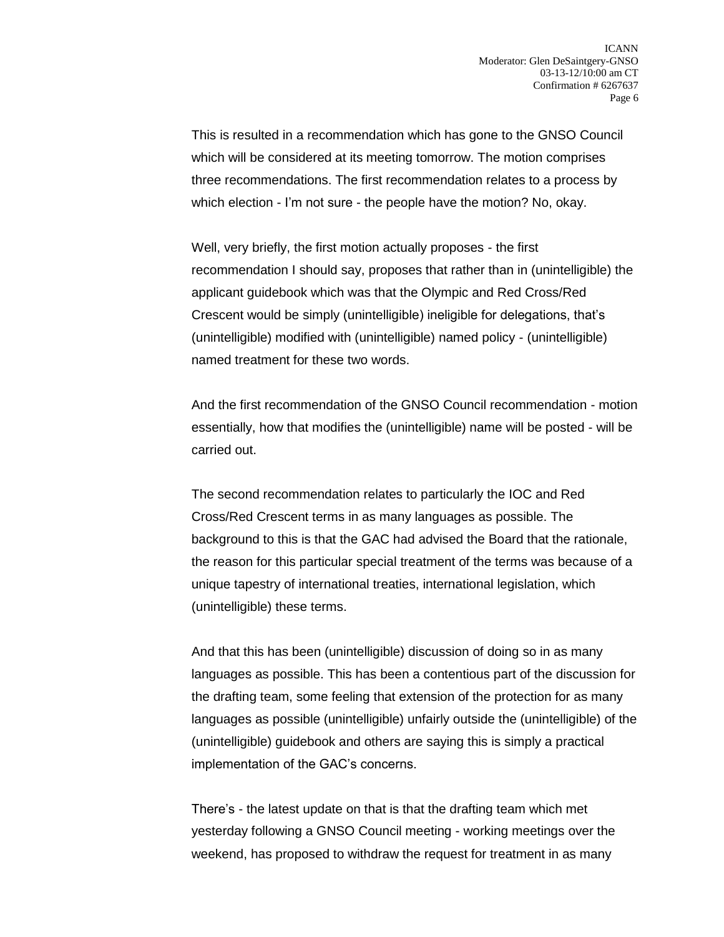This is resulted in a recommendation which has gone to the GNSO Council which will be considered at its meeting tomorrow. The motion comprises three recommendations. The first recommendation relates to a process by which election - I'm not sure - the people have the motion? No, okay.

Well, very briefly, the first motion actually proposes - the first recommendation I should say, proposes that rather than in (unintelligible) the applicant guidebook which was that the Olympic and Red Cross/Red Crescent would be simply (unintelligible) ineligible for delegations, that's (unintelligible) modified with (unintelligible) named policy - (unintelligible) named treatment for these two words.

And the first recommendation of the GNSO Council recommendation - motion essentially, how that modifies the (unintelligible) name will be posted - will be carried out.

The second recommendation relates to particularly the IOC and Red Cross/Red Crescent terms in as many languages as possible. The background to this is that the GAC had advised the Board that the rationale, the reason for this particular special treatment of the terms was because of a unique tapestry of international treaties, international legislation, which (unintelligible) these terms.

And that this has been (unintelligible) discussion of doing so in as many languages as possible. This has been a contentious part of the discussion for the drafting team, some feeling that extension of the protection for as many languages as possible (unintelligible) unfairly outside the (unintelligible) of the (unintelligible) guidebook and others are saying this is simply a practical implementation of the GAC's concerns.

There's - the latest update on that is that the drafting team which met yesterday following a GNSO Council meeting - working meetings over the weekend, has proposed to withdraw the request for treatment in as many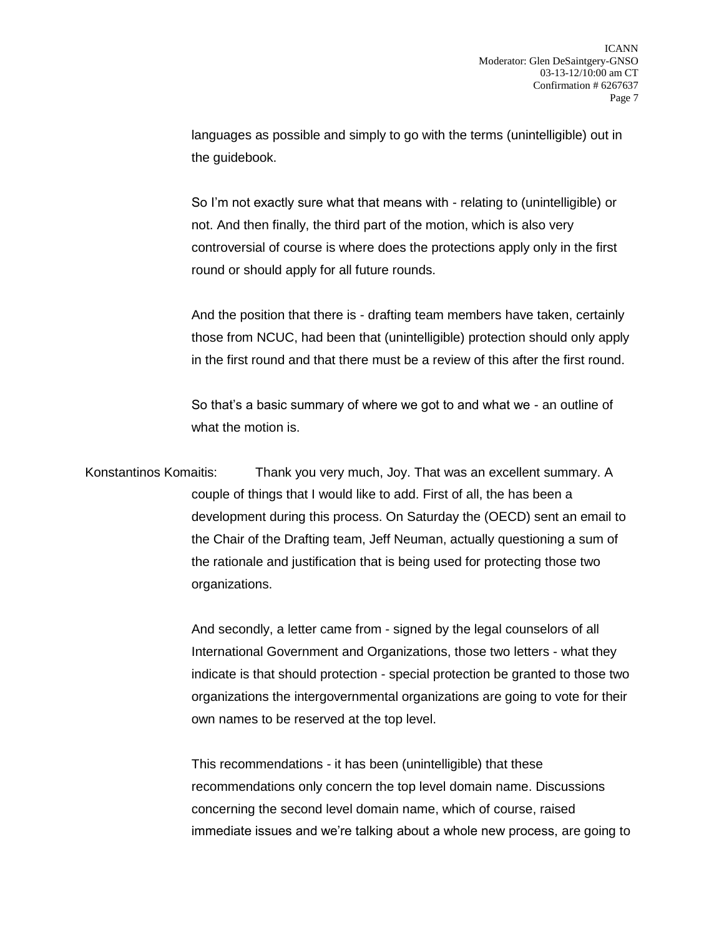languages as possible and simply to go with the terms (unintelligible) out in the guidebook.

So I'm not exactly sure what that means with - relating to (unintelligible) or not. And then finally, the third part of the motion, which is also very controversial of course is where does the protections apply only in the first round or should apply for all future rounds.

And the position that there is - drafting team members have taken, certainly those from NCUC, had been that (unintelligible) protection should only apply in the first round and that there must be a review of this after the first round.

So that's a basic summary of where we got to and what we - an outline of what the motion is.

Konstantinos Komaitis: Thank you very much, Joy. That was an excellent summary. A couple of things that I would like to add. First of all, the has been a development during this process. On Saturday the (OECD) sent an email to the Chair of the Drafting team, Jeff Neuman, actually questioning a sum of the rationale and justification that is being used for protecting those two organizations.

> And secondly, a letter came from - signed by the legal counselors of all International Government and Organizations, those two letters - what they indicate is that should protection - special protection be granted to those two organizations the intergovernmental organizations are going to vote for their own names to be reserved at the top level.

> This recommendations - it has been (unintelligible) that these recommendations only concern the top level domain name. Discussions concerning the second level domain name, which of course, raised immediate issues and we're talking about a whole new process, are going to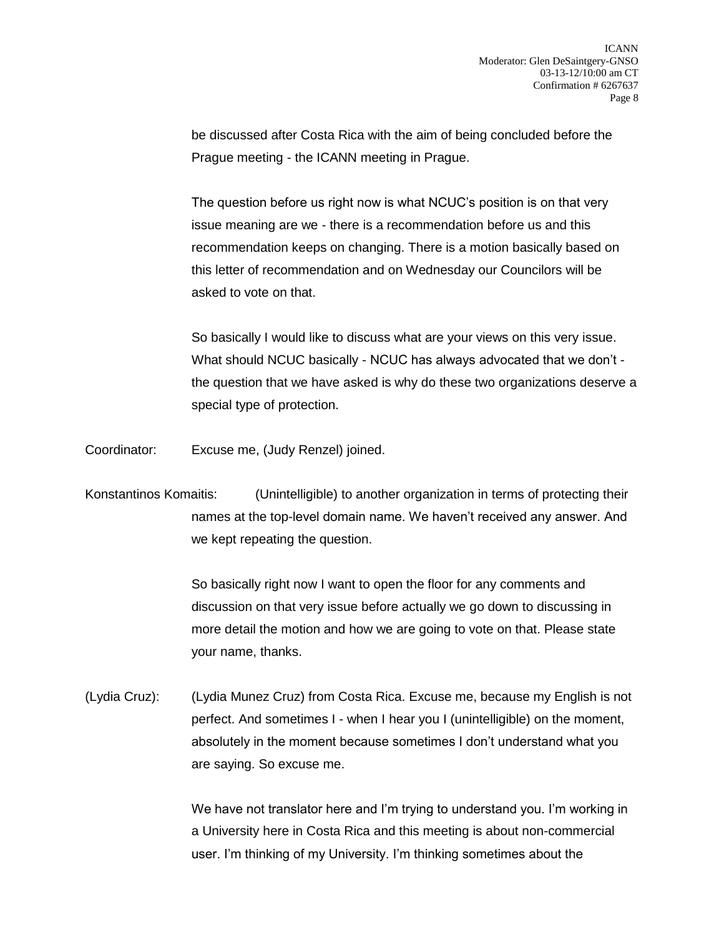be discussed after Costa Rica with the aim of being concluded before the Prague meeting - the ICANN meeting in Prague.

The question before us right now is what NCUC's position is on that very issue meaning are we - there is a recommendation before us and this recommendation keeps on changing. There is a motion basically based on this letter of recommendation and on Wednesday our Councilors will be asked to vote on that.

So basically I would like to discuss what are your views on this very issue. What should NCUC basically - NCUC has always advocated that we don't the question that we have asked is why do these two organizations deserve a special type of protection.

Coordinator: Excuse me, (Judy Renzel) joined.

Konstantinos Komaitis: (Unintelligible) to another organization in terms of protecting their names at the top-level domain name. We haven't received any answer. And we kept repeating the question.

> So basically right now I want to open the floor for any comments and discussion on that very issue before actually we go down to discussing in more detail the motion and how we are going to vote on that. Please state your name, thanks.

(Lydia Cruz): (Lydia Munez Cruz) from Costa Rica. Excuse me, because my English is not perfect. And sometimes I - when I hear you I (unintelligible) on the moment, absolutely in the moment because sometimes I don't understand what you are saying. So excuse me.

> We have not translator here and I'm trying to understand you. I'm working in a University here in Costa Rica and this meeting is about non-commercial user. I'm thinking of my University. I'm thinking sometimes about the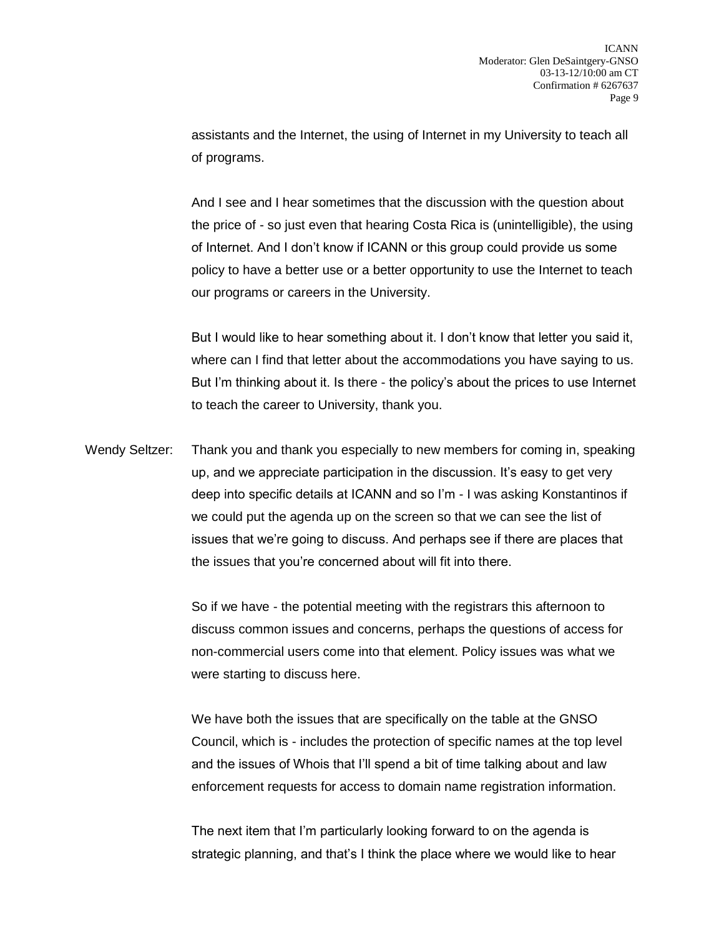assistants and the Internet, the using of Internet in my University to teach all of programs.

And I see and I hear sometimes that the discussion with the question about the price of - so just even that hearing Costa Rica is (unintelligible), the using of Internet. And I don't know if ICANN or this group could provide us some policy to have a better use or a better opportunity to use the Internet to teach our programs or careers in the University.

But I would like to hear something about it. I don't know that letter you said it, where can I find that letter about the accommodations you have saying to us. But I'm thinking about it. Is there - the policy's about the prices to use Internet to teach the career to University, thank you.

Wendy Seltzer: Thank you and thank you especially to new members for coming in, speaking up, and we appreciate participation in the discussion. It's easy to get very deep into specific details at ICANN and so I'm - I was asking Konstantinos if we could put the agenda up on the screen so that we can see the list of issues that we're going to discuss. And perhaps see if there are places that the issues that you're concerned about will fit into there.

> So if we have - the potential meeting with the registrars this afternoon to discuss common issues and concerns, perhaps the questions of access for non-commercial users come into that element. Policy issues was what we were starting to discuss here.

> We have both the issues that are specifically on the table at the GNSO Council, which is - includes the protection of specific names at the top level and the issues of Whois that I'll spend a bit of time talking about and law enforcement requests for access to domain name registration information.

The next item that I'm particularly looking forward to on the agenda is strategic planning, and that's I think the place where we would like to hear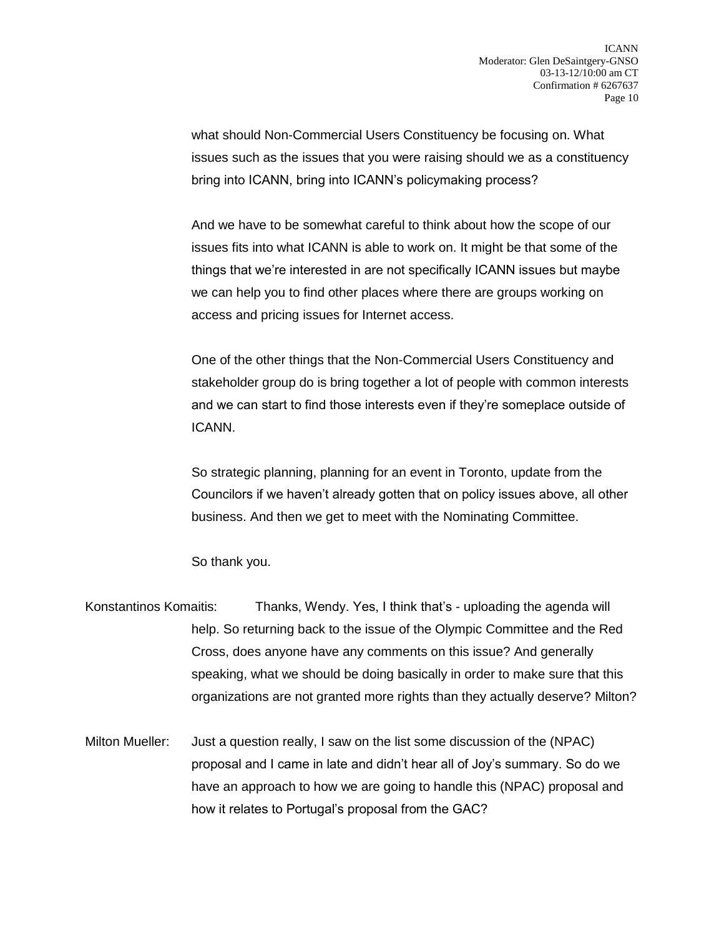what should Non-Commercial Users Constituency be focusing on. What issues such as the issues that you were raising should we as a constituency bring into ICANN, bring into ICANN's policymaking process?

And we have to be somewhat careful to think about how the scope of our issues fits into what ICANN is able to work on. It might be that some of the things that we're interested in are not specifically ICANN issues but maybe we can help you to find other places where there are groups working on access and pricing issues for Internet access.

One of the other things that the Non-Commercial Users Constituency and stakeholder group do is bring together a lot of people with common interests and we can start to find those interests even if they're someplace outside of ICANN.

So strategic planning, planning for an event in Toronto, update from the Councilors if we haven't already gotten that on policy issues above, all other business. And then we get to meet with the Nominating Committee.

So thank you.

- Konstantinos Komaitis: Thanks, Wendy. Yes, I think that's uploading the agenda will help. So returning back to the issue of the Olympic Committee and the Red Cross, does anyone have any comments on this issue? And generally speaking, what we should be doing basically in order to make sure that this organizations are not granted more rights than they actually deserve? Milton?
- Milton Mueller: Just a question really, I saw on the list some discussion of the (NPAC) proposal and I came in late and didn't hear all of Joy's summary. So do we have an approach to how we are going to handle this (NPAC) proposal and how it relates to Portugal's proposal from the GAC?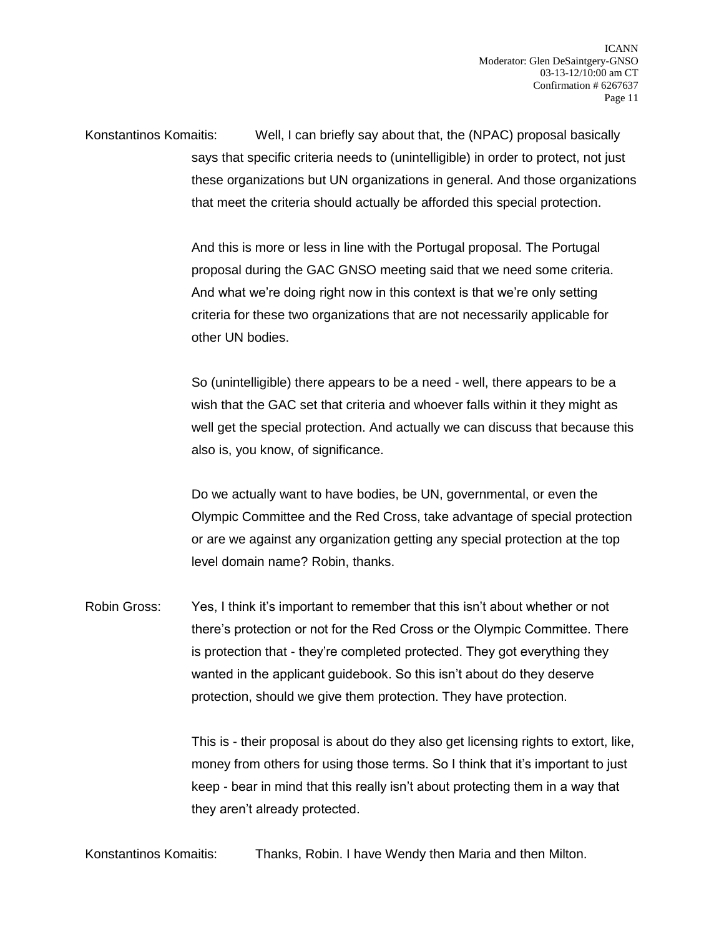Konstantinos Komaitis: Well, I can briefly say about that, the (NPAC) proposal basically says that specific criteria needs to (unintelligible) in order to protect, not just these organizations but UN organizations in general. And those organizations that meet the criteria should actually be afforded this special protection.

> And this is more or less in line with the Portugal proposal. The Portugal proposal during the GAC GNSO meeting said that we need some criteria. And what we're doing right now in this context is that we're only setting criteria for these two organizations that are not necessarily applicable for other UN bodies.

So (unintelligible) there appears to be a need - well, there appears to be a wish that the GAC set that criteria and whoever falls within it they might as well get the special protection. And actually we can discuss that because this also is, you know, of significance.

Do we actually want to have bodies, be UN, governmental, or even the Olympic Committee and the Red Cross, take advantage of special protection or are we against any organization getting any special protection at the top level domain name? Robin, thanks.

Robin Gross: Yes, I think it's important to remember that this isn't about whether or not there's protection or not for the Red Cross or the Olympic Committee. There is protection that - they're completed protected. They got everything they wanted in the applicant guidebook. So this isn't about do they deserve protection, should we give them protection. They have protection.

> This is - their proposal is about do they also get licensing rights to extort, like, money from others for using those terms. So I think that it's important to just keep - bear in mind that this really isn't about protecting them in a way that they aren't already protected.

Konstantinos Komaitis: Thanks, Robin. I have Wendy then Maria and then Milton.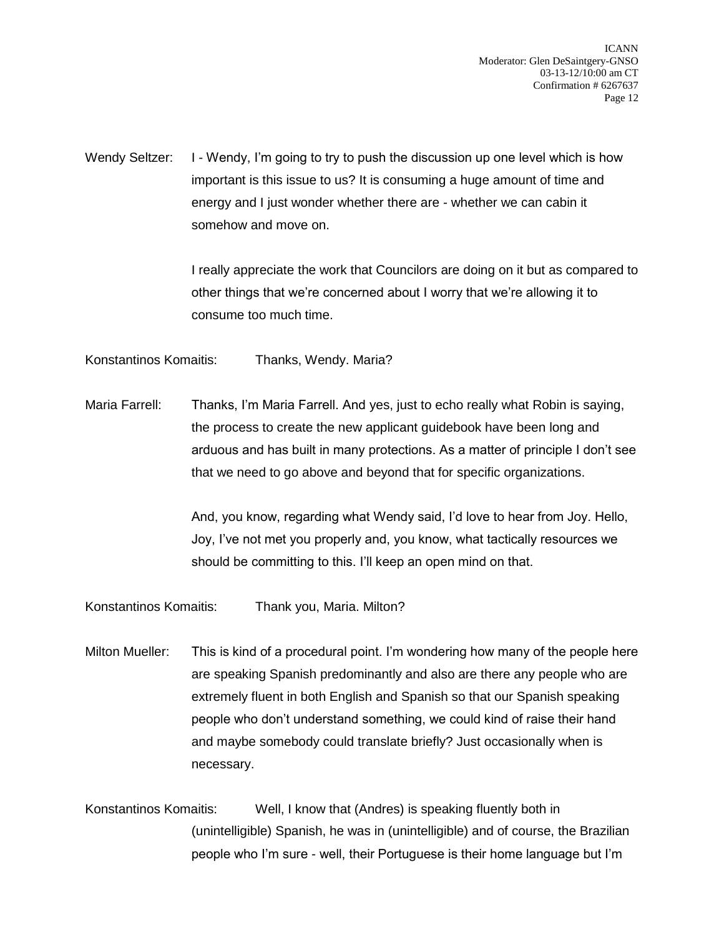Wendy Seltzer: I - Wendy, I'm going to try to push the discussion up one level which is how important is this issue to us? It is consuming a huge amount of time and energy and I just wonder whether there are - whether we can cabin it somehow and move on.

> I really appreciate the work that Councilors are doing on it but as compared to other things that we're concerned about I worry that we're allowing it to consume too much time.

Konstantinos Komaitis: Thanks, Wendy. Maria?

Maria Farrell: Thanks, I'm Maria Farrell. And yes, just to echo really what Robin is saying, the process to create the new applicant guidebook have been long and arduous and has built in many protections. As a matter of principle I don't see that we need to go above and beyond that for specific organizations.

> And, you know, regarding what Wendy said, I'd love to hear from Joy. Hello, Joy, I've not met you properly and, you know, what tactically resources we should be committing to this. I'll keep an open mind on that.

Konstantinos Komaitis: Thank you, Maria. Milton?

Milton Mueller: This is kind of a procedural point. I'm wondering how many of the people here are speaking Spanish predominantly and also are there any people who are extremely fluent in both English and Spanish so that our Spanish speaking people who don't understand something, we could kind of raise their hand and maybe somebody could translate briefly? Just occasionally when is necessary.

Konstantinos Komaitis: Well, I know that (Andres) is speaking fluently both in (unintelligible) Spanish, he was in (unintelligible) and of course, the Brazilian people who I'm sure - well, their Portuguese is their home language but I'm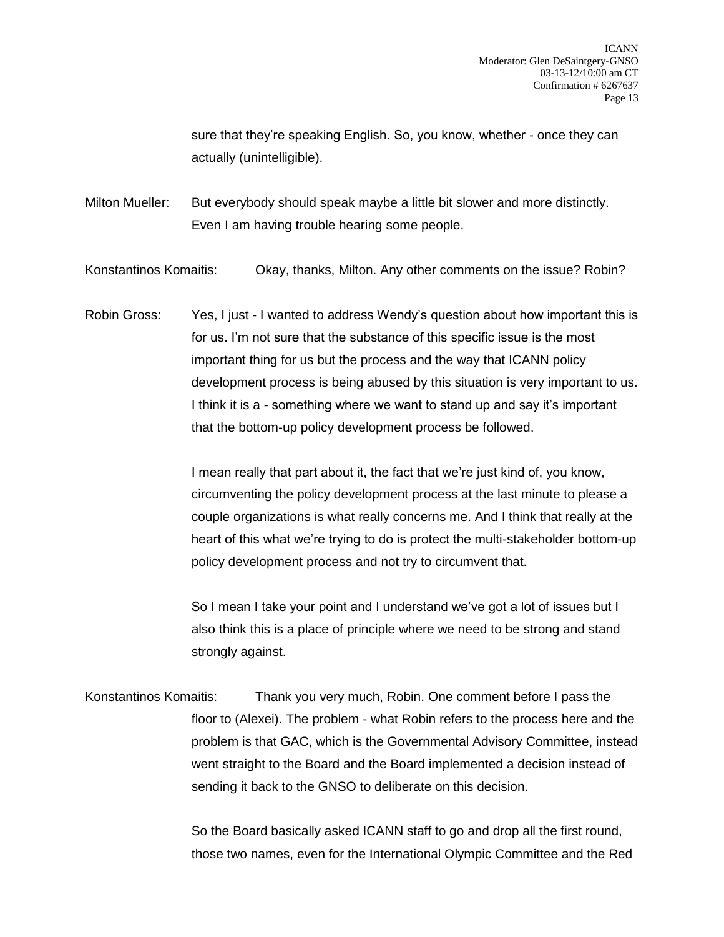sure that they're speaking English. So, you know, whether - once they can actually (unintelligible).

Milton Mueller: But everybody should speak maybe a little bit slower and more distinctly. Even I am having trouble hearing some people.

Konstantinos Komaitis: Okay, thanks, Milton. Any other comments on the issue? Robin?

Robin Gross: Yes, I just - I wanted to address Wendy's question about how important this is for us. I'm not sure that the substance of this specific issue is the most important thing for us but the process and the way that ICANN policy development process is being abused by this situation is very important to us. I think it is a - something where we want to stand up and say it's important that the bottom-up policy development process be followed.

> I mean really that part about it, the fact that we're just kind of, you know, circumventing the policy development process at the last minute to please a couple organizations is what really concerns me. And I think that really at the heart of this what we're trying to do is protect the multi-stakeholder bottom-up policy development process and not try to circumvent that.

So I mean I take your point and I understand we've got a lot of issues but I also think this is a place of principle where we need to be strong and stand strongly against.

Konstantinos Komaitis: Thank you very much, Robin. One comment before I pass the floor to (Alexei). The problem - what Robin refers to the process here and the problem is that GAC, which is the Governmental Advisory Committee, instead went straight to the Board and the Board implemented a decision instead of sending it back to the GNSO to deliberate on this decision.

> So the Board basically asked ICANN staff to go and drop all the first round, those two names, even for the International Olympic Committee and the Red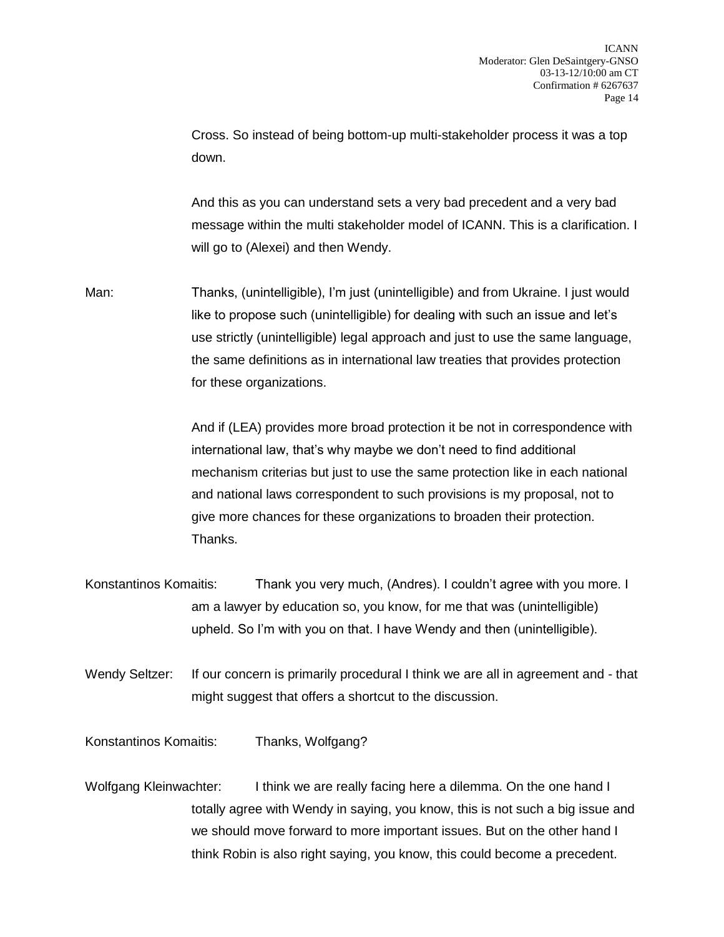Cross. So instead of being bottom-up multi-stakeholder process it was a top down.

And this as you can understand sets a very bad precedent and a very bad message within the multi stakeholder model of ICANN. This is a clarification. I will go to (Alexei) and then Wendy.

Man: Thanks, (unintelligible), I'm just (unintelligible) and from Ukraine. I just would like to propose such (unintelligible) for dealing with such an issue and let's use strictly (unintelligible) legal approach and just to use the same language, the same definitions as in international law treaties that provides protection for these organizations.

> And if (LEA) provides more broad protection it be not in correspondence with international law, that's why maybe we don't need to find additional mechanism criterias but just to use the same protection like in each national and national laws correspondent to such provisions is my proposal, not to give more chances for these organizations to broaden their protection. Thanks.

- Konstantinos Komaitis: Thank you very much, (Andres). I couldn't agree with you more. I am a lawyer by education so, you know, for me that was (unintelligible) upheld. So I'm with you on that. I have Wendy and then (unintelligible).
- Wendy Seltzer: If our concern is primarily procedural I think we are all in agreement and that might suggest that offers a shortcut to the discussion.

Konstantinos Komaitis: Thanks, Wolfgang?

Wolfgang Kleinwachter: I think we are really facing here a dilemma. On the one hand I totally agree with Wendy in saying, you know, this is not such a big issue and we should move forward to more important issues. But on the other hand I think Robin is also right saying, you know, this could become a precedent.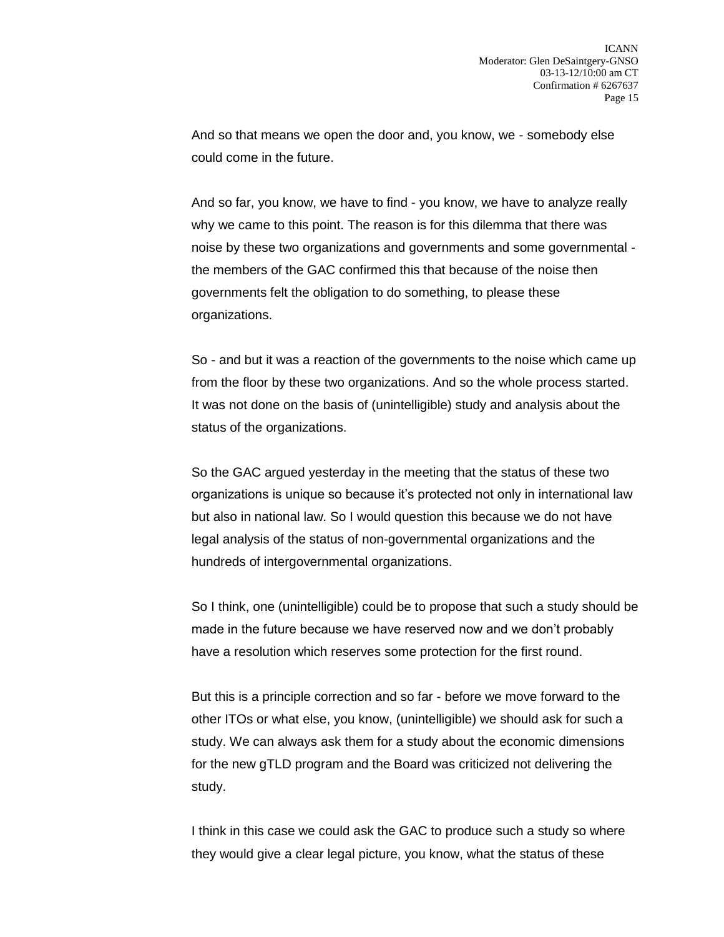And so that means we open the door and, you know, we - somebody else could come in the future.

And so far, you know, we have to find - you know, we have to analyze really why we came to this point. The reason is for this dilemma that there was noise by these two organizations and governments and some governmental the members of the GAC confirmed this that because of the noise then governments felt the obligation to do something, to please these organizations.

So - and but it was a reaction of the governments to the noise which came up from the floor by these two organizations. And so the whole process started. It was not done on the basis of (unintelligible) study and analysis about the status of the organizations.

So the GAC argued yesterday in the meeting that the status of these two organizations is unique so because it's protected not only in international law but also in national law. So I would question this because we do not have legal analysis of the status of non-governmental organizations and the hundreds of intergovernmental organizations.

So I think, one (unintelligible) could be to propose that such a study should be made in the future because we have reserved now and we don't probably have a resolution which reserves some protection for the first round.

But this is a principle correction and so far - before we move forward to the other ITOs or what else, you know, (unintelligible) we should ask for such a study. We can always ask them for a study about the economic dimensions for the new gTLD program and the Board was criticized not delivering the study.

I think in this case we could ask the GAC to produce such a study so where they would give a clear legal picture, you know, what the status of these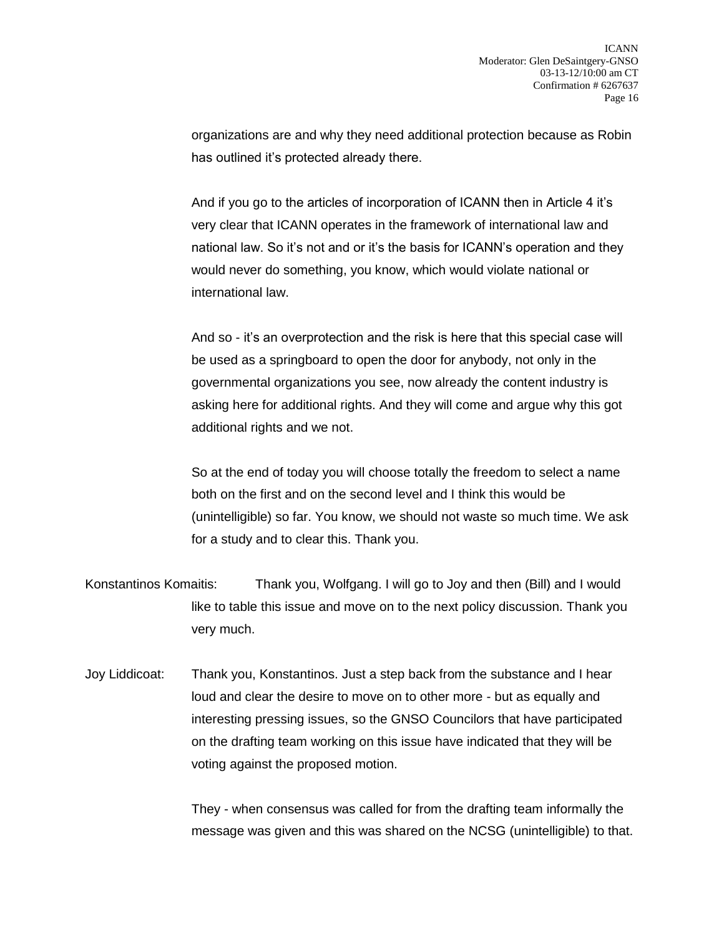organizations are and why they need additional protection because as Robin has outlined it's protected already there.

And if you go to the articles of incorporation of ICANN then in Article 4 it's very clear that ICANN operates in the framework of international law and national law. So it's not and or it's the basis for ICANN's operation and they would never do something, you know, which would violate national or international law.

And so - it's an overprotection and the risk is here that this special case will be used as a springboard to open the door for anybody, not only in the governmental organizations you see, now already the content industry is asking here for additional rights. And they will come and argue why this got additional rights and we not.

So at the end of today you will choose totally the freedom to select a name both on the first and on the second level and I think this would be (unintelligible) so far. You know, we should not waste so much time. We ask for a study and to clear this. Thank you.

- Konstantinos Komaitis: Thank you, Wolfgang. I will go to Joy and then (Bill) and I would like to table this issue and move on to the next policy discussion. Thank you very much.
- Joy Liddicoat: Thank you, Konstantinos. Just a step back from the substance and I hear loud and clear the desire to move on to other more - but as equally and interesting pressing issues, so the GNSO Councilors that have participated on the drafting team working on this issue have indicated that they will be voting against the proposed motion.

They - when consensus was called for from the drafting team informally the message was given and this was shared on the NCSG (unintelligible) to that.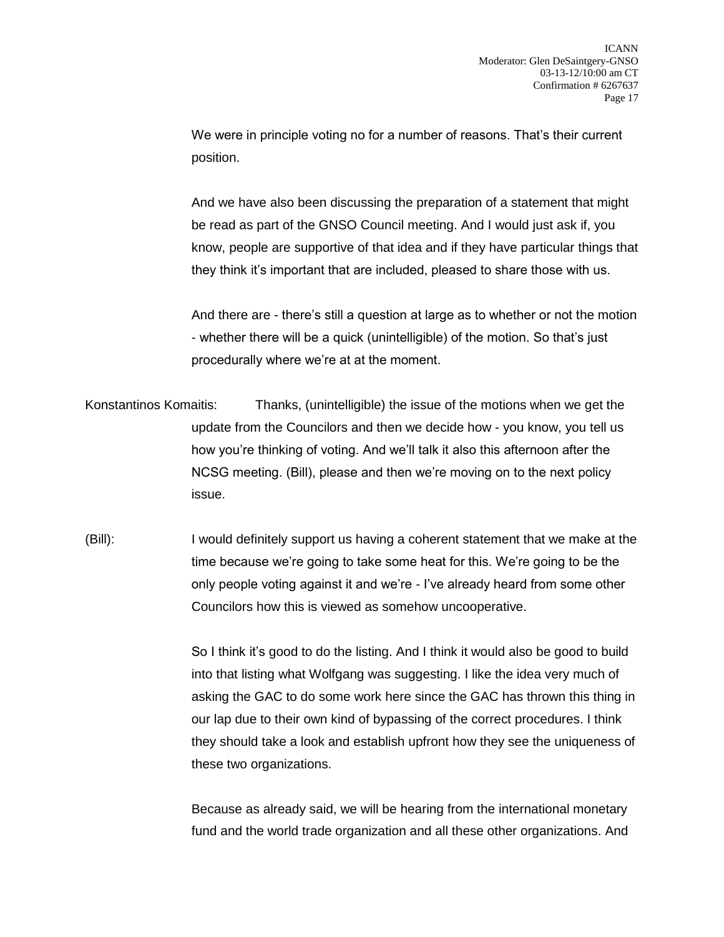We were in principle voting no for a number of reasons. That's their current position.

And we have also been discussing the preparation of a statement that might be read as part of the GNSO Council meeting. And I would just ask if, you know, people are supportive of that idea and if they have particular things that they think it's important that are included, pleased to share those with us.

And there are - there's still a question at large as to whether or not the motion - whether there will be a quick (unintelligible) of the motion. So that's just procedurally where we're at at the moment.

Konstantinos Komaitis: Thanks, (unintelligible) the issue of the motions when we get the update from the Councilors and then we decide how - you know, you tell us how you're thinking of voting. And we'll talk it also this afternoon after the NCSG meeting. (Bill), please and then we're moving on to the next policy issue.

(Bill): I would definitely support us having a coherent statement that we make at the time because we're going to take some heat for this. We're going to be the only people voting against it and we're - I've already heard from some other Councilors how this is viewed as somehow uncooperative.

> So I think it's good to do the listing. And I think it would also be good to build into that listing what Wolfgang was suggesting. I like the idea very much of asking the GAC to do some work here since the GAC has thrown this thing in our lap due to their own kind of bypassing of the correct procedures. I think they should take a look and establish upfront how they see the uniqueness of these two organizations.

Because as already said, we will be hearing from the international monetary fund and the world trade organization and all these other organizations. And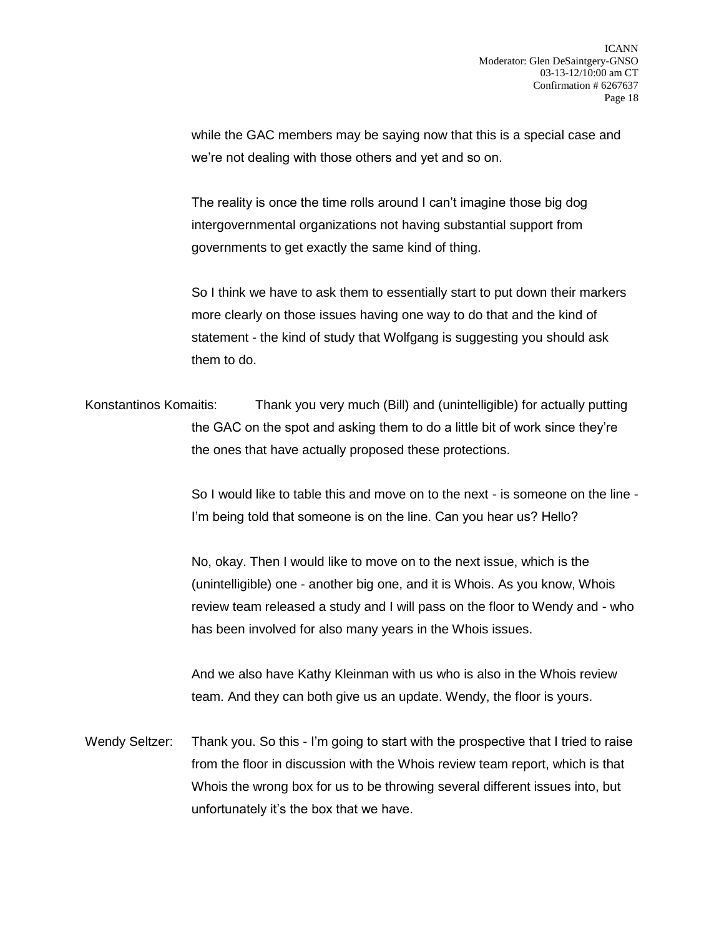while the GAC members may be saying now that this is a special case and we're not dealing with those others and yet and so on.

The reality is once the time rolls around I can't imagine those big dog intergovernmental organizations not having substantial support from governments to get exactly the same kind of thing.

So I think we have to ask them to essentially start to put down their markers more clearly on those issues having one way to do that and the kind of statement - the kind of study that Wolfgang is suggesting you should ask them to do.

Konstantinos Komaitis: Thank you very much (Bill) and (unintelligible) for actually putting the GAC on the spot and asking them to do a little bit of work since they're the ones that have actually proposed these protections.

> So I would like to table this and move on to the next - is someone on the line - I'm being told that someone is on the line. Can you hear us? Hello?

> No, okay. Then I would like to move on to the next issue, which is the (unintelligible) one - another big one, and it is Whois. As you know, Whois review team released a study and I will pass on the floor to Wendy and - who has been involved for also many years in the Whois issues.

And we also have Kathy Kleinman with us who is also in the Whois review team. And they can both give us an update. Wendy, the floor is yours.

Wendy Seltzer: Thank you. So this - I'm going to start with the prospective that I tried to raise from the floor in discussion with the Whois review team report, which is that Whois the wrong box for us to be throwing several different issues into, but unfortunately it's the box that we have.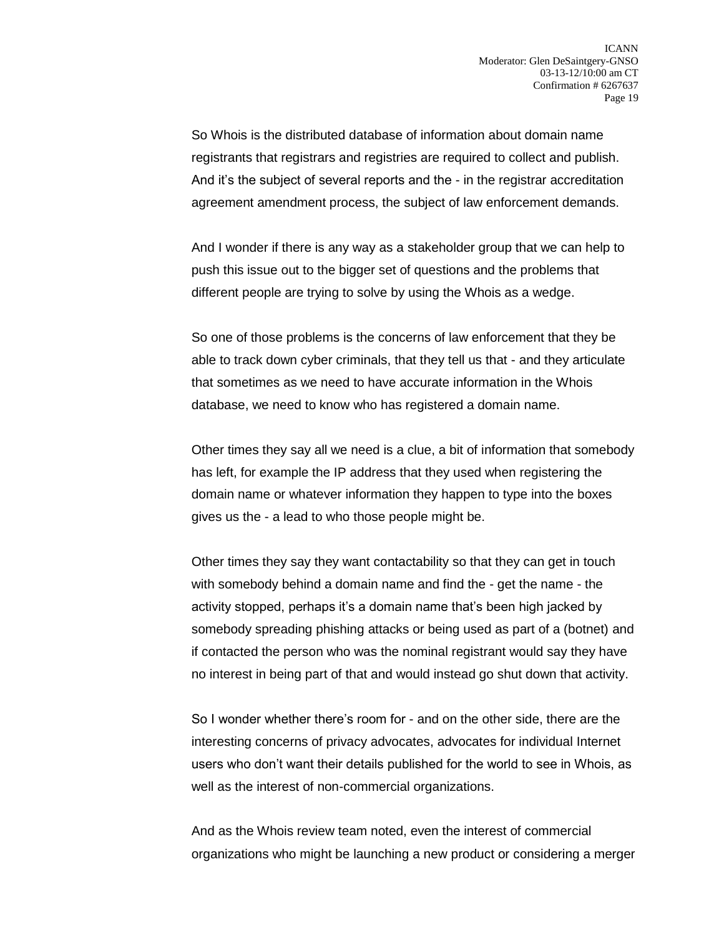So Whois is the distributed database of information about domain name registrants that registrars and registries are required to collect and publish. And it's the subject of several reports and the - in the registrar accreditation agreement amendment process, the subject of law enforcement demands.

And I wonder if there is any way as a stakeholder group that we can help to push this issue out to the bigger set of questions and the problems that different people are trying to solve by using the Whois as a wedge.

So one of those problems is the concerns of law enforcement that they be able to track down cyber criminals, that they tell us that - and they articulate that sometimes as we need to have accurate information in the Whois database, we need to know who has registered a domain name.

Other times they say all we need is a clue, a bit of information that somebody has left, for example the IP address that they used when registering the domain name or whatever information they happen to type into the boxes gives us the - a lead to who those people might be.

Other times they say they want contactability so that they can get in touch with somebody behind a domain name and find the - get the name - the activity stopped, perhaps it's a domain name that's been high jacked by somebody spreading phishing attacks or being used as part of a (botnet) and if contacted the person who was the nominal registrant would say they have no interest in being part of that and would instead go shut down that activity.

So I wonder whether there's room for - and on the other side, there are the interesting concerns of privacy advocates, advocates for individual Internet users who don't want their details published for the world to see in Whois, as well as the interest of non-commercial organizations.

And as the Whois review team noted, even the interest of commercial organizations who might be launching a new product or considering a merger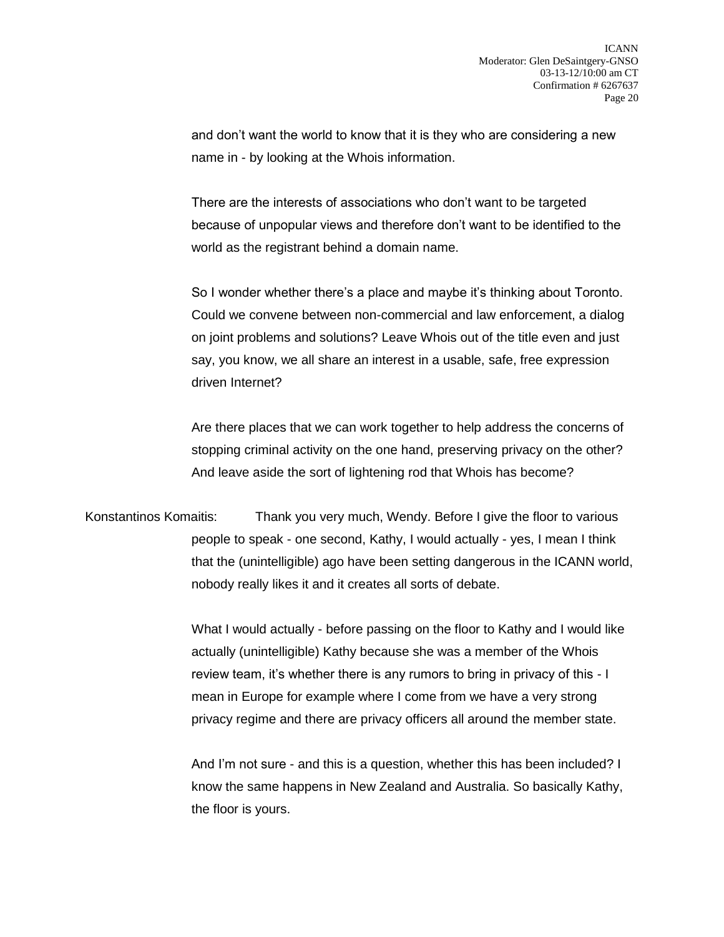and don't want the world to know that it is they who are considering a new name in - by looking at the Whois information.

There are the interests of associations who don't want to be targeted because of unpopular views and therefore don't want to be identified to the world as the registrant behind a domain name.

So I wonder whether there's a place and maybe it's thinking about Toronto. Could we convene between non-commercial and law enforcement, a dialog on joint problems and solutions? Leave Whois out of the title even and just say, you know, we all share an interest in a usable, safe, free expression driven Internet?

Are there places that we can work together to help address the concerns of stopping criminal activity on the one hand, preserving privacy on the other? And leave aside the sort of lightening rod that Whois has become?

Konstantinos Komaitis: Thank you very much, Wendy. Before I give the floor to various people to speak - one second, Kathy, I would actually - yes, I mean I think that the (unintelligible) ago have been setting dangerous in the ICANN world, nobody really likes it and it creates all sorts of debate.

> What I would actually - before passing on the floor to Kathy and I would like actually (unintelligible) Kathy because she was a member of the Whois review team, it's whether there is any rumors to bring in privacy of this - I mean in Europe for example where I come from we have a very strong privacy regime and there are privacy officers all around the member state.

> And I'm not sure - and this is a question, whether this has been included? I know the same happens in New Zealand and Australia. So basically Kathy, the floor is yours.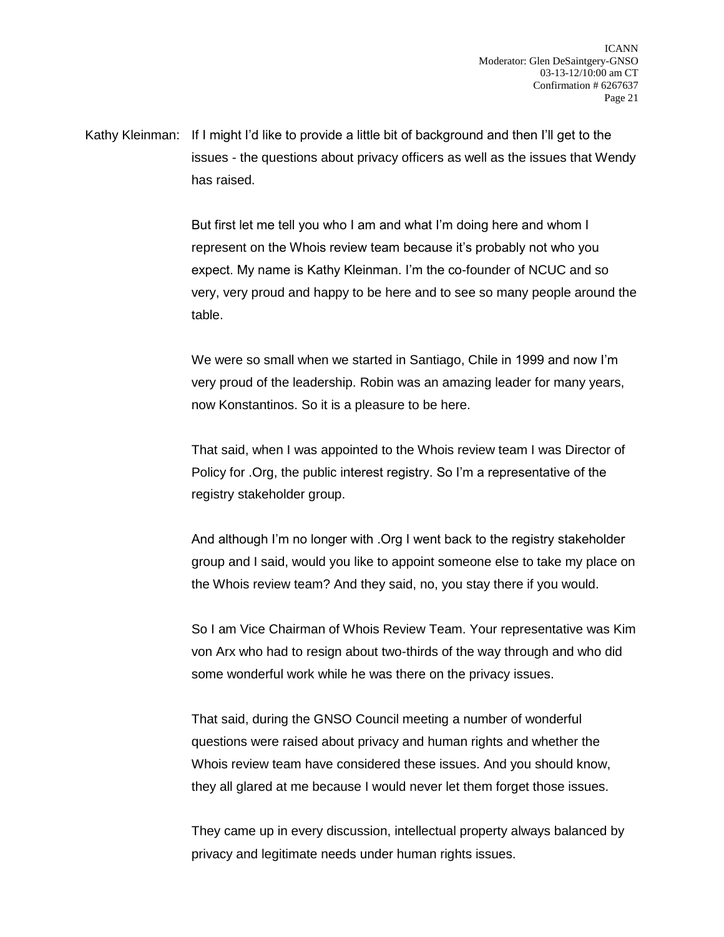Kathy Kleinman: If I might I'd like to provide a little bit of background and then I'll get to the issues - the questions about privacy officers as well as the issues that Wendy has raised.

> But first let me tell you who I am and what I'm doing here and whom I represent on the Whois review team because it's probably not who you expect. My name is Kathy Kleinman. I'm the co-founder of NCUC and so very, very proud and happy to be here and to see so many people around the table.

We were so small when we started in Santiago, Chile in 1999 and now I'm very proud of the leadership. Robin was an amazing leader for many years, now Konstantinos. So it is a pleasure to be here.

That said, when I was appointed to the Whois review team I was Director of Policy for .Org, the public interest registry. So I'm a representative of the registry stakeholder group.

And although I'm no longer with .Org I went back to the registry stakeholder group and I said, would you like to appoint someone else to take my place on the Whois review team? And they said, no, you stay there if you would.

So I am Vice Chairman of Whois Review Team. Your representative was Kim von Arx who had to resign about two-thirds of the way through and who did some wonderful work while he was there on the privacy issues.

That said, during the GNSO Council meeting a number of wonderful questions were raised about privacy and human rights and whether the Whois review team have considered these issues. And you should know, they all glared at me because I would never let them forget those issues.

They came up in every discussion, intellectual property always balanced by privacy and legitimate needs under human rights issues.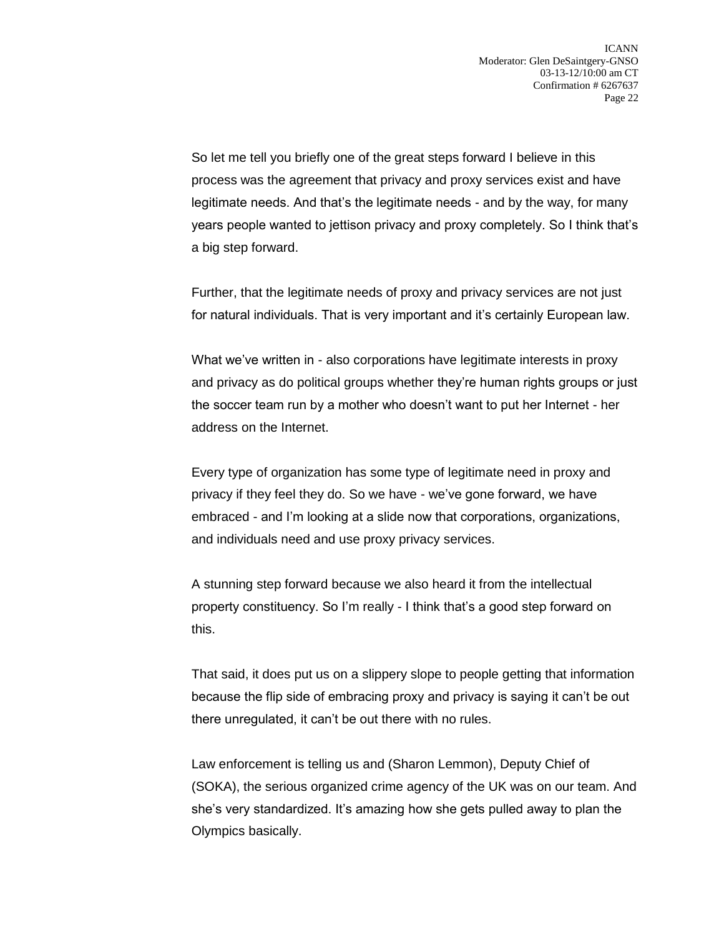So let me tell you briefly one of the great steps forward I believe in this process was the agreement that privacy and proxy services exist and have legitimate needs. And that's the legitimate needs - and by the way, for many years people wanted to jettison privacy and proxy completely. So I think that's a big step forward.

Further, that the legitimate needs of proxy and privacy services are not just for natural individuals. That is very important and it's certainly European law.

What we've written in - also corporations have legitimate interests in proxy and privacy as do political groups whether they're human rights groups or just the soccer team run by a mother who doesn't want to put her Internet - her address on the Internet.

Every type of organization has some type of legitimate need in proxy and privacy if they feel they do. So we have - we've gone forward, we have embraced - and I'm looking at a slide now that corporations, organizations, and individuals need and use proxy privacy services.

A stunning step forward because we also heard it from the intellectual property constituency. So I'm really - I think that's a good step forward on this.

That said, it does put us on a slippery slope to people getting that information because the flip side of embracing proxy and privacy is saying it can't be out there unregulated, it can't be out there with no rules.

Law enforcement is telling us and (Sharon Lemmon), Deputy Chief of (SOKA), the serious organized crime agency of the UK was on our team. And she's very standardized. It's amazing how she gets pulled away to plan the Olympics basically.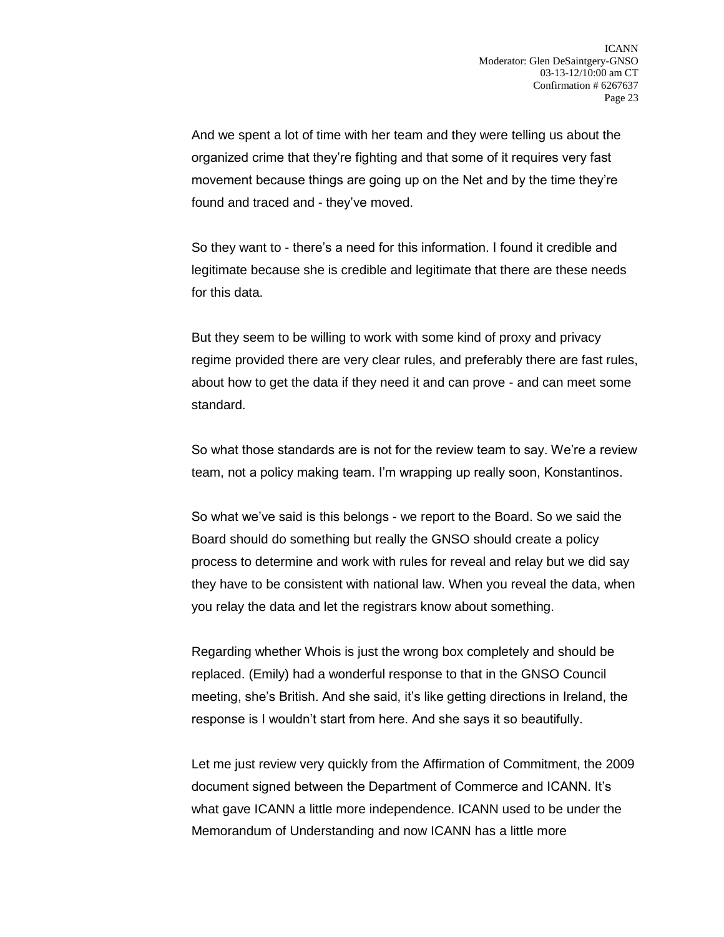And we spent a lot of time with her team and they were telling us about the organized crime that they're fighting and that some of it requires very fast movement because things are going up on the Net and by the time they're found and traced and - they've moved.

So they want to - there's a need for this information. I found it credible and legitimate because she is credible and legitimate that there are these needs for this data.

But they seem to be willing to work with some kind of proxy and privacy regime provided there are very clear rules, and preferably there are fast rules, about how to get the data if they need it and can prove - and can meet some standard.

So what those standards are is not for the review team to say. We're a review team, not a policy making team. I'm wrapping up really soon, Konstantinos.

So what we've said is this belongs - we report to the Board. So we said the Board should do something but really the GNSO should create a policy process to determine and work with rules for reveal and relay but we did say they have to be consistent with national law. When you reveal the data, when you relay the data and let the registrars know about something.

Regarding whether Whois is just the wrong box completely and should be replaced. (Emily) had a wonderful response to that in the GNSO Council meeting, she's British. And she said, it's like getting directions in Ireland, the response is I wouldn't start from here. And she says it so beautifully.

Let me just review very quickly from the Affirmation of Commitment, the 2009 document signed between the Department of Commerce and ICANN. It's what gave ICANN a little more independence. ICANN used to be under the Memorandum of Understanding and now ICANN has a little more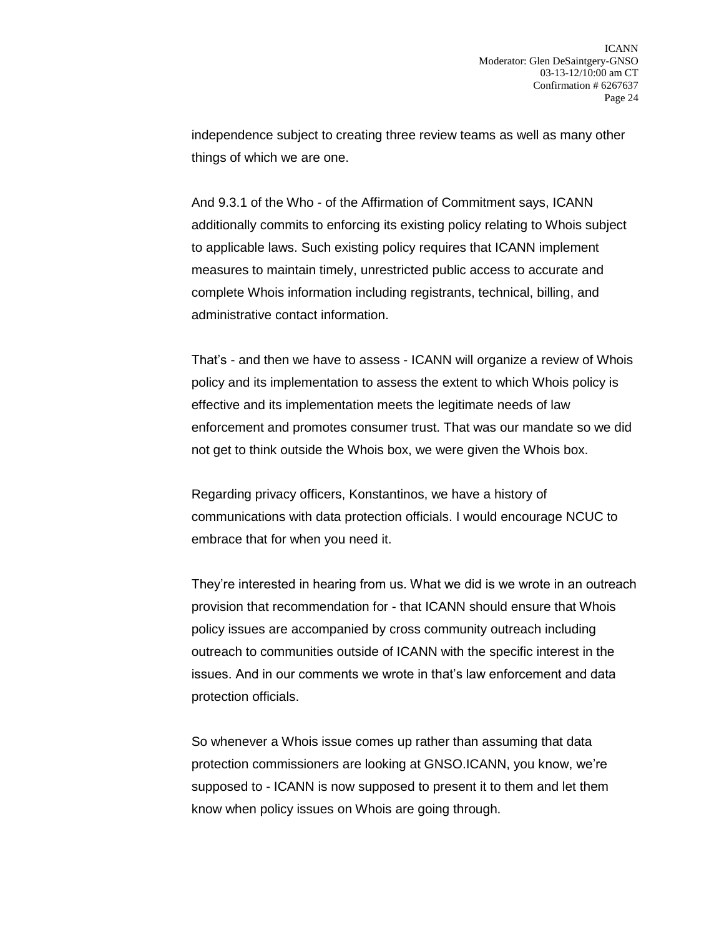independence subject to creating three review teams as well as many other things of which we are one.

And 9.3.1 of the Who - of the Affirmation of Commitment says, ICANN additionally commits to enforcing its existing policy relating to Whois subject to applicable laws. Such existing policy requires that ICANN implement measures to maintain timely, unrestricted public access to accurate and complete Whois information including registrants, technical, billing, and administrative contact information.

That's - and then we have to assess - ICANN will organize a review of Whois policy and its implementation to assess the extent to which Whois policy is effective and its implementation meets the legitimate needs of law enforcement and promotes consumer trust. That was our mandate so we did not get to think outside the Whois box, we were given the Whois box.

Regarding privacy officers, Konstantinos, we have a history of communications with data protection officials. I would encourage NCUC to embrace that for when you need it.

They're interested in hearing from us. What we did is we wrote in an outreach provision that recommendation for - that ICANN should ensure that Whois policy issues are accompanied by cross community outreach including outreach to communities outside of ICANN with the specific interest in the issues. And in our comments we wrote in that's law enforcement and data protection officials.

So whenever a Whois issue comes up rather than assuming that data protection commissioners are looking at GNSO.ICANN, you know, we're supposed to - ICANN is now supposed to present it to them and let them know when policy issues on Whois are going through.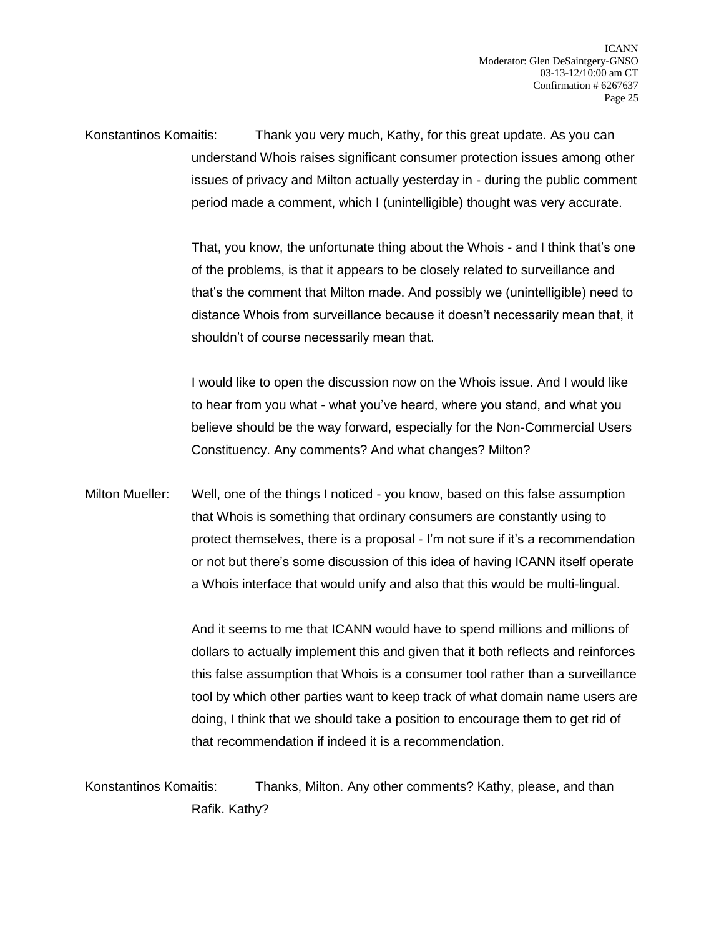Konstantinos Komaitis: Thank you very much, Kathy, for this great update. As you can understand Whois raises significant consumer protection issues among other issues of privacy and Milton actually yesterday in - during the public comment period made a comment, which I (unintelligible) thought was very accurate.

> That, you know, the unfortunate thing about the Whois - and I think that's one of the problems, is that it appears to be closely related to surveillance and that's the comment that Milton made. And possibly we (unintelligible) need to distance Whois from surveillance because it doesn't necessarily mean that, it shouldn't of course necessarily mean that.

> I would like to open the discussion now on the Whois issue. And I would like to hear from you what - what you've heard, where you stand, and what you believe should be the way forward, especially for the Non-Commercial Users Constituency. Any comments? And what changes? Milton?

Milton Mueller: Well, one of the things I noticed - you know, based on this false assumption that Whois is something that ordinary consumers are constantly using to protect themselves, there is a proposal - I'm not sure if it's a recommendation or not but there's some discussion of this idea of having ICANN itself operate a Whois interface that would unify and also that this would be multi-lingual.

> And it seems to me that ICANN would have to spend millions and millions of dollars to actually implement this and given that it both reflects and reinforces this false assumption that Whois is a consumer tool rather than a surveillance tool by which other parties want to keep track of what domain name users are doing, I think that we should take a position to encourage them to get rid of that recommendation if indeed it is a recommendation.

Konstantinos Komaitis: Thanks, Milton. Any other comments? Kathy, please, and than Rafik. Kathy?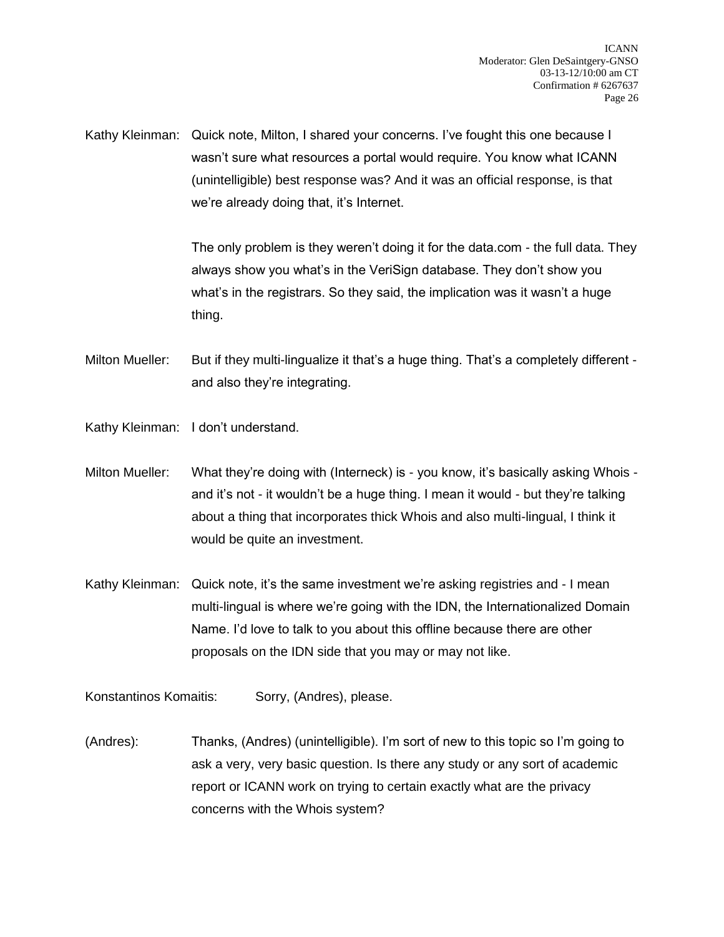Kathy Kleinman: Quick note, Milton, I shared your concerns. I've fought this one because I wasn't sure what resources a portal would require. You know what ICANN (unintelligible) best response was? And it was an official response, is that we're already doing that, it's Internet.

> The only problem is they weren't doing it for the data.com - the full data. They always show you what's in the VeriSign database. They don't show you what's in the registrars. So they said, the implication was it wasn't a huge thing.

Milton Mueller: But if they multi-lingualize it that's a huge thing. That's a completely different and also they're integrating.

Kathy Kleinman: I don't understand.

- Milton Mueller: What they're doing with (Interneck) is you know, it's basically asking Whois and it's not - it wouldn't be a huge thing. I mean it would - but they're talking about a thing that incorporates thick Whois and also multi-lingual, I think it would be quite an investment.
- Kathy Kleinman: Quick note, it's the same investment we're asking registries and I mean multi-lingual is where we're going with the IDN, the Internationalized Domain Name. I'd love to talk to you about this offline because there are other proposals on the IDN side that you may or may not like.

Konstantinos Komaitis: Sorry, (Andres), please.

(Andres): Thanks, (Andres) (unintelligible). I'm sort of new to this topic so I'm going to ask a very, very basic question. Is there any study or any sort of academic report or ICANN work on trying to certain exactly what are the privacy concerns with the Whois system?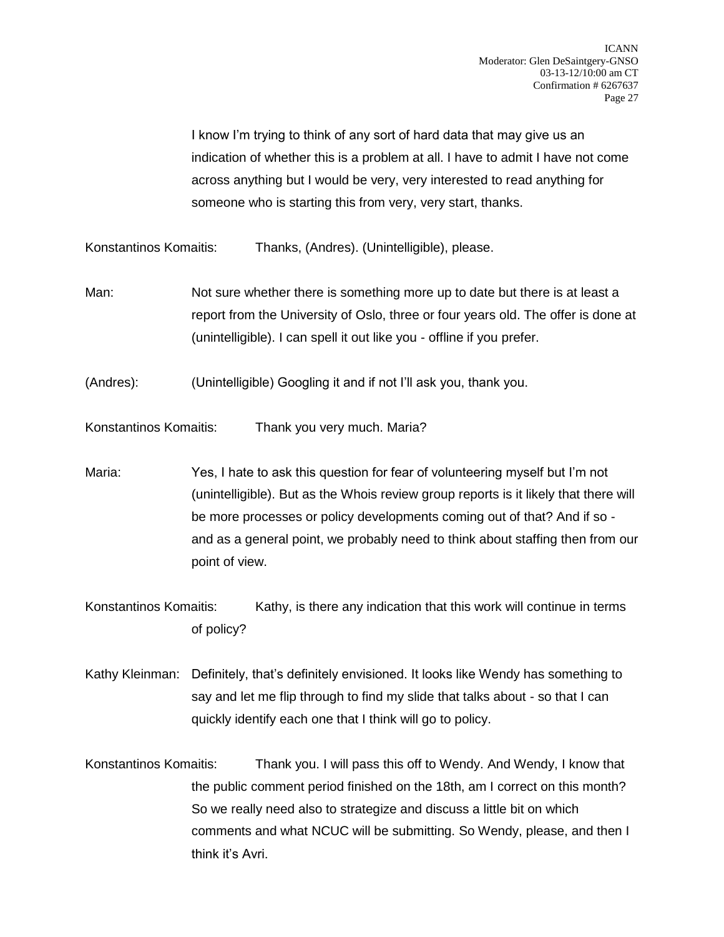I know I'm trying to think of any sort of hard data that may give us an indication of whether this is a problem at all. I have to admit I have not come across anything but I would be very, very interested to read anything for someone who is starting this from very, very start, thanks.

Konstantinos Komaitis: Thanks, (Andres). (Unintelligible), please.

- Man: Not sure whether there is something more up to date but there is at least a report from the University of Oslo, three or four years old. The offer is done at (unintelligible). I can spell it out like you - offline if you prefer.
- (Andres): (Unintelligible) Googling it and if not I'll ask you, thank you.

Konstantinos Komaitis: Thank you very much. Maria?

- Maria: Yes, I hate to ask this question for fear of volunteering myself but I'm not (unintelligible). But as the Whois review group reports is it likely that there will be more processes or policy developments coming out of that? And if so and as a general point, we probably need to think about staffing then from our point of view.
- Konstantinos Komaitis: Kathy, is there any indication that this work will continue in terms of policy?
- Kathy Kleinman: Definitely, that's definitely envisioned. It looks like Wendy has something to say and let me flip through to find my slide that talks about - so that I can quickly identify each one that I think will go to policy.
- Konstantinos Komaitis: Thank you. I will pass this off to Wendy. And Wendy, I know that the public comment period finished on the 18th, am I correct on this month? So we really need also to strategize and discuss a little bit on which comments and what NCUC will be submitting. So Wendy, please, and then I think it's Avri.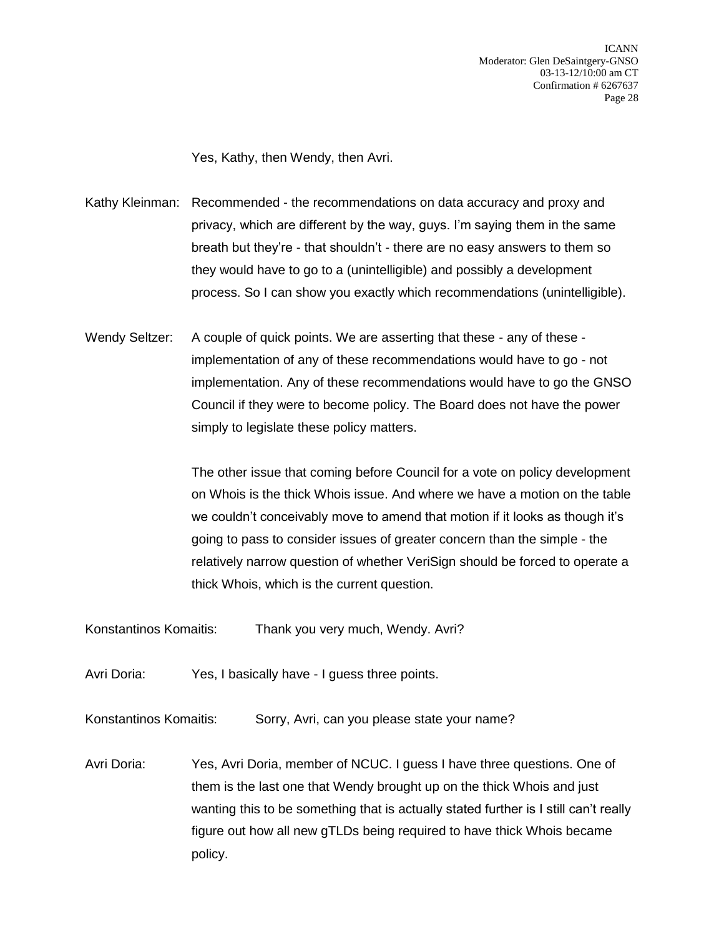Yes, Kathy, then Wendy, then Avri.

Kathy Kleinman: Recommended - the recommendations on data accuracy and proxy and privacy, which are different by the way, guys. I'm saying them in the same breath but they're - that shouldn't - there are no easy answers to them so they would have to go to a (unintelligible) and possibly a development process. So I can show you exactly which recommendations (unintelligible).

Wendy Seltzer: A couple of quick points. We are asserting that these - any of these implementation of any of these recommendations would have to go - not implementation. Any of these recommendations would have to go the GNSO Council if they were to become policy. The Board does not have the power simply to legislate these policy matters.

> The other issue that coming before Council for a vote on policy development on Whois is the thick Whois issue. And where we have a motion on the table we couldn't conceivably move to amend that motion if it looks as though it's going to pass to consider issues of greater concern than the simple - the relatively narrow question of whether VeriSign should be forced to operate a thick Whois, which is the current question.

- Konstantinos Komaitis: Thank you very much, Wendy. Avri?
- Avri Doria: Yes, I basically have I guess three points.

Konstantinos Komaitis: Sorry, Avri, can you please state your name?

Avri Doria: Yes, Avri Doria, member of NCUC. I guess I have three questions. One of them is the last one that Wendy brought up on the thick Whois and just wanting this to be something that is actually stated further is I still can't really figure out how all new gTLDs being required to have thick Whois became policy.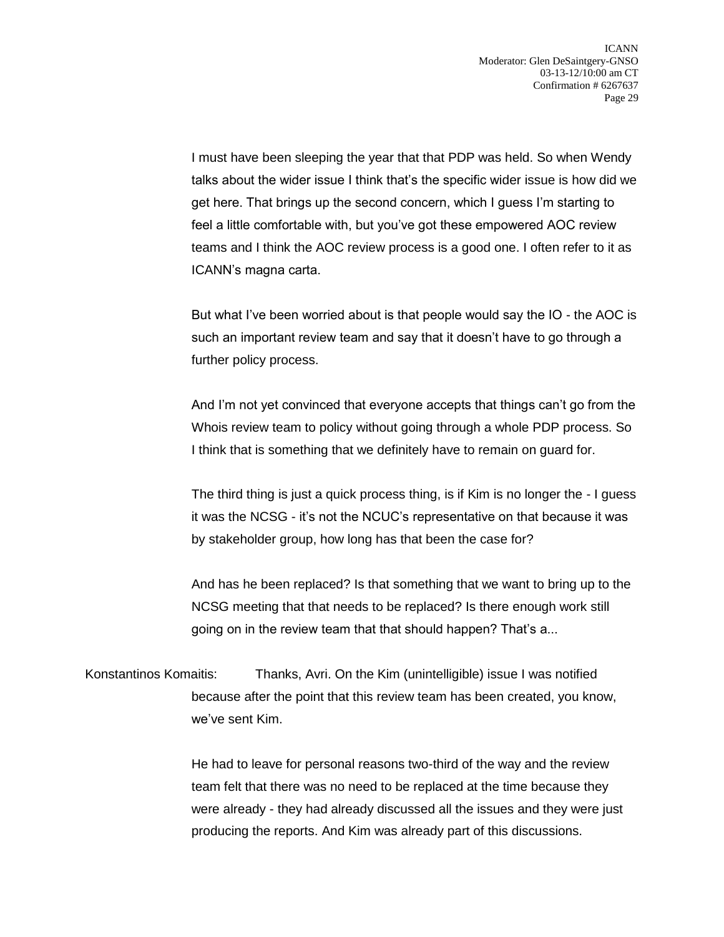I must have been sleeping the year that that PDP was held. So when Wendy talks about the wider issue I think that's the specific wider issue is how did we get here. That brings up the second concern, which I guess I'm starting to feel a little comfortable with, but you've got these empowered AOC review teams and I think the AOC review process is a good one. I often refer to it as ICANN's magna carta.

But what I've been worried about is that people would say the IO - the AOC is such an important review team and say that it doesn't have to go through a further policy process.

And I'm not yet convinced that everyone accepts that things can't go from the Whois review team to policy without going through a whole PDP process. So I think that is something that we definitely have to remain on guard for.

The third thing is just a quick process thing, is if Kim is no longer the - I guess it was the NCSG - it's not the NCUC's representative on that because it was by stakeholder group, how long has that been the case for?

And has he been replaced? Is that something that we want to bring up to the NCSG meeting that that needs to be replaced? Is there enough work still going on in the review team that that should happen? That's a...

Konstantinos Komaitis: Thanks, Avri. On the Kim (unintelligible) issue I was notified because after the point that this review team has been created, you know, we've sent Kim.

> He had to leave for personal reasons two-third of the way and the review team felt that there was no need to be replaced at the time because they were already - they had already discussed all the issues and they were just producing the reports. And Kim was already part of this discussions.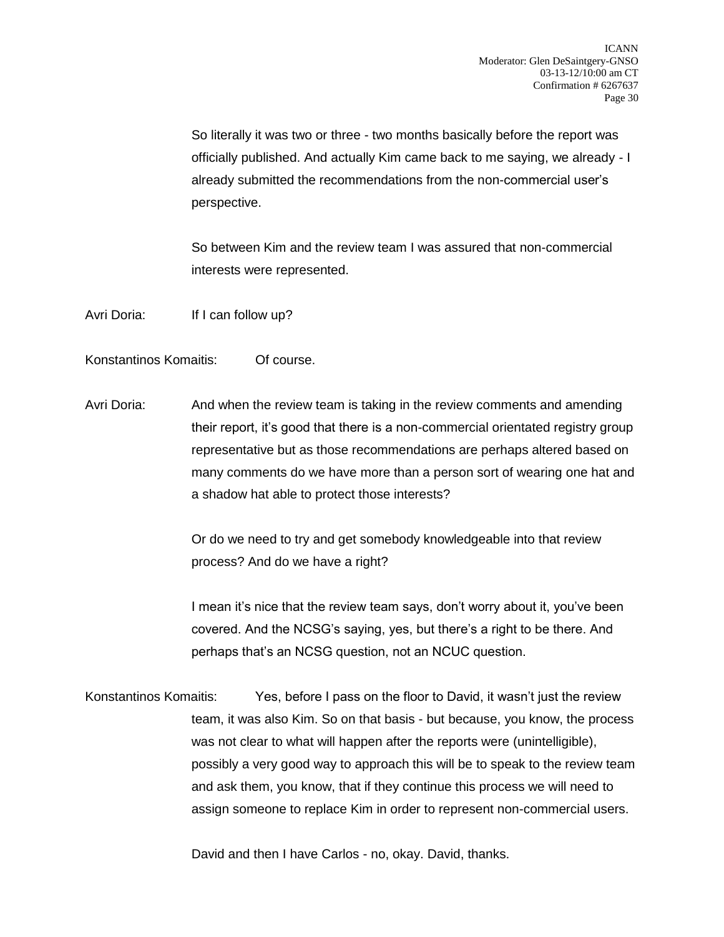So literally it was two or three - two months basically before the report was officially published. And actually Kim came back to me saying, we already - I already submitted the recommendations from the non-commercial user's perspective.

So between Kim and the review team I was assured that non-commercial interests were represented.

Avri Doria: If I can follow up?

Konstantinos Komaitis: Of course.

Avri Doria: And when the review team is taking in the review comments and amending their report, it's good that there is a non-commercial orientated registry group representative but as those recommendations are perhaps altered based on many comments do we have more than a person sort of wearing one hat and a shadow hat able to protect those interests?

> Or do we need to try and get somebody knowledgeable into that review process? And do we have a right?

I mean it's nice that the review team says, don't worry about it, you've been covered. And the NCSG's saying, yes, but there's a right to be there. And perhaps that's an NCSG question, not an NCUC question.

Konstantinos Komaitis: Yes, before I pass on the floor to David, it wasn't just the review team, it was also Kim. So on that basis - but because, you know, the process was not clear to what will happen after the reports were (unintelligible), possibly a very good way to approach this will be to speak to the review team and ask them, you know, that if they continue this process we will need to assign someone to replace Kim in order to represent non-commercial users.

David and then I have Carlos - no, okay. David, thanks.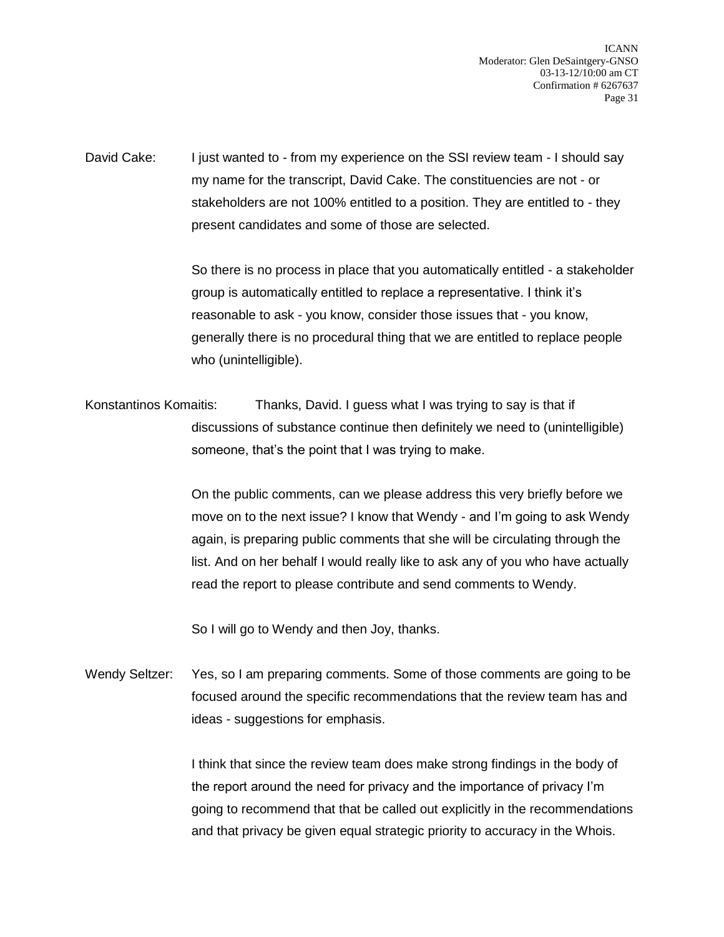ICANN Moderator: Glen DeSaintgery-GNSO 03-13-12/10:00 am CT Confirmation # 6267637 Page 31

David Cake: I just wanted to - from my experience on the SSI review team - I should say my name for the transcript, David Cake. The constituencies are not - or stakeholders are not 100% entitled to a position. They are entitled to - they present candidates and some of those are selected.

> So there is no process in place that you automatically entitled - a stakeholder group is automatically entitled to replace a representative. I think it's reasonable to ask - you know, consider those issues that - you know, generally there is no procedural thing that we are entitled to replace people who (unintelligible).

Konstantinos Komaitis: Thanks, David. I guess what I was trying to say is that if discussions of substance continue then definitely we need to (unintelligible) someone, that's the point that I was trying to make.

> On the public comments, can we please address this very briefly before we move on to the next issue? I know that Wendy - and I'm going to ask Wendy again, is preparing public comments that she will be circulating through the list. And on her behalf I would really like to ask any of you who have actually read the report to please contribute and send comments to Wendy.

So I will go to Wendy and then Joy, thanks.

Wendy Seltzer: Yes, so I am preparing comments. Some of those comments are going to be focused around the specific recommendations that the review team has and ideas - suggestions for emphasis.

> I think that since the review team does make strong findings in the body of the report around the need for privacy and the importance of privacy I'm going to recommend that that be called out explicitly in the recommendations and that privacy be given equal strategic priority to accuracy in the Whois.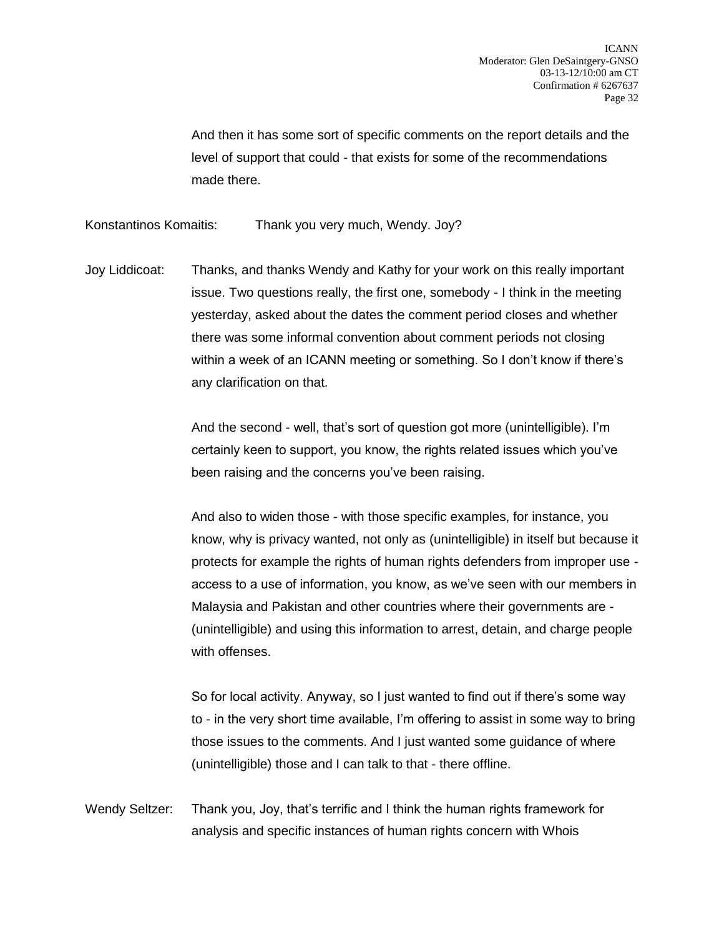And then it has some sort of specific comments on the report details and the level of support that could - that exists for some of the recommendations made there.

Konstantinos Komaitis: Thank you very much, Wendy. Joy?

Joy Liddicoat: Thanks, and thanks Wendy and Kathy for your work on this really important issue. Two questions really, the first one, somebody - I think in the meeting yesterday, asked about the dates the comment period closes and whether there was some informal convention about comment periods not closing within a week of an ICANN meeting or something. So I don't know if there's any clarification on that.

> And the second - well, that's sort of question got more (unintelligible). I'm certainly keen to support, you know, the rights related issues which you've been raising and the concerns you've been raising.

And also to widen those - with those specific examples, for instance, you know, why is privacy wanted, not only as (unintelligible) in itself but because it protects for example the rights of human rights defenders from improper use access to a use of information, you know, as we've seen with our members in Malaysia and Pakistan and other countries where their governments are - (unintelligible) and using this information to arrest, detain, and charge people with offenses.

So for local activity. Anyway, so I just wanted to find out if there's some way to - in the very short time available, I'm offering to assist in some way to bring those issues to the comments. And I just wanted some guidance of where (unintelligible) those and I can talk to that - there offline.

Wendy Seltzer: Thank you, Joy, that's terrific and I think the human rights framework for analysis and specific instances of human rights concern with Whois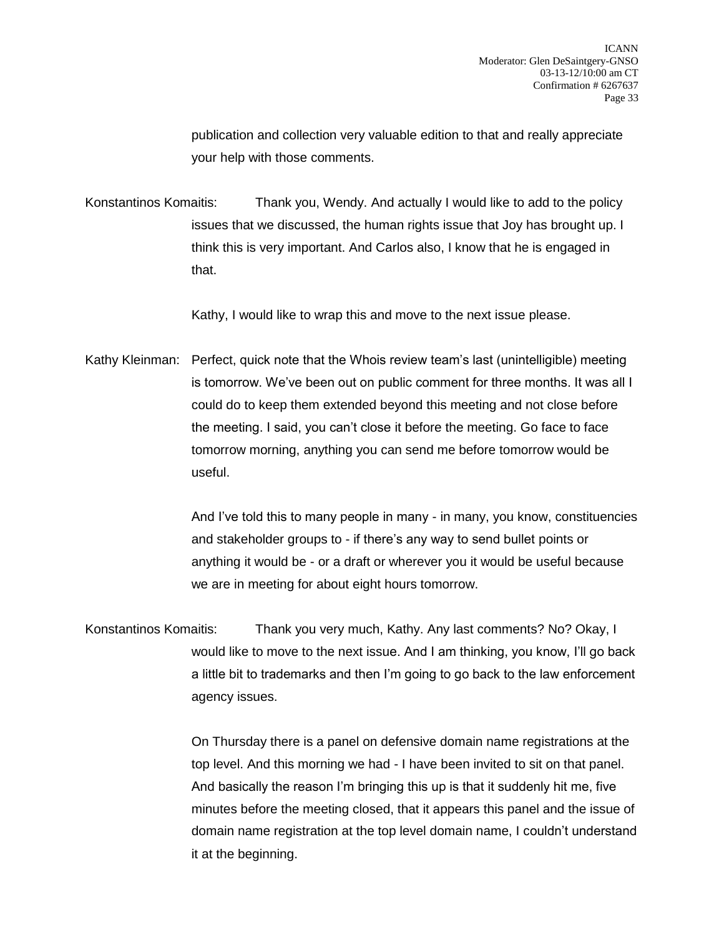publication and collection very valuable edition to that and really appreciate your help with those comments.

Konstantinos Komaitis: Thank you, Wendy. And actually I would like to add to the policy issues that we discussed, the human rights issue that Joy has brought up. I think this is very important. And Carlos also, I know that he is engaged in that.

Kathy, I would like to wrap this and move to the next issue please.

Kathy Kleinman: Perfect, quick note that the Whois review team's last (unintelligible) meeting is tomorrow. We've been out on public comment for three months. It was all I could do to keep them extended beyond this meeting and not close before the meeting. I said, you can't close it before the meeting. Go face to face tomorrow morning, anything you can send me before tomorrow would be useful.

> And I've told this to many people in many - in many, you know, constituencies and stakeholder groups to - if there's any way to send bullet points or anything it would be - or a draft or wherever you it would be useful because we are in meeting for about eight hours tomorrow.

Konstantinos Komaitis: Thank you very much, Kathy. Any last comments? No? Okay, I would like to move to the next issue. And I am thinking, you know, I'll go back a little bit to trademarks and then I'm going to go back to the law enforcement agency issues.

> On Thursday there is a panel on defensive domain name registrations at the top level. And this morning we had - I have been invited to sit on that panel. And basically the reason I'm bringing this up is that it suddenly hit me, five minutes before the meeting closed, that it appears this panel and the issue of domain name registration at the top level domain name, I couldn't understand it at the beginning.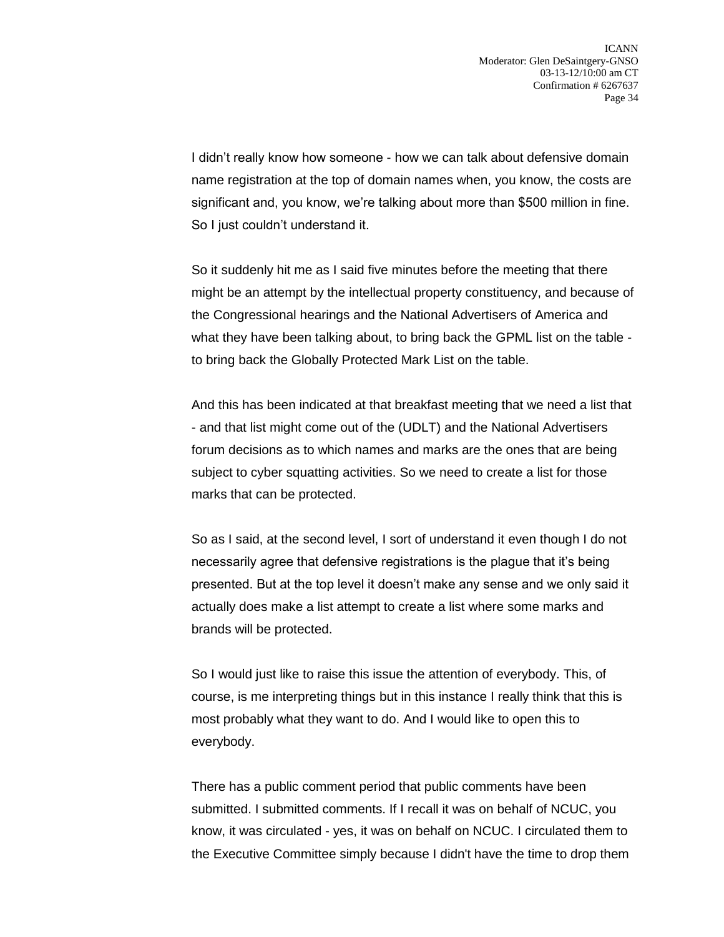I didn't really know how someone - how we can talk about defensive domain name registration at the top of domain names when, you know, the costs are significant and, you know, we're talking about more than \$500 million in fine. So I just couldn't understand it.

So it suddenly hit me as I said five minutes before the meeting that there might be an attempt by the intellectual property constituency, and because of the Congressional hearings and the National Advertisers of America and what they have been talking about, to bring back the GPML list on the table to bring back the Globally Protected Mark List on the table.

And this has been indicated at that breakfast meeting that we need a list that - and that list might come out of the (UDLT) and the National Advertisers forum decisions as to which names and marks are the ones that are being subject to cyber squatting activities. So we need to create a list for those marks that can be protected.

So as I said, at the second level, I sort of understand it even though I do not necessarily agree that defensive registrations is the plague that it's being presented. But at the top level it doesn't make any sense and we only said it actually does make a list attempt to create a list where some marks and brands will be protected.

So I would just like to raise this issue the attention of everybody. This, of course, is me interpreting things but in this instance I really think that this is most probably what they want to do. And I would like to open this to everybody.

There has a public comment period that public comments have been submitted. I submitted comments. If I recall it was on behalf of NCUC, you know, it was circulated - yes, it was on behalf on NCUC. I circulated them to the Executive Committee simply because I didn't have the time to drop them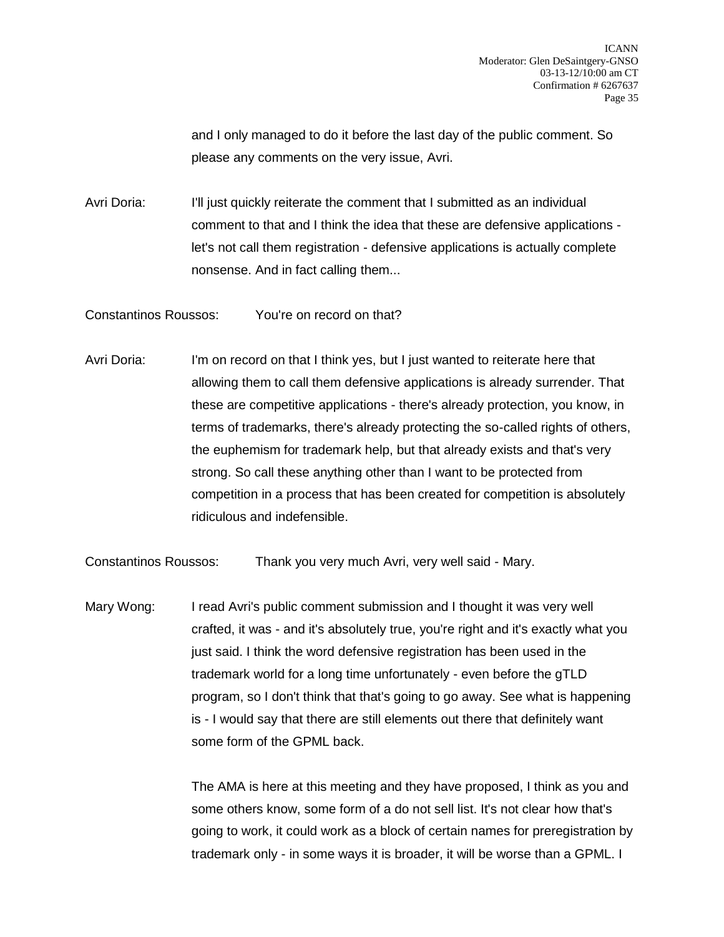and I only managed to do it before the last day of the public comment. So please any comments on the very issue, Avri.

Avri Doria: I'll just quickly reiterate the comment that I submitted as an individual comment to that and I think the idea that these are defensive applications let's not call them registration - defensive applications is actually complete nonsense. And in fact calling them...

Constantinos Roussos: You're on record on that?

Avri Doria: I'm on record on that I think yes, but I just wanted to reiterate here that allowing them to call them defensive applications is already surrender. That these are competitive applications - there's already protection, you know, in terms of trademarks, there's already protecting the so-called rights of others, the euphemism for trademark help, but that already exists and that's very strong. So call these anything other than I want to be protected from competition in a process that has been created for competition is absolutely ridiculous and indefensible.

Constantinos Roussos: Thank you very much Avri, very well said - Mary.

Mary Wong: I read Avri's public comment submission and I thought it was very well crafted, it was - and it's absolutely true, you're right and it's exactly what you just said. I think the word defensive registration has been used in the trademark world for a long time unfortunately - even before the gTLD program, so I don't think that that's going to go away. See what is happening is - I would say that there are still elements out there that definitely want some form of the GPML back.

> The AMA is here at this meeting and they have proposed, I think as you and some others know, some form of a do not sell list. It's not clear how that's going to work, it could work as a block of certain names for preregistration by trademark only - in some ways it is broader, it will be worse than a GPML. I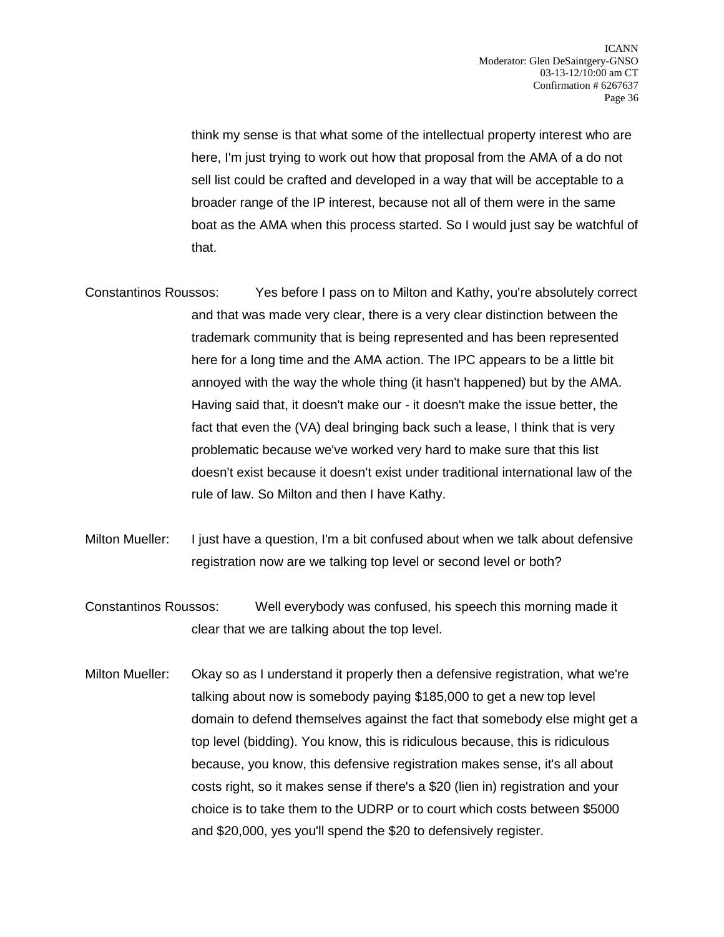think my sense is that what some of the intellectual property interest who are here, I'm just trying to work out how that proposal from the AMA of a do not sell list could be crafted and developed in a way that will be acceptable to a broader range of the IP interest, because not all of them were in the same boat as the AMA when this process started. So I would just say be watchful of that.

- Constantinos Roussos: Yes before I pass on to Milton and Kathy, you're absolutely correct and that was made very clear, there is a very clear distinction between the trademark community that is being represented and has been represented here for a long time and the AMA action. The IPC appears to be a little bit annoyed with the way the whole thing (it hasn't happened) but by the AMA. Having said that, it doesn't make our - it doesn't make the issue better, the fact that even the (VA) deal bringing back such a lease, I think that is very problematic because we've worked very hard to make sure that this list doesn't exist because it doesn't exist under traditional international law of the rule of law. So Milton and then I have Kathy.
- Milton Mueller: I just have a question, I'm a bit confused about when we talk about defensive registration now are we talking top level or second level or both?
- Constantinos Roussos: Well everybody was confused, his speech this morning made it clear that we are talking about the top level.
- Milton Mueller: Okay so as I understand it properly then a defensive registration, what we're talking about now is somebody paying \$185,000 to get a new top level domain to defend themselves against the fact that somebody else might get a top level (bidding). You know, this is ridiculous because, this is ridiculous because, you know, this defensive registration makes sense, it's all about costs right, so it makes sense if there's a \$20 (lien in) registration and your choice is to take them to the UDRP or to court which costs between \$5000 and \$20,000, yes you'll spend the \$20 to defensively register.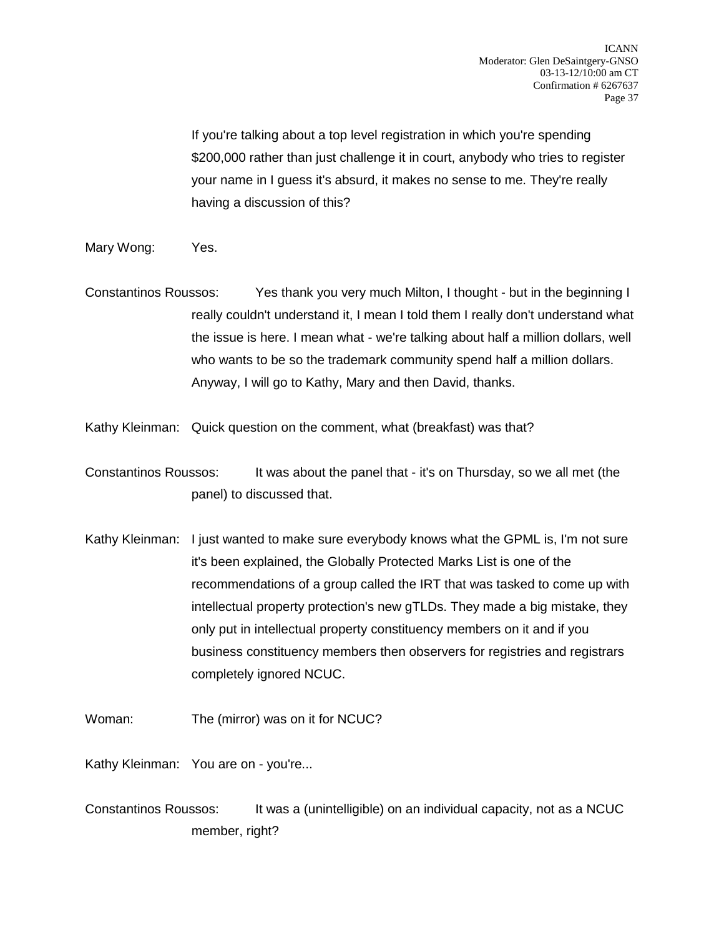If you're talking about a top level registration in which you're spending \$200,000 rather than just challenge it in court, anybody who tries to register your name in I guess it's absurd, it makes no sense to me. They're really having a discussion of this?

- Mary Wong: Yes.
- Constantinos Roussos: Yes thank you very much Milton, I thought but in the beginning I really couldn't understand it, I mean I told them I really don't understand what the issue is here. I mean what - we're talking about half a million dollars, well who wants to be so the trademark community spend half a million dollars. Anyway, I will go to Kathy, Mary and then David, thanks.

Kathy Kleinman: Quick question on the comment, what (breakfast) was that?

Constantinos Roussos: It was about the panel that - it's on Thursday, so we all met (the panel) to discussed that.

- Kathy Kleinman: I just wanted to make sure everybody knows what the GPML is, I'm not sure it's been explained, the Globally Protected Marks List is one of the recommendations of a group called the IRT that was tasked to come up with intellectual property protection's new gTLDs. They made a big mistake, they only put in intellectual property constituency members on it and if you business constituency members then observers for registries and registrars completely ignored NCUC.
- Woman: The (mirror) was on it for NCUC?

Kathy Kleinman: You are on - you're...

Constantinos Roussos: It was a (unintelligible) on an individual capacity, not as a NCUC member, right?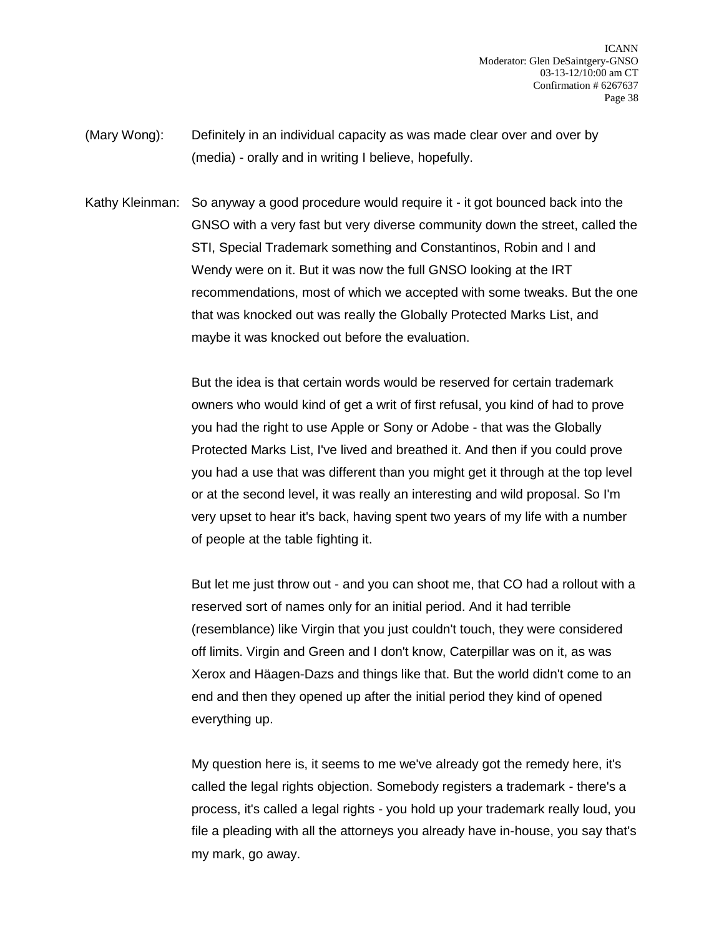- (Mary Wong): Definitely in an individual capacity as was made clear over and over by (media) - orally and in writing I believe, hopefully.
- Kathy Kleinman: So anyway a good procedure would require it it got bounced back into the GNSO with a very fast but very diverse community down the street, called the STI, Special Trademark something and Constantinos, Robin and I and Wendy were on it. But it was now the full GNSO looking at the IRT recommendations, most of which we accepted with some tweaks. But the one that was knocked out was really the Globally Protected Marks List, and maybe it was knocked out before the evaluation.

But the idea is that certain words would be reserved for certain trademark owners who would kind of get a writ of first refusal, you kind of had to prove you had the right to use Apple or Sony or Adobe - that was the Globally Protected Marks List, I've lived and breathed it. And then if you could prove you had a use that was different than you might get it through at the top level or at the second level, it was really an interesting and wild proposal. So I'm very upset to hear it's back, having spent two years of my life with a number of people at the table fighting it.

But let me just throw out - and you can shoot me, that CO had a rollout with a reserved sort of names only for an initial period. And it had terrible (resemblance) like Virgin that you just couldn't touch, they were considered off limits. Virgin and Green and I don't know, Caterpillar was on it, as was Xerox and Häagen-Dazs and things like that. But the world didn't come to an end and then they opened up after the initial period they kind of opened everything up.

My question here is, it seems to me we've already got the remedy here, it's called the legal rights objection. Somebody registers a trademark - there's a process, it's called a legal rights - you hold up your trademark really loud, you file a pleading with all the attorneys you already have in-house, you say that's my mark, go away.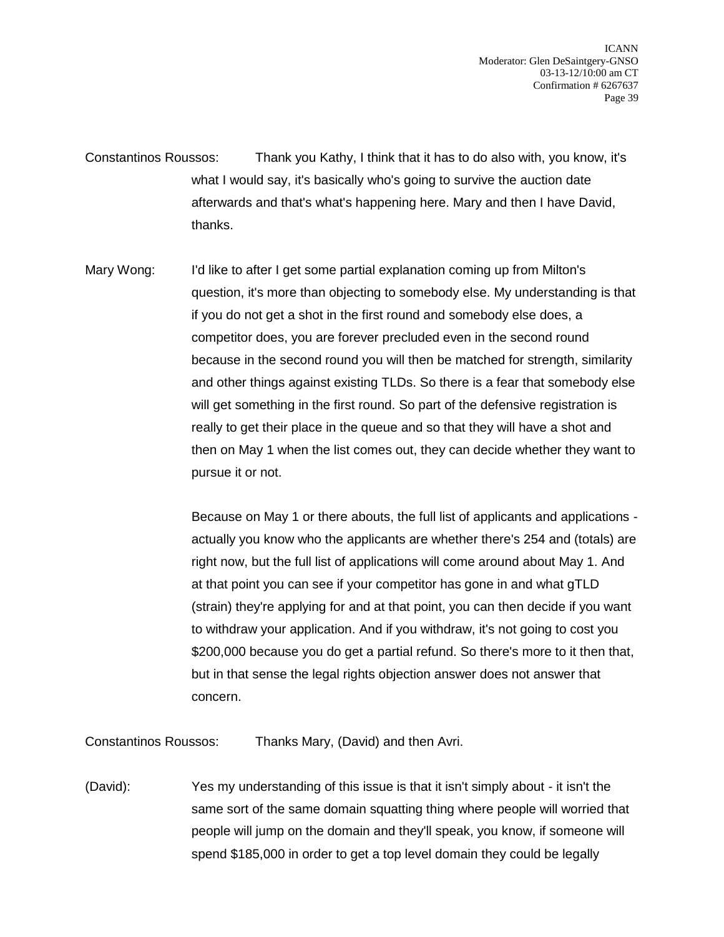Constantinos Roussos: Thank you Kathy, I think that it has to do also with, you know, it's what I would say, it's basically who's going to survive the auction date afterwards and that's what's happening here. Mary and then I have David, thanks.

Mary Wong: I'd like to after I get some partial explanation coming up from Milton's question, it's more than objecting to somebody else. My understanding is that if you do not get a shot in the first round and somebody else does, a competitor does, you are forever precluded even in the second round because in the second round you will then be matched for strength, similarity and other things against existing TLDs. So there is a fear that somebody else will get something in the first round. So part of the defensive registration is really to get their place in the queue and so that they will have a shot and then on May 1 when the list comes out, they can decide whether they want to pursue it or not.

> Because on May 1 or there abouts, the full list of applicants and applications actually you know who the applicants are whether there's 254 and (totals) are right now, but the full list of applications will come around about May 1. And at that point you can see if your competitor has gone in and what gTLD (strain) they're applying for and at that point, you can then decide if you want to withdraw your application. And if you withdraw, it's not going to cost you \$200,000 because you do get a partial refund. So there's more to it then that, but in that sense the legal rights objection answer does not answer that concern.

Constantinos Roussos: Thanks Mary, (David) and then Avri.

(David): Yes my understanding of this issue is that it isn't simply about - it isn't the same sort of the same domain squatting thing where people will worried that people will jump on the domain and they'll speak, you know, if someone will spend \$185,000 in order to get a top level domain they could be legally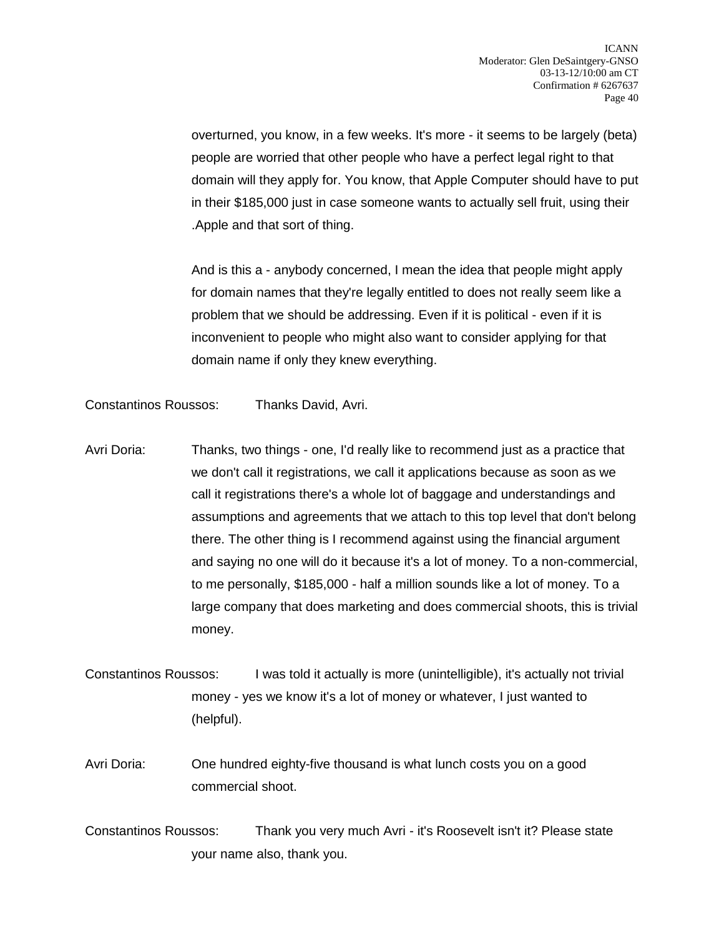overturned, you know, in a few weeks. It's more - it seems to be largely (beta) people are worried that other people who have a perfect legal right to that domain will they apply for. You know, that Apple Computer should have to put in their \$185,000 just in case someone wants to actually sell fruit, using their .Apple and that sort of thing.

And is this a - anybody concerned, I mean the idea that people might apply for domain names that they're legally entitled to does not really seem like a problem that we should be addressing. Even if it is political - even if it is inconvenient to people who might also want to consider applying for that domain name if only they knew everything.

Constantinos Roussos: Thanks David, Avri.

- Avri Doria: Thanks, two things one, I'd really like to recommend just as a practice that we don't call it registrations, we call it applications because as soon as we call it registrations there's a whole lot of baggage and understandings and assumptions and agreements that we attach to this top level that don't belong there. The other thing is I recommend against using the financial argument and saying no one will do it because it's a lot of money. To a non-commercial, to me personally, \$185,000 - half a million sounds like a lot of money. To a large company that does marketing and does commercial shoots, this is trivial money.
- Constantinos Roussos: I was told it actually is more (unintelligible), it's actually not trivial money - yes we know it's a lot of money or whatever, I just wanted to (helpful).
- Avri Doria: One hundred eighty-five thousand is what lunch costs you on a good commercial shoot.
- Constantinos Roussos: Thank you very much Avri it's Roosevelt isn't it? Please state your name also, thank you.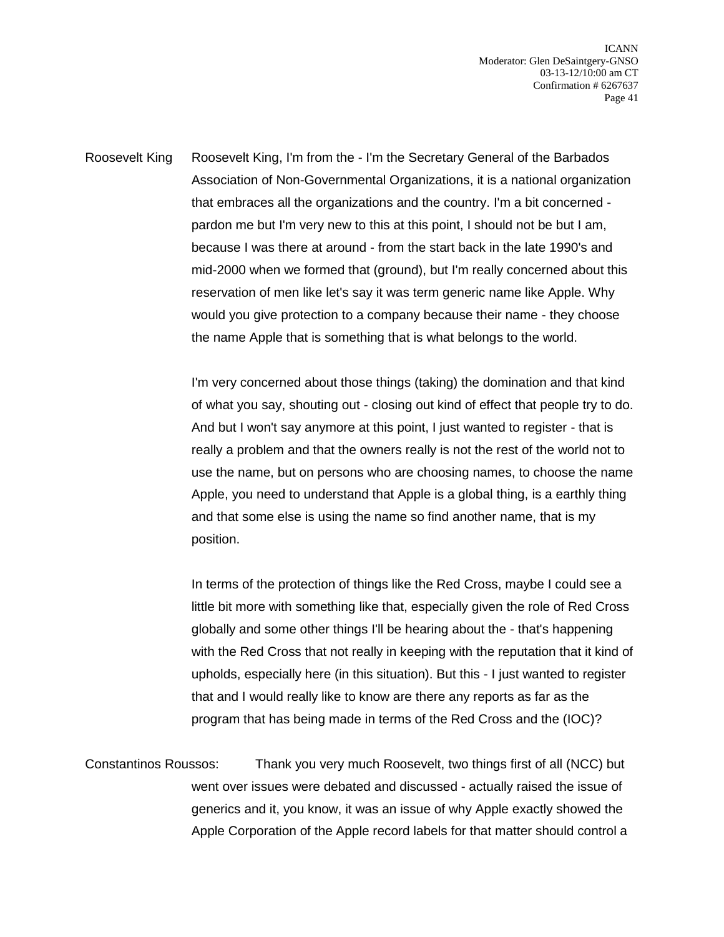Roosevelt King Roosevelt King, I'm from the - I'm the Secretary General of the Barbados Association of Non-Governmental Organizations, it is a national organization that embraces all the organizations and the country. I'm a bit concerned pardon me but I'm very new to this at this point, I should not be but I am, because I was there at around - from the start back in the late 1990's and mid-2000 when we formed that (ground), but I'm really concerned about this reservation of men like let's say it was term generic name like Apple. Why would you give protection to a company because their name - they choose the name Apple that is something that is what belongs to the world.

> I'm very concerned about those things (taking) the domination and that kind of what you say, shouting out - closing out kind of effect that people try to do. And but I won't say anymore at this point, I just wanted to register - that is really a problem and that the owners really is not the rest of the world not to use the name, but on persons who are choosing names, to choose the name Apple, you need to understand that Apple is a global thing, is a earthly thing and that some else is using the name so find another name, that is my position.

> In terms of the protection of things like the Red Cross, maybe I could see a little bit more with something like that, especially given the role of Red Cross globally and some other things I'll be hearing about the - that's happening with the Red Cross that not really in keeping with the reputation that it kind of upholds, especially here (in this situation). But this - I just wanted to register that and I would really like to know are there any reports as far as the program that has being made in terms of the Red Cross and the (IOC)?

Constantinos Roussos: Thank you very much Roosevelt, two things first of all (NCC) but went over issues were debated and discussed - actually raised the issue of generics and it, you know, it was an issue of why Apple exactly showed the Apple Corporation of the Apple record labels for that matter should control a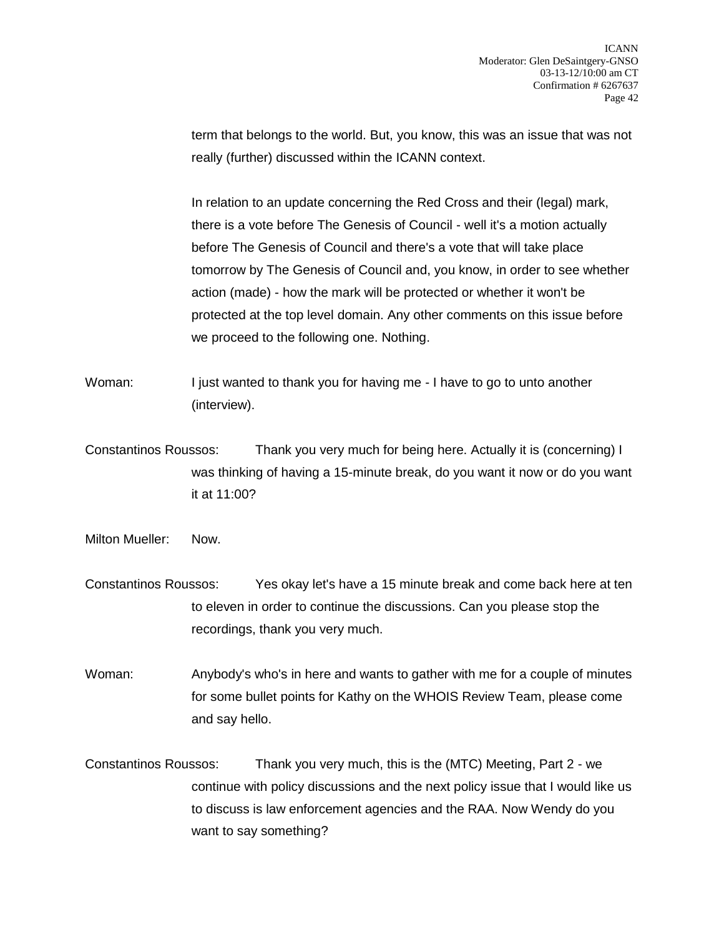term that belongs to the world. But, you know, this was an issue that was not really (further) discussed within the ICANN context.

In relation to an update concerning the Red Cross and their (legal) mark, there is a vote before The Genesis of Council - well it's a motion actually before The Genesis of Council and there's a vote that will take place tomorrow by The Genesis of Council and, you know, in order to see whether action (made) - how the mark will be protected or whether it won't be protected at the top level domain. Any other comments on this issue before we proceed to the following one. Nothing.

Woman: I just wanted to thank you for having me - I have to go to unto another (interview).

Constantinos Roussos: Thank you very much for being here. Actually it is (concerning) I was thinking of having a 15-minute break, do you want it now or do you want it at 11:00?

Milton Mueller: Now.

Constantinos Roussos: Yes okay let's have a 15 minute break and come back here at ten to eleven in order to continue the discussions. Can you please stop the recordings, thank you very much.

Woman: Anybody's who's in here and wants to gather with me for a couple of minutes for some bullet points for Kathy on the WHOIS Review Team, please come and say hello.

Constantinos Roussos: Thank you very much, this is the (MTC) Meeting, Part 2 - we continue with policy discussions and the next policy issue that I would like us to discuss is law enforcement agencies and the RAA. Now Wendy do you want to say something?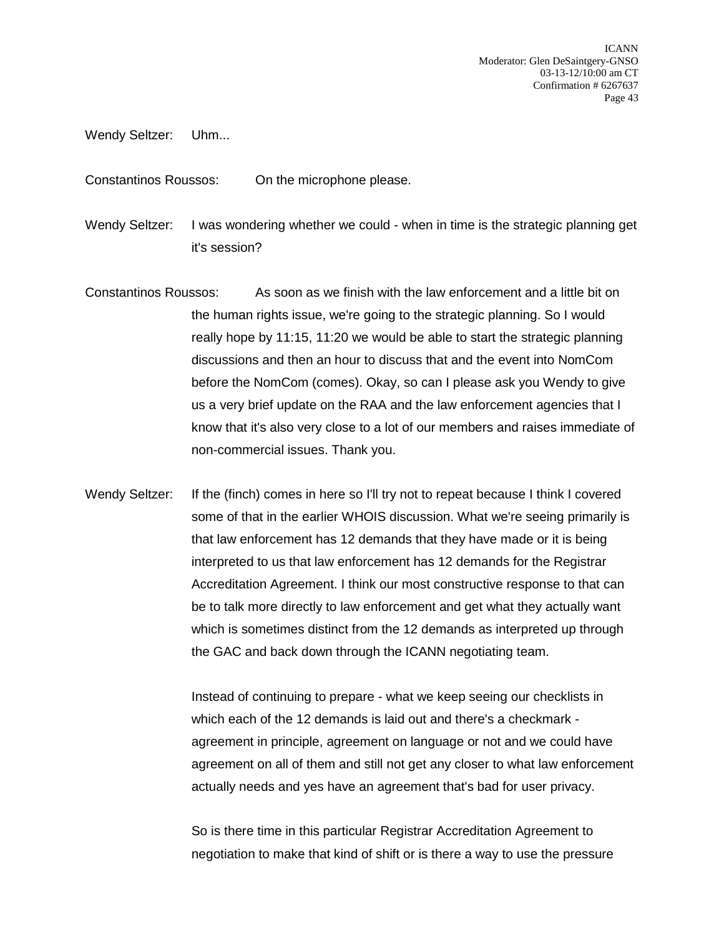Wendy Seltzer: Uhm...

Constantinos Roussos: On the microphone please.

Wendy Seltzer: I was wondering whether we could - when in time is the strategic planning get it's session?

- Constantinos Roussos: As soon as we finish with the law enforcement and a little bit on the human rights issue, we're going to the strategic planning. So I would really hope by 11:15, 11:20 we would be able to start the strategic planning discussions and then an hour to discuss that and the event into NomCom before the NomCom (comes). Okay, so can I please ask you Wendy to give us a very brief update on the RAA and the law enforcement agencies that I know that it's also very close to a lot of our members and raises immediate of non-commercial issues. Thank you.
- Wendy Seltzer: If the (finch) comes in here so I'll try not to repeat because I think I covered some of that in the earlier WHOIS discussion. What we're seeing primarily is that law enforcement has 12 demands that they have made or it is being interpreted to us that law enforcement has 12 demands for the Registrar Accreditation Agreement. I think our most constructive response to that can be to talk more directly to law enforcement and get what they actually want which is sometimes distinct from the 12 demands as interpreted up through the GAC and back down through the ICANN negotiating team.

Instead of continuing to prepare - what we keep seeing our checklists in which each of the 12 demands is laid out and there's a checkmark agreement in principle, agreement on language or not and we could have agreement on all of them and still not get any closer to what law enforcement actually needs and yes have an agreement that's bad for user privacy.

So is there time in this particular Registrar Accreditation Agreement to negotiation to make that kind of shift or is there a way to use the pressure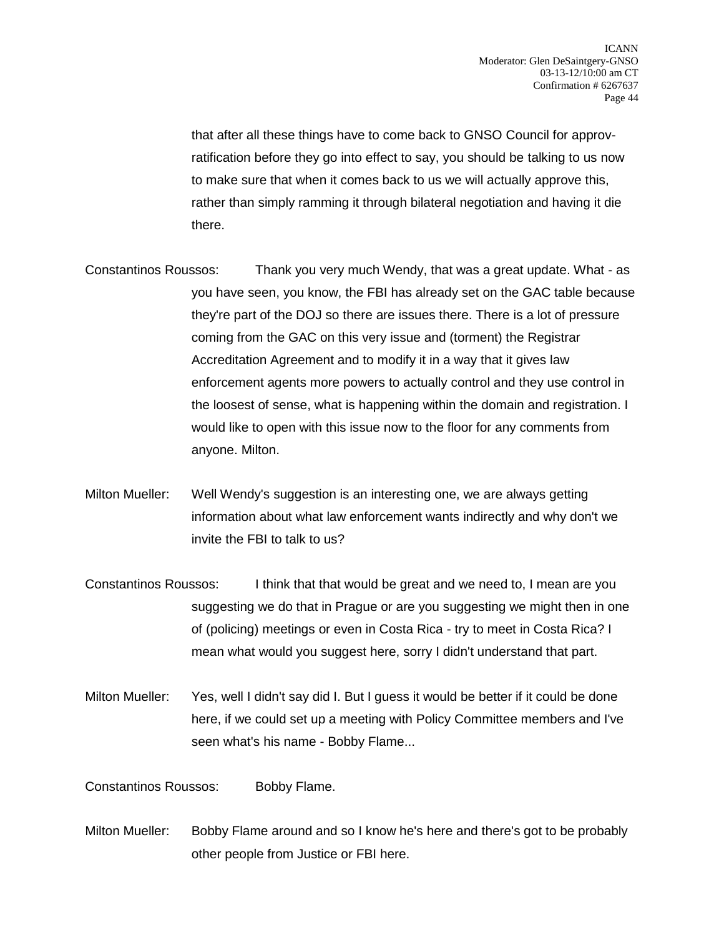that after all these things have to come back to GNSO Council for approvratification before they go into effect to say, you should be talking to us now to make sure that when it comes back to us we will actually approve this, rather than simply ramming it through bilateral negotiation and having it die there.

Constantinos Roussos: Thank you very much Wendy, that was a great update. What - as you have seen, you know, the FBI has already set on the GAC table because they're part of the DOJ so there are issues there. There is a lot of pressure coming from the GAC on this very issue and (torment) the Registrar Accreditation Agreement and to modify it in a way that it gives law enforcement agents more powers to actually control and they use control in the loosest of sense, what is happening within the domain and registration. I would like to open with this issue now to the floor for any comments from anyone. Milton.

- Milton Mueller: Well Wendy's suggestion is an interesting one, we are always getting information about what law enforcement wants indirectly and why don't we invite the FBI to talk to us?
- Constantinos Roussos: I think that that would be great and we need to, I mean are you suggesting we do that in Prague or are you suggesting we might then in one of (policing) meetings or even in Costa Rica - try to meet in Costa Rica? I mean what would you suggest here, sorry I didn't understand that part.
- Milton Mueller: Yes, well I didn't say did I. But I guess it would be better if it could be done here, if we could set up a meeting with Policy Committee members and I've seen what's his name - Bobby Flame...

Constantinos Roussos: Bobby Flame.

Milton Mueller: Bobby Flame around and so I know he's here and there's got to be probably other people from Justice or FBI here.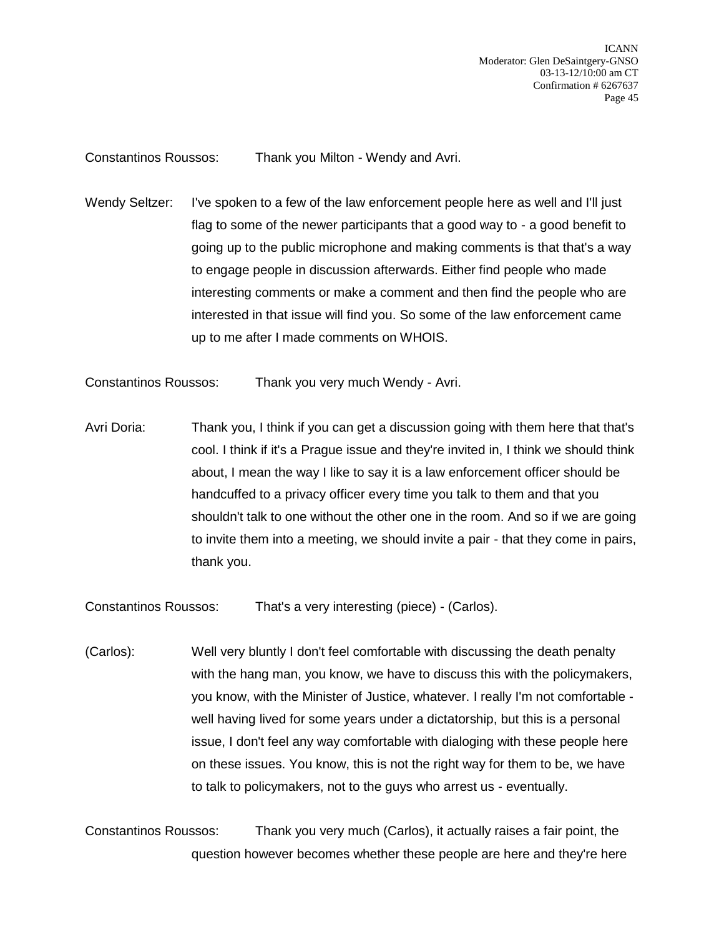Constantinos Roussos: Thank you Milton - Wendy and Avri.

Wendy Seltzer: I've spoken to a few of the law enforcement people here as well and I'll just flag to some of the newer participants that a good way to - a good benefit to going up to the public microphone and making comments is that that's a way to engage people in discussion afterwards. Either find people who made interesting comments or make a comment and then find the people who are interested in that issue will find you. So some of the law enforcement came up to me after I made comments on WHOIS.

Constantinos Roussos: Thank you very much Wendy - Avri.

Avri Doria: Thank you, I think if you can get a discussion going with them here that that's cool. I think if it's a Prague issue and they're invited in, I think we should think about, I mean the way I like to say it is a law enforcement officer should be handcuffed to a privacy officer every time you talk to them and that you shouldn't talk to one without the other one in the room. And so if we are going to invite them into a meeting, we should invite a pair - that they come in pairs, thank you.

Constantinos Roussos: That's a very interesting (piece) - (Carlos).

(Carlos): Well very bluntly I don't feel comfortable with discussing the death penalty with the hang man, you know, we have to discuss this with the policymakers, you know, with the Minister of Justice, whatever. I really I'm not comfortable well having lived for some years under a dictatorship, but this is a personal issue, I don't feel any way comfortable with dialoging with these people here on these issues. You know, this is not the right way for them to be, we have to talk to policymakers, not to the guys who arrest us - eventually.

Constantinos Roussos: Thank you very much (Carlos), it actually raises a fair point, the question however becomes whether these people are here and they're here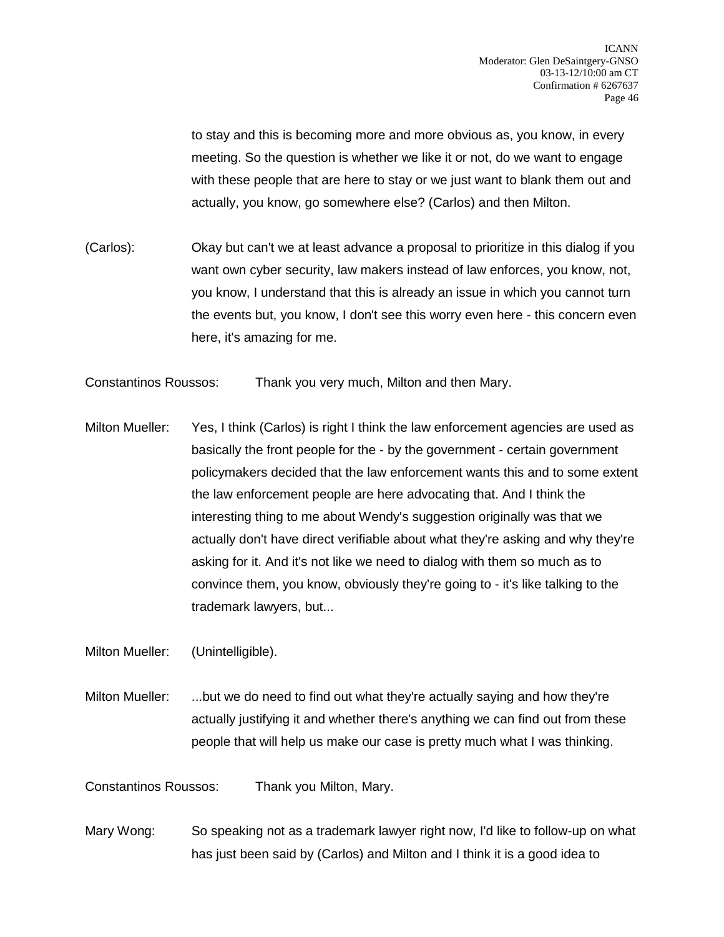to stay and this is becoming more and more obvious as, you know, in every meeting. So the question is whether we like it or not, do we want to engage with these people that are here to stay or we just want to blank them out and actually, you know, go somewhere else? (Carlos) and then Milton.

(Carlos): Okay but can't we at least advance a proposal to prioritize in this dialog if you want own cyber security, law makers instead of law enforces, you know, not, you know, I understand that this is already an issue in which you cannot turn the events but, you know, I don't see this worry even here - this concern even here, it's amazing for me.

Constantinos Roussos: Thank you very much, Milton and then Mary.

Milton Mueller: Yes, I think (Carlos) is right I think the law enforcement agencies are used as basically the front people for the - by the government - certain government policymakers decided that the law enforcement wants this and to some extent the law enforcement people are here advocating that. And I think the interesting thing to me about Wendy's suggestion originally was that we actually don't have direct verifiable about what they're asking and why they're asking for it. And it's not like we need to dialog with them so much as to convince them, you know, obviously they're going to - it's like talking to the trademark lawyers, but...

Milton Mueller: (Unintelligible).

Milton Mueller: ...but we do need to find out what they're actually saying and how they're actually justifying it and whether there's anything we can find out from these people that will help us make our case is pretty much what I was thinking.

Constantinos Roussos: Thank you Milton, Mary.

Mary Wong: So speaking not as a trademark lawyer right now, I'd like to follow-up on what has just been said by (Carlos) and Milton and I think it is a good idea to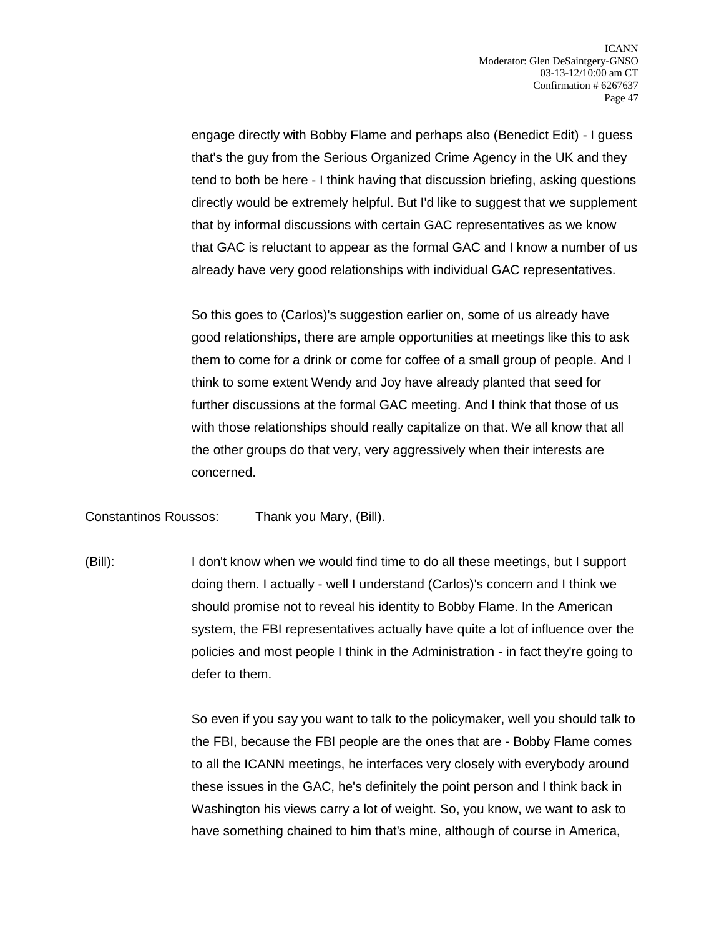engage directly with Bobby Flame and perhaps also (Benedict Edit) - I guess that's the guy from the Serious Organized Crime Agency in the UK and they tend to both be here - I think having that discussion briefing, asking questions directly would be extremely helpful. But I'd like to suggest that we supplement that by informal discussions with certain GAC representatives as we know that GAC is reluctant to appear as the formal GAC and I know a number of us already have very good relationships with individual GAC representatives.

So this goes to (Carlos)'s suggestion earlier on, some of us already have good relationships, there are ample opportunities at meetings like this to ask them to come for a drink or come for coffee of a small group of people. And I think to some extent Wendy and Joy have already planted that seed for further discussions at the formal GAC meeting. And I think that those of us with those relationships should really capitalize on that. We all know that all the other groups do that very, very aggressively when their interests are concerned.

Constantinos Roussos: Thank you Mary, (Bill).

(Bill): I don't know when we would find time to do all these meetings, but I support doing them. I actually - well I understand (Carlos)'s concern and I think we should promise not to reveal his identity to Bobby Flame. In the American system, the FBI representatives actually have quite a lot of influence over the policies and most people I think in the Administration - in fact they're going to defer to them.

> So even if you say you want to talk to the policymaker, well you should talk to the FBI, because the FBI people are the ones that are - Bobby Flame comes to all the ICANN meetings, he interfaces very closely with everybody around these issues in the GAC, he's definitely the point person and I think back in Washington his views carry a lot of weight. So, you know, we want to ask to have something chained to him that's mine, although of course in America,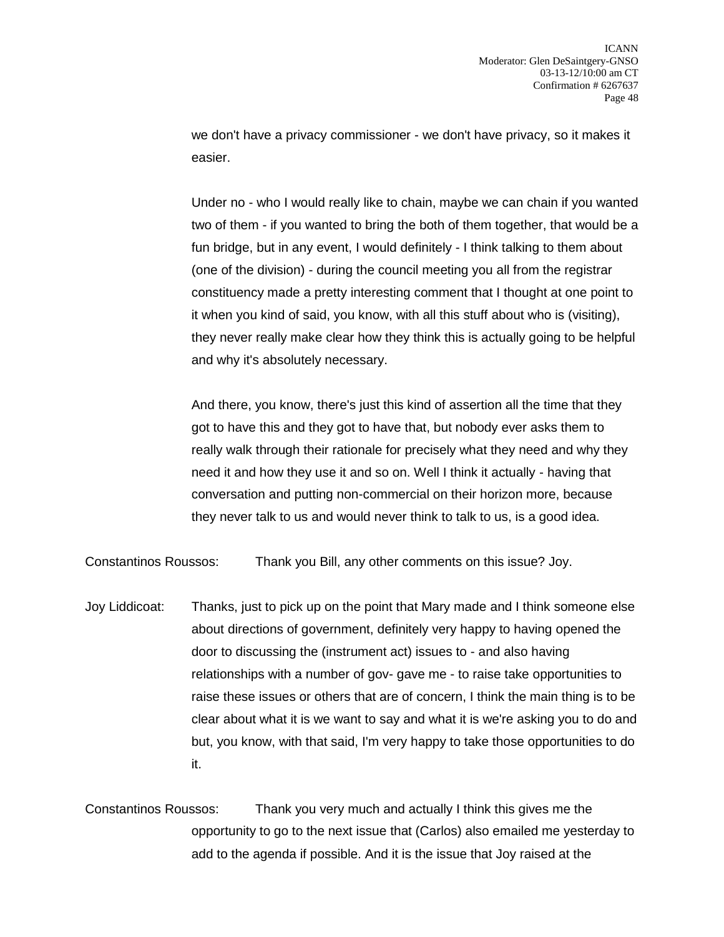we don't have a privacy commissioner - we don't have privacy, so it makes it easier.

Under no - who I would really like to chain, maybe we can chain if you wanted two of them - if you wanted to bring the both of them together, that would be a fun bridge, but in any event, I would definitely - I think talking to them about (one of the division) - during the council meeting you all from the registrar constituency made a pretty interesting comment that I thought at one point to it when you kind of said, you know, with all this stuff about who is (visiting), they never really make clear how they think this is actually going to be helpful and why it's absolutely necessary.

And there, you know, there's just this kind of assertion all the time that they got to have this and they got to have that, but nobody ever asks them to really walk through their rationale for precisely what they need and why they need it and how they use it and so on. Well I think it actually - having that conversation and putting non-commercial on their horizon more, because they never talk to us and would never think to talk to us, is a good idea.

Constantinos Roussos: Thank you Bill, any other comments on this issue? Joy.

Joy Liddicoat: Thanks, just to pick up on the point that Mary made and I think someone else about directions of government, definitely very happy to having opened the door to discussing the (instrument act) issues to - and also having relationships with a number of gov- gave me - to raise take opportunities to raise these issues or others that are of concern, I think the main thing is to be clear about what it is we want to say and what it is we're asking you to do and but, you know, with that said, I'm very happy to take those opportunities to do it.

Constantinos Roussos: Thank you very much and actually I think this gives me the opportunity to go to the next issue that (Carlos) also emailed me yesterday to add to the agenda if possible. And it is the issue that Joy raised at the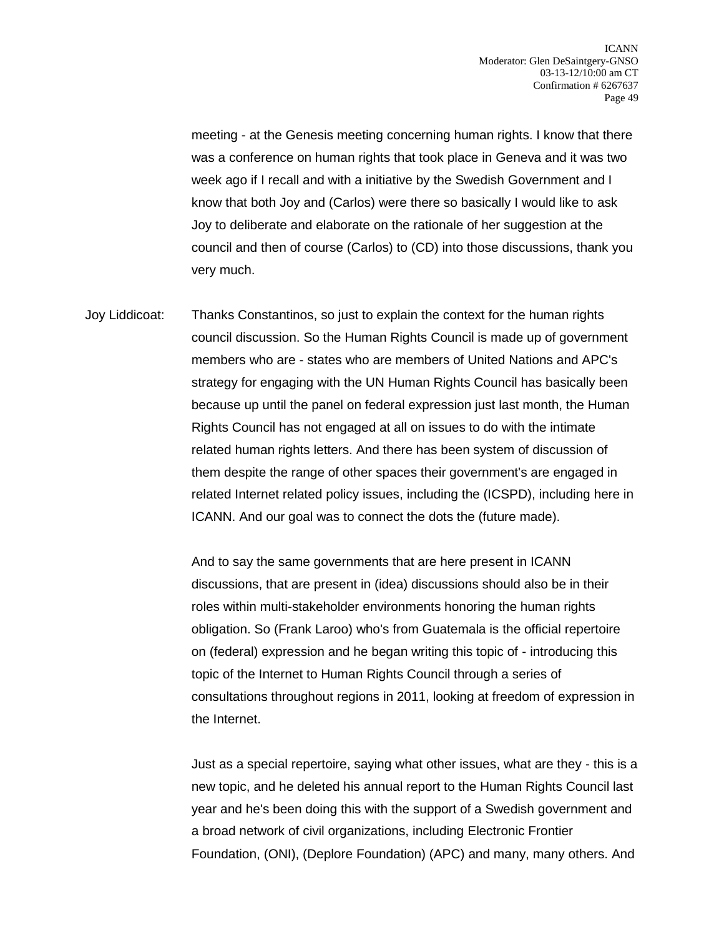meeting - at the Genesis meeting concerning human rights. I know that there was a conference on human rights that took place in Geneva and it was two week ago if I recall and with a initiative by the Swedish Government and I know that both Joy and (Carlos) were there so basically I would like to ask Joy to deliberate and elaborate on the rationale of her suggestion at the council and then of course (Carlos) to (CD) into those discussions, thank you very much.

Joy Liddicoat: Thanks Constantinos, so just to explain the context for the human rights council discussion. So the Human Rights Council is made up of government members who are - states who are members of United Nations and APC's strategy for engaging with the UN Human Rights Council has basically been because up until the panel on federal expression just last month, the Human Rights Council has not engaged at all on issues to do with the intimate related human rights letters. And there has been system of discussion of them despite the range of other spaces their government's are engaged in related Internet related policy issues, including the (ICSPD), including here in ICANN. And our goal was to connect the dots the (future made).

> And to say the same governments that are here present in ICANN discussions, that are present in (idea) discussions should also be in their roles within multi-stakeholder environments honoring the human rights obligation. So (Frank Laroo) who's from Guatemala is the official repertoire on (federal) expression and he began writing this topic of - introducing this topic of the Internet to Human Rights Council through a series of consultations throughout regions in 2011, looking at freedom of expression in the Internet.

> Just as a special repertoire, saying what other issues, what are they - this is a new topic, and he deleted his annual report to the Human Rights Council last year and he's been doing this with the support of a Swedish government and a broad network of civil organizations, including Electronic Frontier Foundation, (ONI), (Deplore Foundation) (APC) and many, many others. And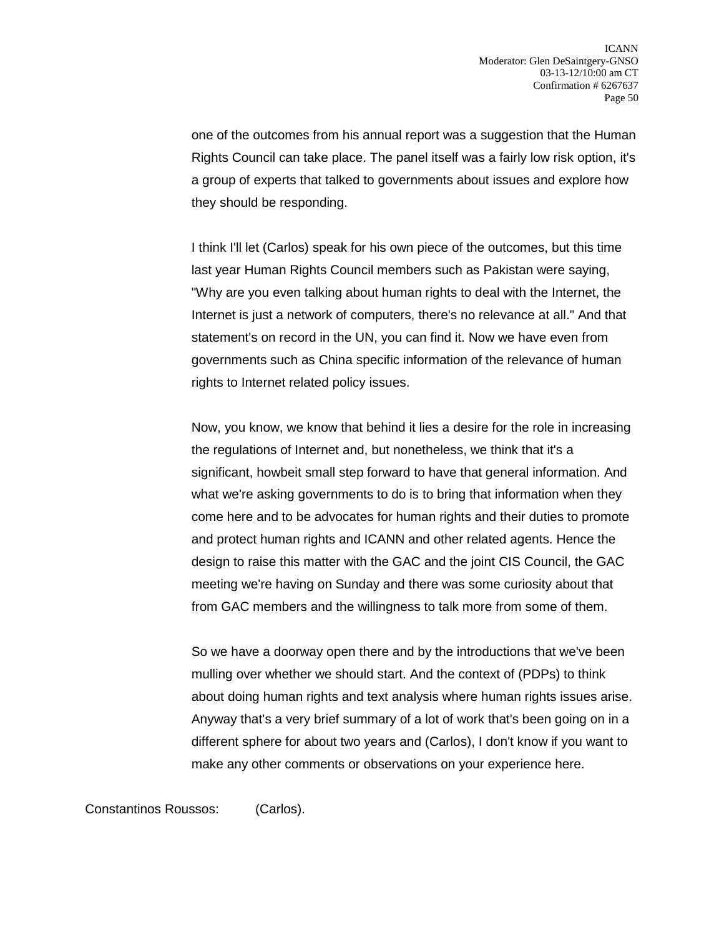one of the outcomes from his annual report was a suggestion that the Human Rights Council can take place. The panel itself was a fairly low risk option, it's a group of experts that talked to governments about issues and explore how they should be responding.

I think I'll let (Carlos) speak for his own piece of the outcomes, but this time last year Human Rights Council members such as Pakistan were saying, "Why are you even talking about human rights to deal with the Internet, the Internet is just a network of computers, there's no relevance at all." And that statement's on record in the UN, you can find it. Now we have even from governments such as China specific information of the relevance of human rights to Internet related policy issues.

Now, you know, we know that behind it lies a desire for the role in increasing the regulations of Internet and, but nonetheless, we think that it's a significant, howbeit small step forward to have that general information. And what we're asking governments to do is to bring that information when they come here and to be advocates for human rights and their duties to promote and protect human rights and ICANN and other related agents. Hence the design to raise this matter with the GAC and the joint CIS Council, the GAC meeting we're having on Sunday and there was some curiosity about that from GAC members and the willingness to talk more from some of them.

So we have a doorway open there and by the introductions that we've been mulling over whether we should start. And the context of (PDPs) to think about doing human rights and text analysis where human rights issues arise. Anyway that's a very brief summary of a lot of work that's been going on in a different sphere for about two years and (Carlos), I don't know if you want to make any other comments or observations on your experience here.

Constantinos Roussos: (Carlos).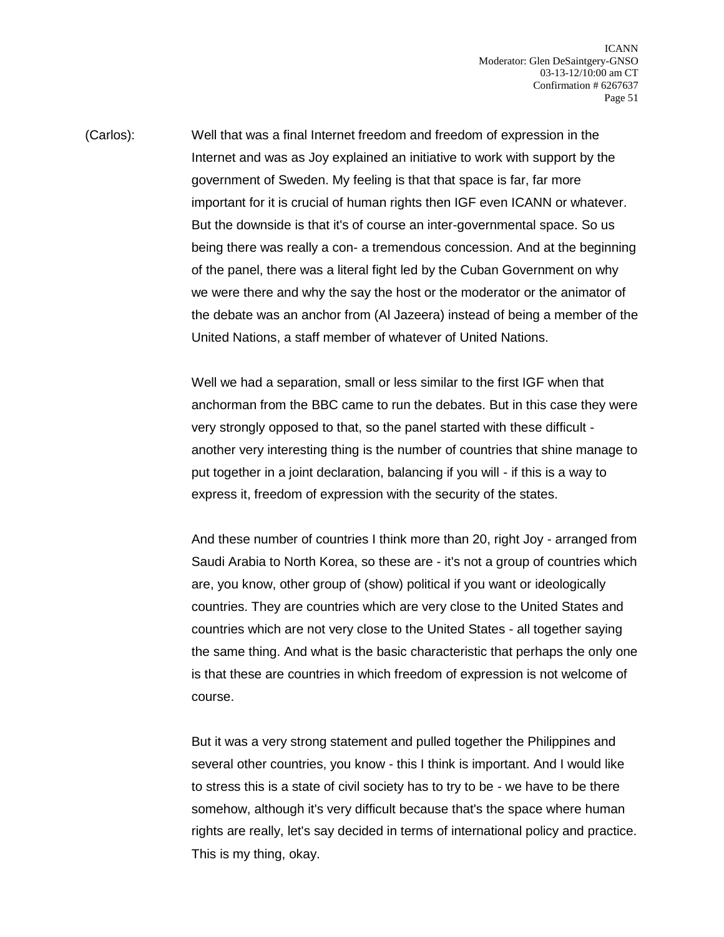(Carlos): Well that was a final Internet freedom and freedom of expression in the Internet and was as Joy explained an initiative to work with support by the government of Sweden. My feeling is that that space is far, far more important for it is crucial of human rights then IGF even ICANN or whatever. But the downside is that it's of course an inter-governmental space. So us being there was really a con- a tremendous concession. And at the beginning of the panel, there was a literal fight led by the Cuban Government on why we were there and why the say the host or the moderator or the animator of the debate was an anchor from (Al Jazeera) instead of being a member of the United Nations, a staff member of whatever of United Nations.

> Well we had a separation, small or less similar to the first IGF when that anchorman from the BBC came to run the debates. But in this case they were very strongly opposed to that, so the panel started with these difficult another very interesting thing is the number of countries that shine manage to put together in a joint declaration, balancing if you will - if this is a way to express it, freedom of expression with the security of the states.

> And these number of countries I think more than 20, right Joy - arranged from Saudi Arabia to North Korea, so these are - it's not a group of countries which are, you know, other group of (show) political if you want or ideologically countries. They are countries which are very close to the United States and countries which are not very close to the United States - all together saying the same thing. And what is the basic characteristic that perhaps the only one is that these are countries in which freedom of expression is not welcome of course.

> But it was a very strong statement and pulled together the Philippines and several other countries, you know - this I think is important. And I would like to stress this is a state of civil society has to try to be - we have to be there somehow, although it's very difficult because that's the space where human rights are really, let's say decided in terms of international policy and practice. This is my thing, okay.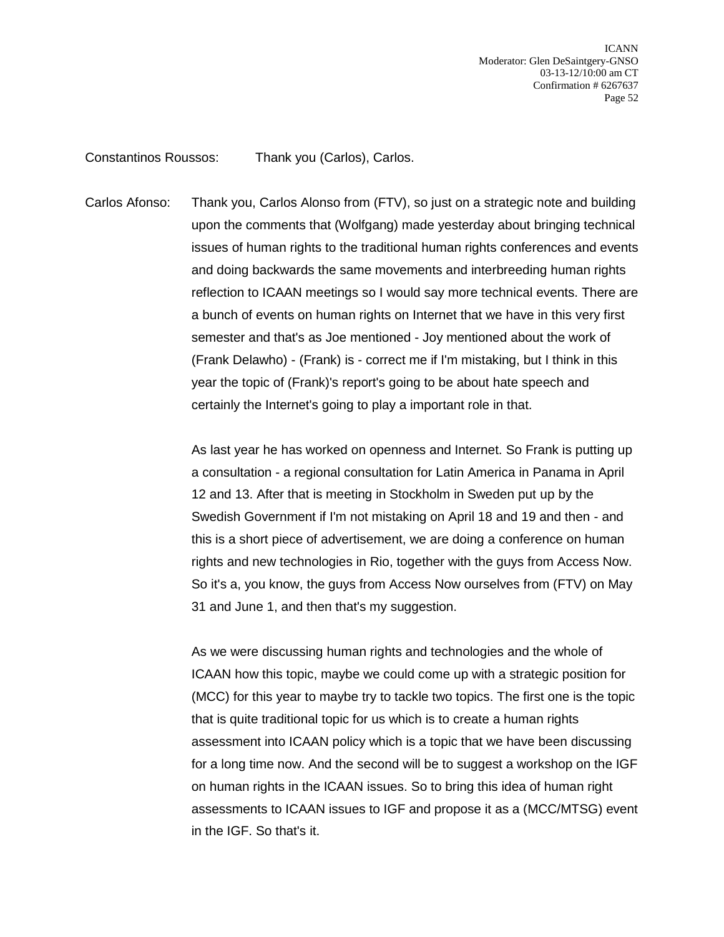Constantinos Roussos: Thank you (Carlos), Carlos.

Carlos Afonso: Thank you, Carlos Alonso from (FTV), so just on a strategic note and building upon the comments that (Wolfgang) made yesterday about bringing technical issues of human rights to the traditional human rights conferences and events and doing backwards the same movements and interbreeding human rights reflection to ICAAN meetings so I would say more technical events. There are a bunch of events on human rights on Internet that we have in this very first semester and that's as Joe mentioned - Joy mentioned about the work of (Frank Delawho) - (Frank) is - correct me if I'm mistaking, but I think in this year the topic of (Frank)'s report's going to be about hate speech and certainly the Internet's going to play a important role in that.

> As last year he has worked on openness and Internet. So Frank is putting up a consultation - a regional consultation for Latin America in Panama in April 12 and 13. After that is meeting in Stockholm in Sweden put up by the Swedish Government if I'm not mistaking on April 18 and 19 and then - and this is a short piece of advertisement, we are doing a conference on human rights and new technologies in Rio, together with the guys from Access Now. So it's a, you know, the guys from Access Now ourselves from (FTV) on May 31 and June 1, and then that's my suggestion.

As we were discussing human rights and technologies and the whole of ICAAN how this topic, maybe we could come up with a strategic position for (MCC) for this year to maybe try to tackle two topics. The first one is the topic that is quite traditional topic for us which is to create a human rights assessment into ICAAN policy which is a topic that we have been discussing for a long time now. And the second will be to suggest a workshop on the IGF on human rights in the ICAAN issues. So to bring this idea of human right assessments to ICAAN issues to IGF and propose it as a (MCC/MTSG) event in the IGF. So that's it.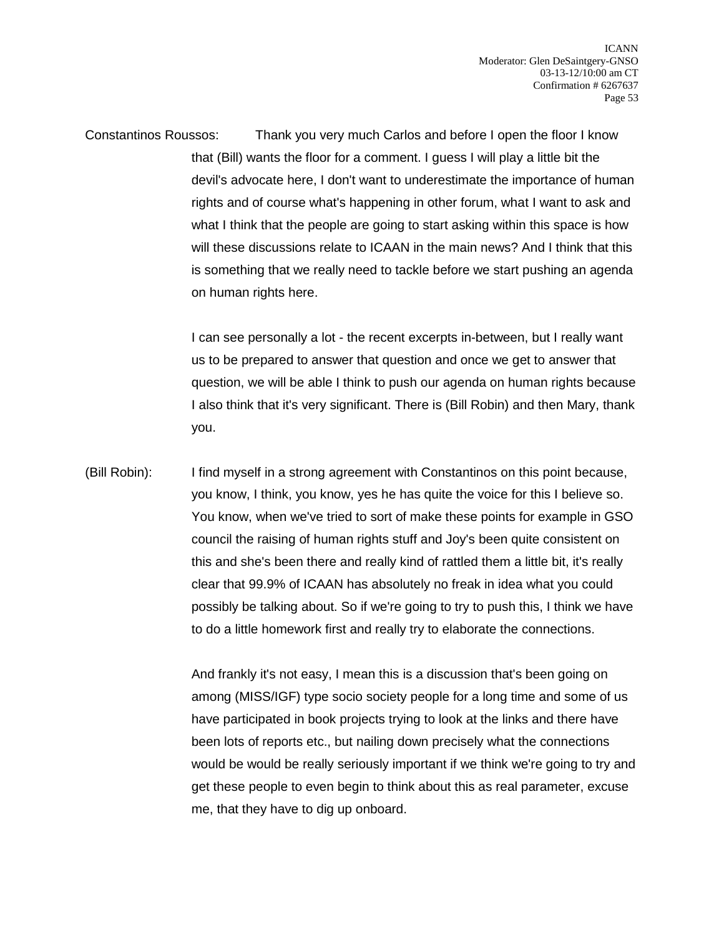Constantinos Roussos: Thank you very much Carlos and before I open the floor I know that (Bill) wants the floor for a comment. I guess I will play a little bit the devil's advocate here, I don't want to underestimate the importance of human rights and of course what's happening in other forum, what I want to ask and what I think that the people are going to start asking within this space is how will these discussions relate to ICAAN in the main news? And I think that this is something that we really need to tackle before we start pushing an agenda on human rights here.

> I can see personally a lot - the recent excerpts in-between, but I really want us to be prepared to answer that question and once we get to answer that question, we will be able I think to push our agenda on human rights because I also think that it's very significant. There is (Bill Robin) and then Mary, thank you.

(Bill Robin): I find myself in a strong agreement with Constantinos on this point because, you know, I think, you know, yes he has quite the voice for this I believe so. You know, when we've tried to sort of make these points for example in GSO council the raising of human rights stuff and Joy's been quite consistent on this and she's been there and really kind of rattled them a little bit, it's really clear that 99.9% of ICAAN has absolutely no freak in idea what you could possibly be talking about. So if we're going to try to push this, I think we have to do a little homework first and really try to elaborate the connections.

> And frankly it's not easy, I mean this is a discussion that's been going on among (MISS/IGF) type socio society people for a long time and some of us have participated in book projects trying to look at the links and there have been lots of reports etc., but nailing down precisely what the connections would be would be really seriously important if we think we're going to try and get these people to even begin to think about this as real parameter, excuse me, that they have to dig up onboard.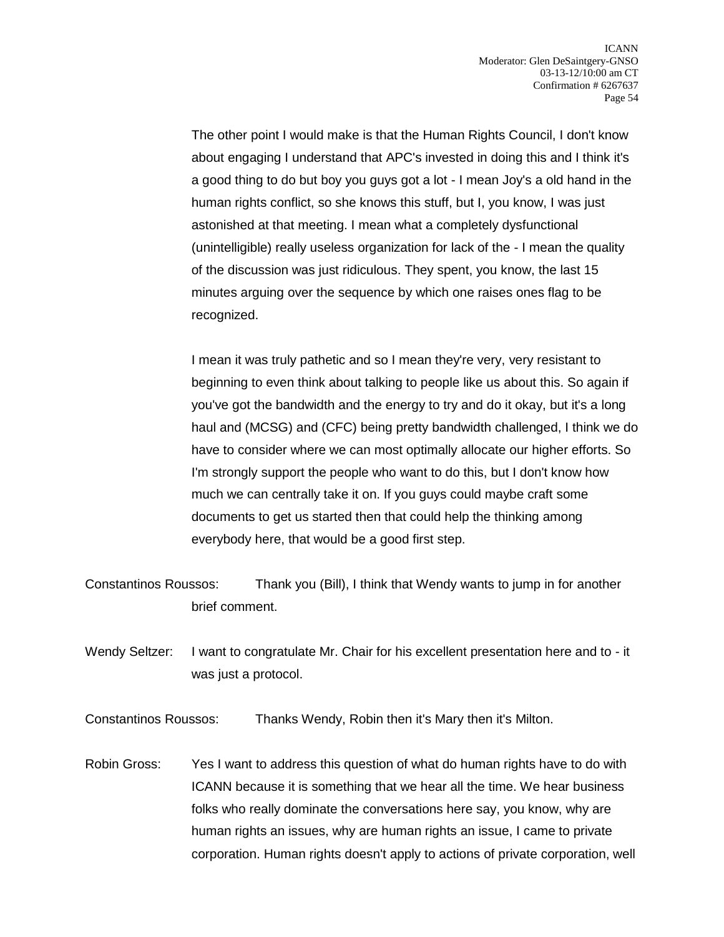The other point I would make is that the Human Rights Council, I don't know about engaging I understand that APC's invested in doing this and I think it's a good thing to do but boy you guys got a lot - I mean Joy's a old hand in the human rights conflict, so she knows this stuff, but I, you know, I was just astonished at that meeting. I mean what a completely dysfunctional (unintelligible) really useless organization for lack of the - I mean the quality of the discussion was just ridiculous. They spent, you know, the last 15 minutes arguing over the sequence by which one raises ones flag to be recognized.

I mean it was truly pathetic and so I mean they're very, very resistant to beginning to even think about talking to people like us about this. So again if you've got the bandwidth and the energy to try and do it okay, but it's a long haul and (MCSG) and (CFC) being pretty bandwidth challenged, I think we do have to consider where we can most optimally allocate our higher efforts. So I'm strongly support the people who want to do this, but I don't know how much we can centrally take it on. If you guys could maybe craft some documents to get us started then that could help the thinking among everybody here, that would be a good first step.

- Constantinos Roussos: Thank you (Bill), I think that Wendy wants to jump in for another brief comment.
- Wendy Seltzer: I want to congratulate Mr. Chair for his excellent presentation here and to it was just a protocol.

Constantinos Roussos: Thanks Wendy, Robin then it's Mary then it's Milton.

Robin Gross: Yes I want to address this question of what do human rights have to do with ICANN because it is something that we hear all the time. We hear business folks who really dominate the conversations here say, you know, why are human rights an issues, why are human rights an issue, I came to private corporation. Human rights doesn't apply to actions of private corporation, well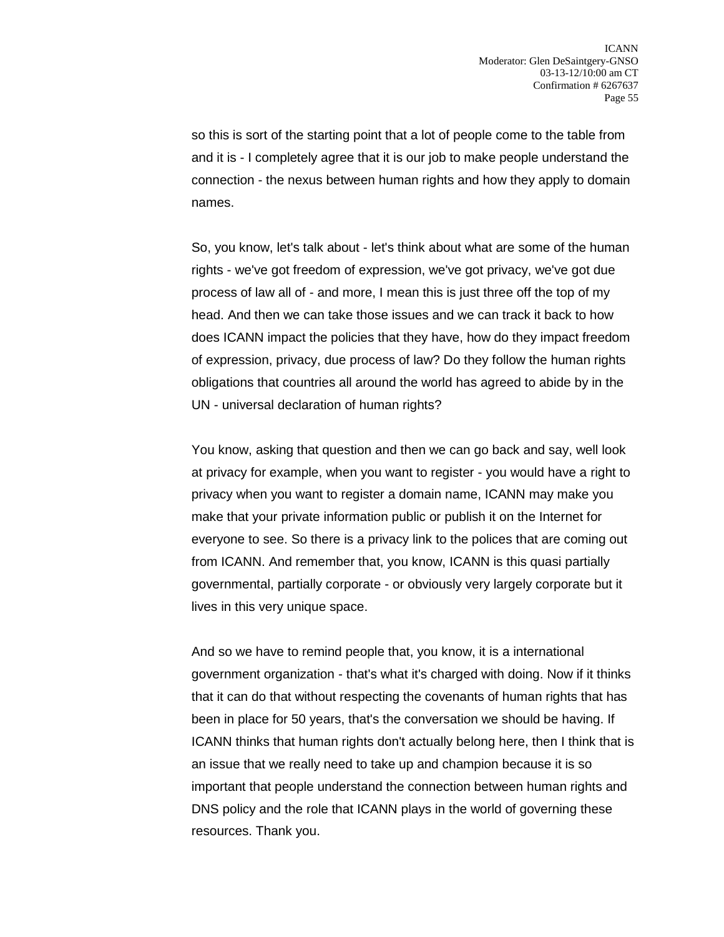so this is sort of the starting point that a lot of people come to the table from and it is - I completely agree that it is our job to make people understand the connection - the nexus between human rights and how they apply to domain names.

So, you know, let's talk about - let's think about what are some of the human rights - we've got freedom of expression, we've got privacy, we've got due process of law all of - and more, I mean this is just three off the top of my head. And then we can take those issues and we can track it back to how does ICANN impact the policies that they have, how do they impact freedom of expression, privacy, due process of law? Do they follow the human rights obligations that countries all around the world has agreed to abide by in the UN - universal declaration of human rights?

You know, asking that question and then we can go back and say, well look at privacy for example, when you want to register - you would have a right to privacy when you want to register a domain name, ICANN may make you make that your private information public or publish it on the Internet for everyone to see. So there is a privacy link to the polices that are coming out from ICANN. And remember that, you know, ICANN is this quasi partially governmental, partially corporate - or obviously very largely corporate but it lives in this very unique space.

And so we have to remind people that, you know, it is a international government organization - that's what it's charged with doing. Now if it thinks that it can do that without respecting the covenants of human rights that has been in place for 50 years, that's the conversation we should be having. If ICANN thinks that human rights don't actually belong here, then I think that is an issue that we really need to take up and champion because it is so important that people understand the connection between human rights and DNS policy and the role that ICANN plays in the world of governing these resources. Thank you.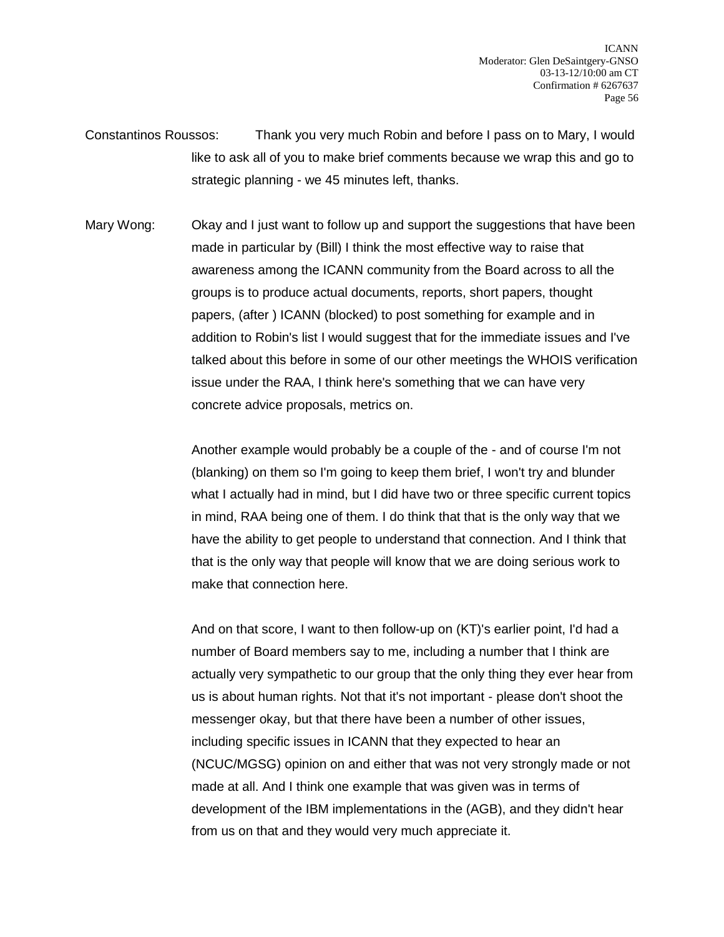Constantinos Roussos: Thank you very much Robin and before I pass on to Mary, I would like to ask all of you to make brief comments because we wrap this and go to strategic planning - we 45 minutes left, thanks.

Mary Wong: Okay and I just want to follow up and support the suggestions that have been made in particular by (Bill) I think the most effective way to raise that awareness among the ICANN community from the Board across to all the groups is to produce actual documents, reports, short papers, thought papers, (after ) ICANN (blocked) to post something for example and in addition to Robin's list I would suggest that for the immediate issues and I've talked about this before in some of our other meetings the WHOIS verification issue under the RAA, I think here's something that we can have very concrete advice proposals, metrics on.

> Another example would probably be a couple of the - and of course I'm not (blanking) on them so I'm going to keep them brief, I won't try and blunder what I actually had in mind, but I did have two or three specific current topics in mind, RAA being one of them. I do think that that is the only way that we have the ability to get people to understand that connection. And I think that that is the only way that people will know that we are doing serious work to make that connection here.

> And on that score, I want to then follow-up on (KT)'s earlier point, I'd had a number of Board members say to me, including a number that I think are actually very sympathetic to our group that the only thing they ever hear from us is about human rights. Not that it's not important - please don't shoot the messenger okay, but that there have been a number of other issues, including specific issues in ICANN that they expected to hear an (NCUC/MGSG) opinion on and either that was not very strongly made or not made at all. And I think one example that was given was in terms of development of the IBM implementations in the (AGB), and they didn't hear from us on that and they would very much appreciate it.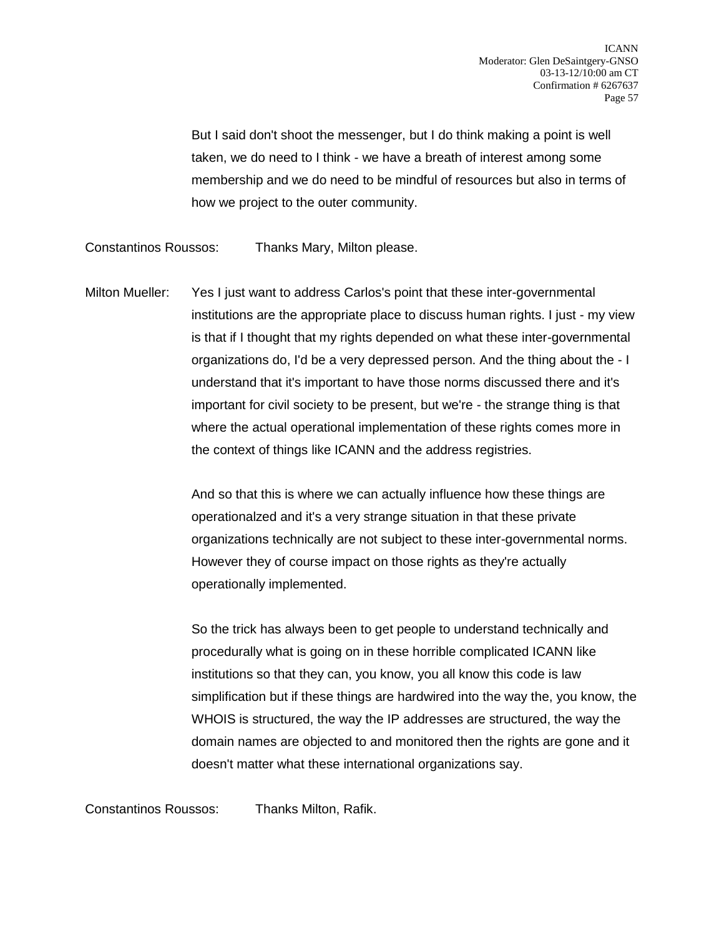But I said don't shoot the messenger, but I do think making a point is well taken, we do need to I think - we have a breath of interest among some membership and we do need to be mindful of resources but also in terms of how we project to the outer community.

Constantinos Roussos: Thanks Mary, Milton please.

Milton Mueller: Yes I just want to address Carlos's point that these inter-governmental institutions are the appropriate place to discuss human rights. I just - my view is that if I thought that my rights depended on what these inter-governmental organizations do, I'd be a very depressed person. And the thing about the - I understand that it's important to have those norms discussed there and it's important for civil society to be present, but we're - the strange thing is that where the actual operational implementation of these rights comes more in the context of things like ICANN and the address registries.

> And so that this is where we can actually influence how these things are operationalzed and it's a very strange situation in that these private organizations technically are not subject to these inter-governmental norms. However they of course impact on those rights as they're actually operationally implemented.

So the trick has always been to get people to understand technically and procedurally what is going on in these horrible complicated ICANN like institutions so that they can, you know, you all know this code is law simplification but if these things are hardwired into the way the, you know, the WHOIS is structured, the way the IP addresses are structured, the way the domain names are objected to and monitored then the rights are gone and it doesn't matter what these international organizations say.

Constantinos Roussos: Thanks Milton, Rafik.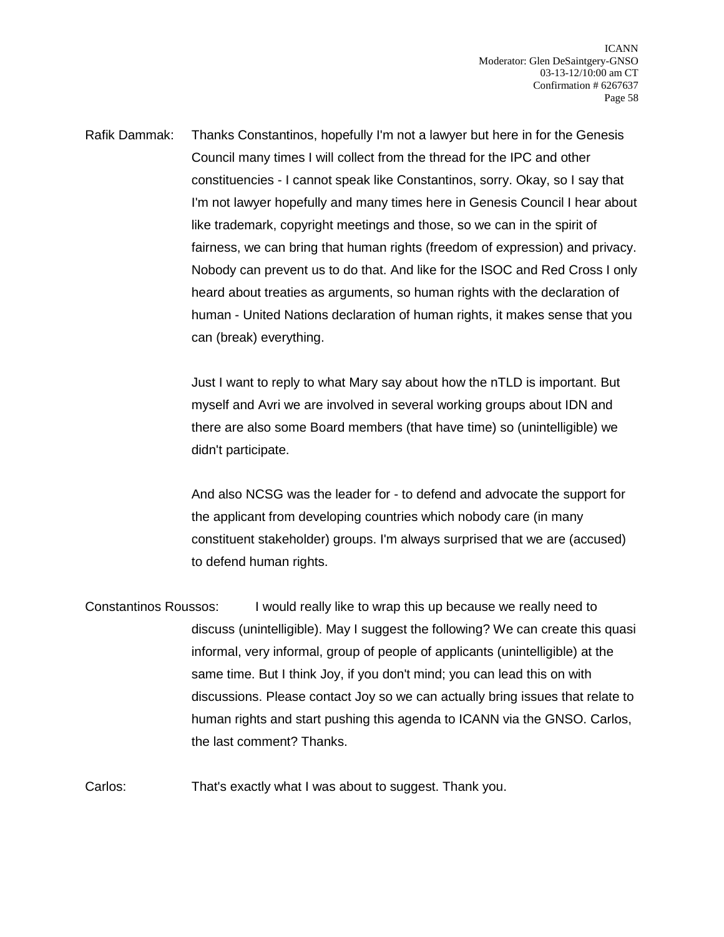Rafik Dammak: Thanks Constantinos, hopefully I'm not a lawyer but here in for the Genesis Council many times I will collect from the thread for the IPC and other constituencies - I cannot speak like Constantinos, sorry. Okay, so I say that I'm not lawyer hopefully and many times here in Genesis Council I hear about like trademark, copyright meetings and those, so we can in the spirit of fairness, we can bring that human rights (freedom of expression) and privacy. Nobody can prevent us to do that. And like for the ISOC and Red Cross I only heard about treaties as arguments, so human rights with the declaration of human - United Nations declaration of human rights, it makes sense that you can (break) everything.

> Just I want to reply to what Mary say about how the nTLD is important. But myself and Avri we are involved in several working groups about IDN and there are also some Board members (that have time) so (unintelligible) we didn't participate.

> And also NCSG was the leader for - to defend and advocate the support for the applicant from developing countries which nobody care (in many constituent stakeholder) groups. I'm always surprised that we are (accused) to defend human rights.

Constantinos Roussos: I would really like to wrap this up because we really need to discuss (unintelligible). May I suggest the following? We can create this quasi informal, very informal, group of people of applicants (unintelligible) at the same time. But I think Joy, if you don't mind; you can lead this on with discussions. Please contact Joy so we can actually bring issues that relate to human rights and start pushing this agenda to ICANN via the GNSO. Carlos, the last comment? Thanks.

Carlos: That's exactly what I was about to suggest. Thank you.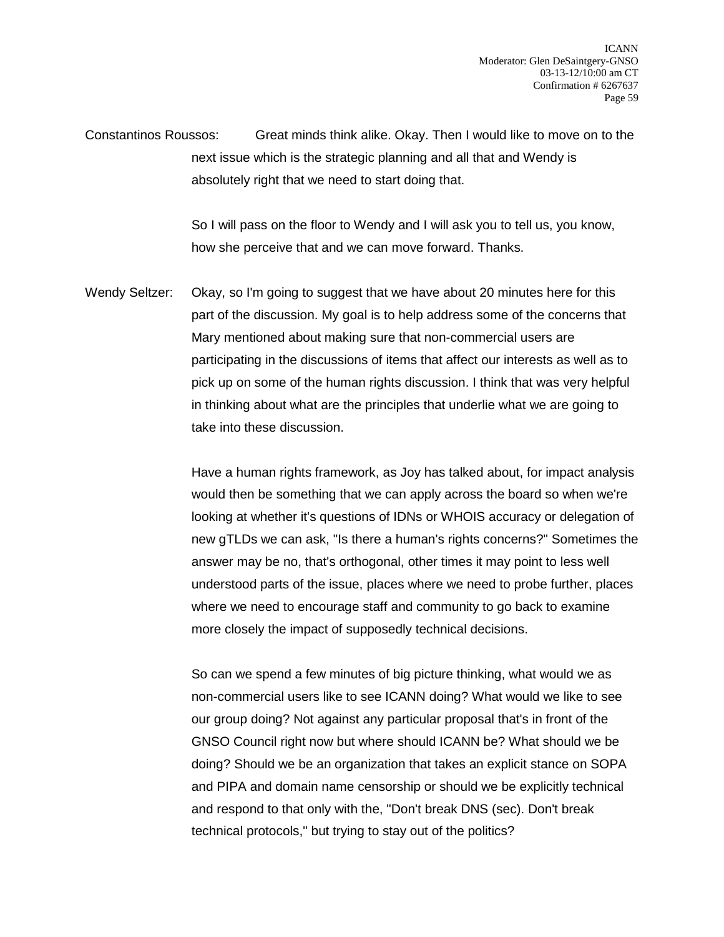Constantinos Roussos: Great minds think alike. Okay. Then I would like to move on to the next issue which is the strategic planning and all that and Wendy is absolutely right that we need to start doing that.

> So I will pass on the floor to Wendy and I will ask you to tell us, you know, how she perceive that and we can move forward. Thanks.

Wendy Seltzer: Okay, so I'm going to suggest that we have about 20 minutes here for this part of the discussion. My goal is to help address some of the concerns that Mary mentioned about making sure that non-commercial users are participating in the discussions of items that affect our interests as well as to pick up on some of the human rights discussion. I think that was very helpful in thinking about what are the principles that underlie what we are going to take into these discussion.

> Have a human rights framework, as Joy has talked about, for impact analysis would then be something that we can apply across the board so when we're looking at whether it's questions of IDNs or WHOIS accuracy or delegation of new gTLDs we can ask, "Is there a human's rights concerns?" Sometimes the answer may be no, that's orthogonal, other times it may point to less well understood parts of the issue, places where we need to probe further, places where we need to encourage staff and community to go back to examine more closely the impact of supposedly technical decisions.

So can we spend a few minutes of big picture thinking, what would we as non-commercial users like to see ICANN doing? What would we like to see our group doing? Not against any particular proposal that's in front of the GNSO Council right now but where should ICANN be? What should we be doing? Should we be an organization that takes an explicit stance on SOPA and PIPA and domain name censorship or should we be explicitly technical and respond to that only with the, "Don't break DNS (sec). Don't break technical protocols," but trying to stay out of the politics?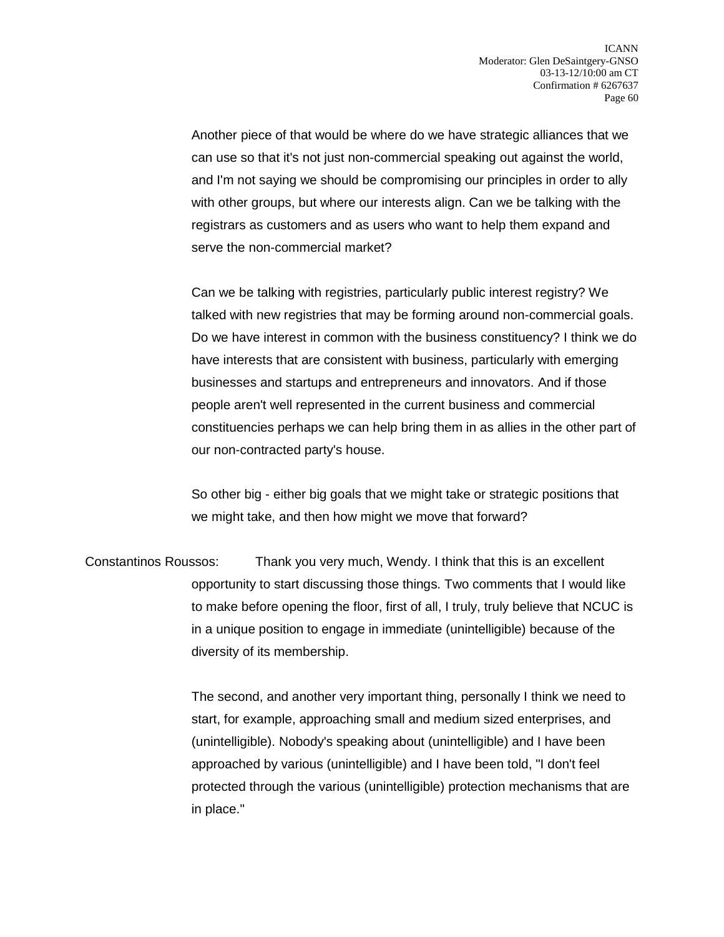Another piece of that would be where do we have strategic alliances that we can use so that it's not just non-commercial speaking out against the world, and I'm not saying we should be compromising our principles in order to ally with other groups, but where our interests align. Can we be talking with the registrars as customers and as users who want to help them expand and serve the non-commercial market?

Can we be talking with registries, particularly public interest registry? We talked with new registries that may be forming around non-commercial goals. Do we have interest in common with the business constituency? I think we do have interests that are consistent with business, particularly with emerging businesses and startups and entrepreneurs and innovators. And if those people aren't well represented in the current business and commercial constituencies perhaps we can help bring them in as allies in the other part of our non-contracted party's house.

So other big - either big goals that we might take or strategic positions that we might take, and then how might we move that forward?

Constantinos Roussos: Thank you very much, Wendy. I think that this is an excellent opportunity to start discussing those things. Two comments that I would like to make before opening the floor, first of all, I truly, truly believe that NCUC is in a unique position to engage in immediate (unintelligible) because of the diversity of its membership.

> The second, and another very important thing, personally I think we need to start, for example, approaching small and medium sized enterprises, and (unintelligible). Nobody's speaking about (unintelligible) and I have been approached by various (unintelligible) and I have been told, "I don't feel protected through the various (unintelligible) protection mechanisms that are in place."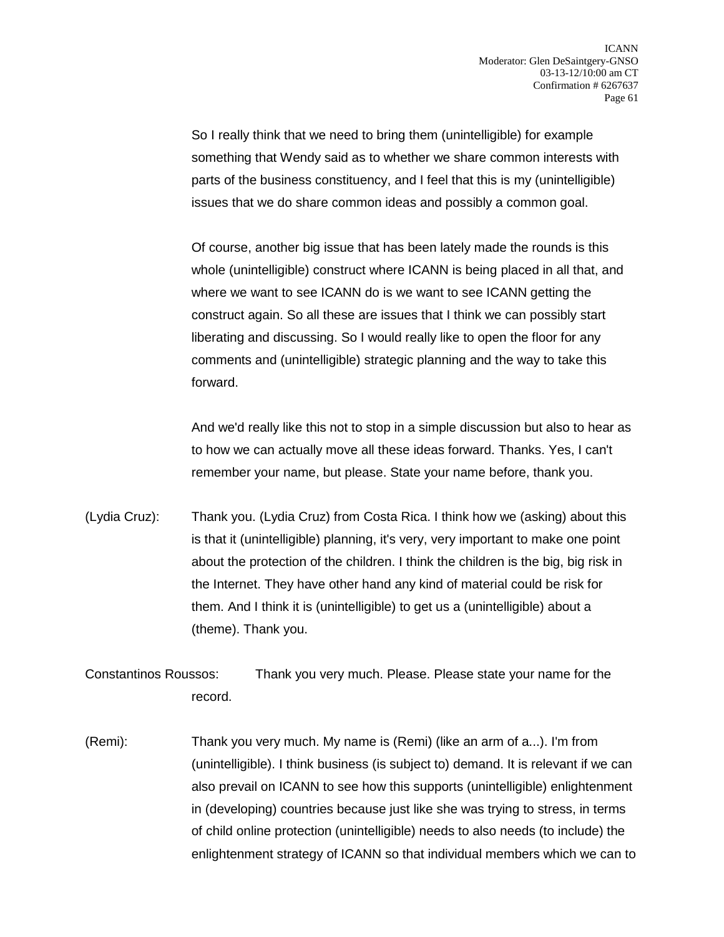So I really think that we need to bring them (unintelligible) for example something that Wendy said as to whether we share common interests with parts of the business constituency, and I feel that this is my (unintelligible) issues that we do share common ideas and possibly a common goal.

Of course, another big issue that has been lately made the rounds is this whole (unintelligible) construct where ICANN is being placed in all that, and where we want to see ICANN do is we want to see ICANN getting the construct again. So all these are issues that I think we can possibly start liberating and discussing. So I would really like to open the floor for any comments and (unintelligible) strategic planning and the way to take this forward.

And we'd really like this not to stop in a simple discussion but also to hear as to how we can actually move all these ideas forward. Thanks. Yes, I can't remember your name, but please. State your name before, thank you.

(Lydia Cruz): Thank you. (Lydia Cruz) from Costa Rica. I think how we (asking) about this is that it (unintelligible) planning, it's very, very important to make one point about the protection of the children. I think the children is the big, big risk in the Internet. They have other hand any kind of material could be risk for them. And I think it is (unintelligible) to get us a (unintelligible) about a (theme). Thank you.

Constantinos Roussos: Thank you very much. Please. Please state your name for the record.

(Remi): Thank you very much. My name is (Remi) (like an arm of a...). I'm from (unintelligible). I think business (is subject to) demand. It is relevant if we can also prevail on ICANN to see how this supports (unintelligible) enlightenment in (developing) countries because just like she was trying to stress, in terms of child online protection (unintelligible) needs to also needs (to include) the enlightenment strategy of ICANN so that individual members which we can to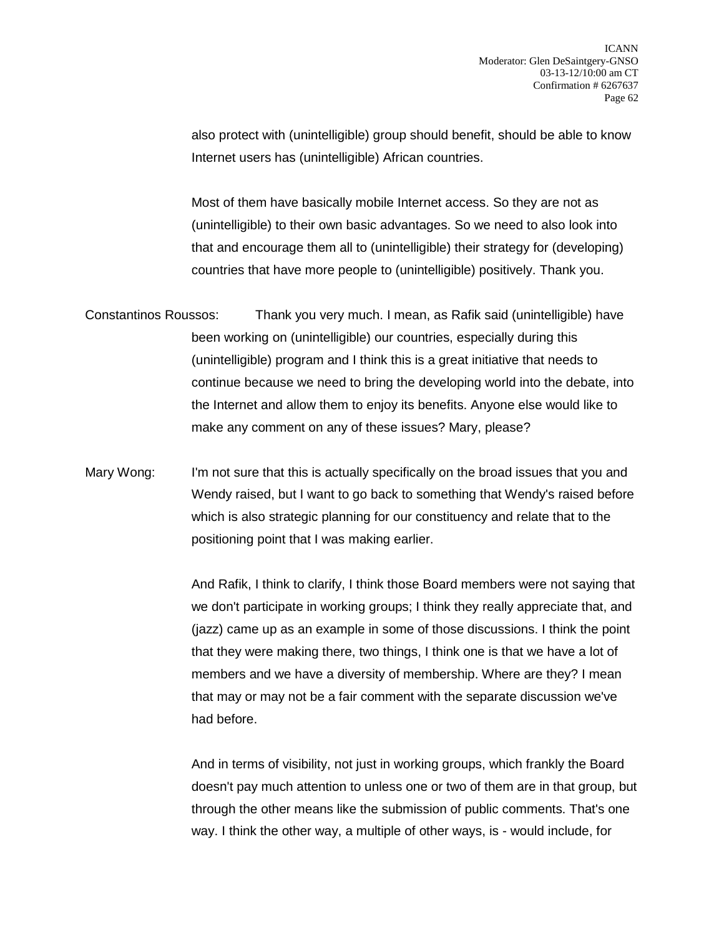also protect with (unintelligible) group should benefit, should be able to know Internet users has (unintelligible) African countries.

Most of them have basically mobile Internet access. So they are not as (unintelligible) to their own basic advantages. So we need to also look into that and encourage them all to (unintelligible) their strategy for (developing) countries that have more people to (unintelligible) positively. Thank you.

- Constantinos Roussos: Thank you very much. I mean, as Rafik said (unintelligible) have been working on (unintelligible) our countries, especially during this (unintelligible) program and I think this is a great initiative that needs to continue because we need to bring the developing world into the debate, into the Internet and allow them to enjoy its benefits. Anyone else would like to make any comment on any of these issues? Mary, please?
- Mary Wong: I'm not sure that this is actually specifically on the broad issues that you and Wendy raised, but I want to go back to something that Wendy's raised before which is also strategic planning for our constituency and relate that to the positioning point that I was making earlier.

And Rafik, I think to clarify, I think those Board members were not saying that we don't participate in working groups; I think they really appreciate that, and (jazz) came up as an example in some of those discussions. I think the point that they were making there, two things, I think one is that we have a lot of members and we have a diversity of membership. Where are they? I mean that may or may not be a fair comment with the separate discussion we've had before.

And in terms of visibility, not just in working groups, which frankly the Board doesn't pay much attention to unless one or two of them are in that group, but through the other means like the submission of public comments. That's one way. I think the other way, a multiple of other ways, is - would include, for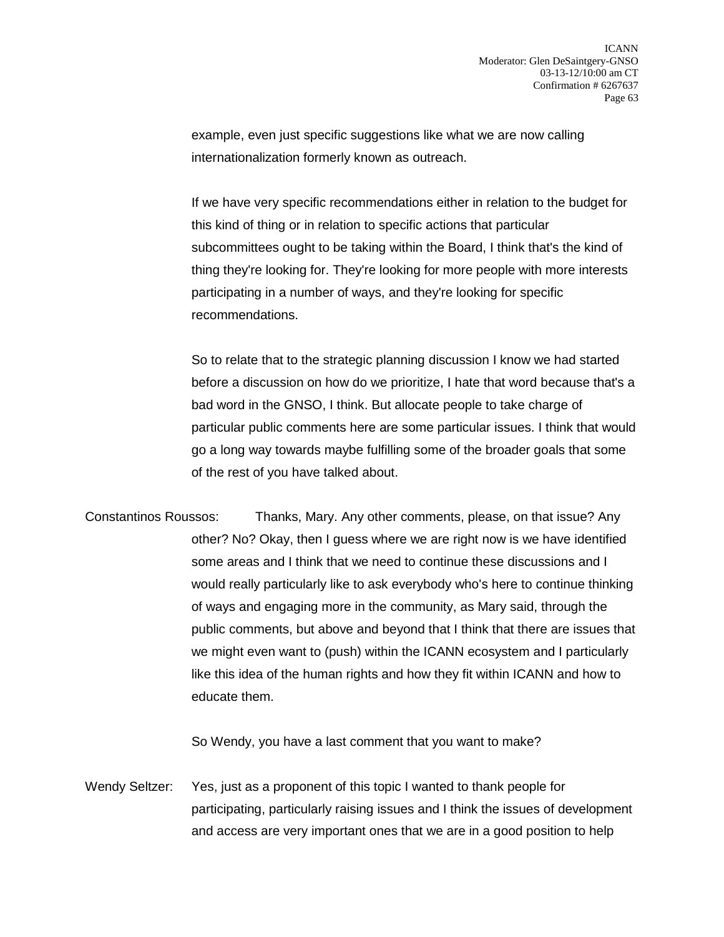example, even just specific suggestions like what we are now calling internationalization formerly known as outreach.

If we have very specific recommendations either in relation to the budget for this kind of thing or in relation to specific actions that particular subcommittees ought to be taking within the Board, I think that's the kind of thing they're looking for. They're looking for more people with more interests participating in a number of ways, and they're looking for specific recommendations.

So to relate that to the strategic planning discussion I know we had started before a discussion on how do we prioritize, I hate that word because that's a bad word in the GNSO, I think. But allocate people to take charge of particular public comments here are some particular issues. I think that would go a long way towards maybe fulfilling some of the broader goals that some of the rest of you have talked about.

Constantinos Roussos: Thanks, Mary. Any other comments, please, on that issue? Any other? No? Okay, then I guess where we are right now is we have identified some areas and I think that we need to continue these discussions and I would really particularly like to ask everybody who's here to continue thinking of ways and engaging more in the community, as Mary said, through the public comments, but above and beyond that I think that there are issues that we might even want to (push) within the ICANN ecosystem and I particularly like this idea of the human rights and how they fit within ICANN and how to educate them.

So Wendy, you have a last comment that you want to make?

Wendy Seltzer: Yes, just as a proponent of this topic I wanted to thank people for participating, particularly raising issues and I think the issues of development and access are very important ones that we are in a good position to help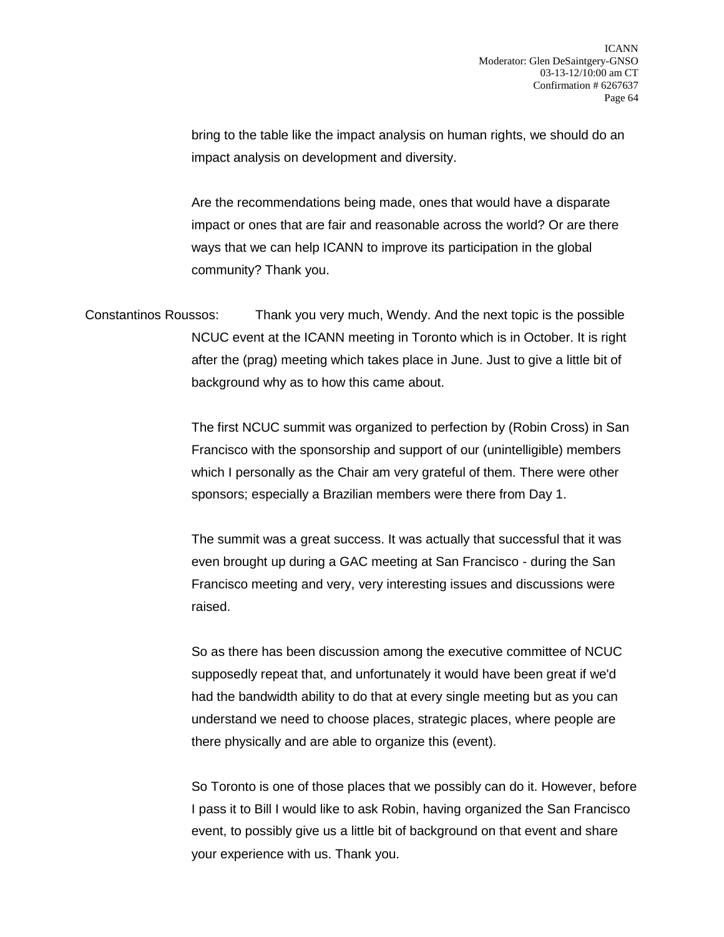bring to the table like the impact analysis on human rights, we should do an impact analysis on development and diversity.

Are the recommendations being made, ones that would have a disparate impact or ones that are fair and reasonable across the world? Or are there ways that we can help ICANN to improve its participation in the global community? Thank you.

Constantinos Roussos: Thank you very much, Wendy. And the next topic is the possible NCUC event at the ICANN meeting in Toronto which is in October. It is right after the (prag) meeting which takes place in June. Just to give a little bit of background why as to how this came about.

> The first NCUC summit was organized to perfection by (Robin Cross) in San Francisco with the sponsorship and support of our (unintelligible) members which I personally as the Chair am very grateful of them. There were other sponsors; especially a Brazilian members were there from Day 1.

The summit was a great success. It was actually that successful that it was even brought up during a GAC meeting at San Francisco - during the San Francisco meeting and very, very interesting issues and discussions were raised.

So as there has been discussion among the executive committee of NCUC supposedly repeat that, and unfortunately it would have been great if we'd had the bandwidth ability to do that at every single meeting but as you can understand we need to choose places, strategic places, where people are there physically and are able to organize this (event).

So Toronto is one of those places that we possibly can do it. However, before I pass it to Bill I would like to ask Robin, having organized the San Francisco event, to possibly give us a little bit of background on that event and share your experience with us. Thank you.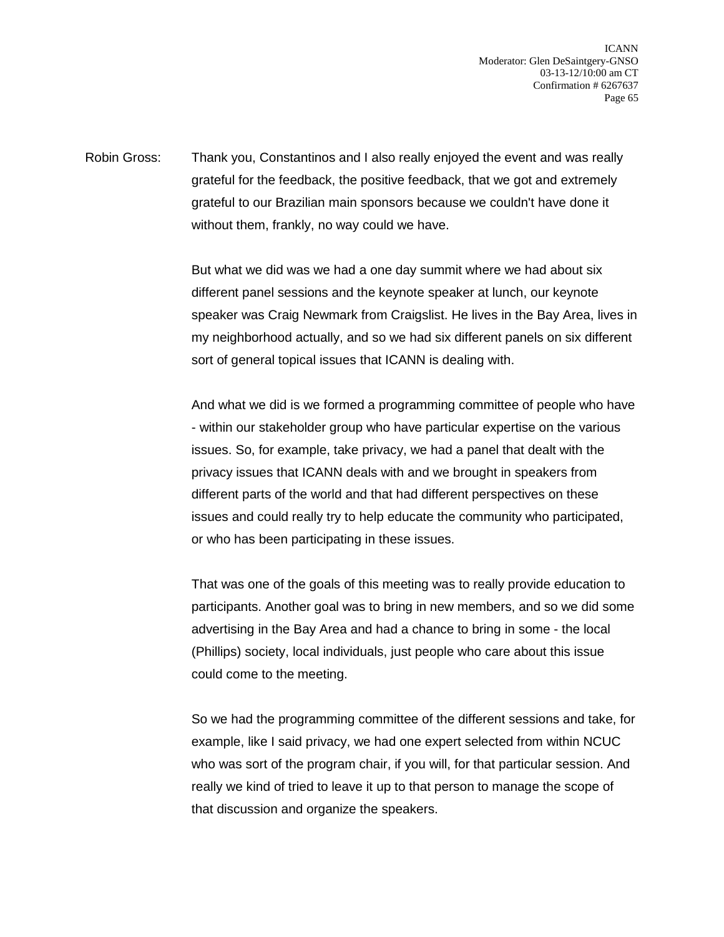Robin Gross: Thank you, Constantinos and I also really enjoyed the event and was really grateful for the feedback, the positive feedback, that we got and extremely grateful to our Brazilian main sponsors because we couldn't have done it without them, frankly, no way could we have.

> But what we did was we had a one day summit where we had about six different panel sessions and the keynote speaker at lunch, our keynote speaker was Craig Newmark from Craigslist. He lives in the Bay Area, lives in my neighborhood actually, and so we had six different panels on six different sort of general topical issues that ICANN is dealing with.

> And what we did is we formed a programming committee of people who have - within our stakeholder group who have particular expertise on the various issues. So, for example, take privacy, we had a panel that dealt with the privacy issues that ICANN deals with and we brought in speakers from different parts of the world and that had different perspectives on these issues and could really try to help educate the community who participated, or who has been participating in these issues.

> That was one of the goals of this meeting was to really provide education to participants. Another goal was to bring in new members, and so we did some advertising in the Bay Area and had a chance to bring in some - the local (Phillips) society, local individuals, just people who care about this issue could come to the meeting.

> So we had the programming committee of the different sessions and take, for example, like I said privacy, we had one expert selected from within NCUC who was sort of the program chair, if you will, for that particular session. And really we kind of tried to leave it up to that person to manage the scope of that discussion and organize the speakers.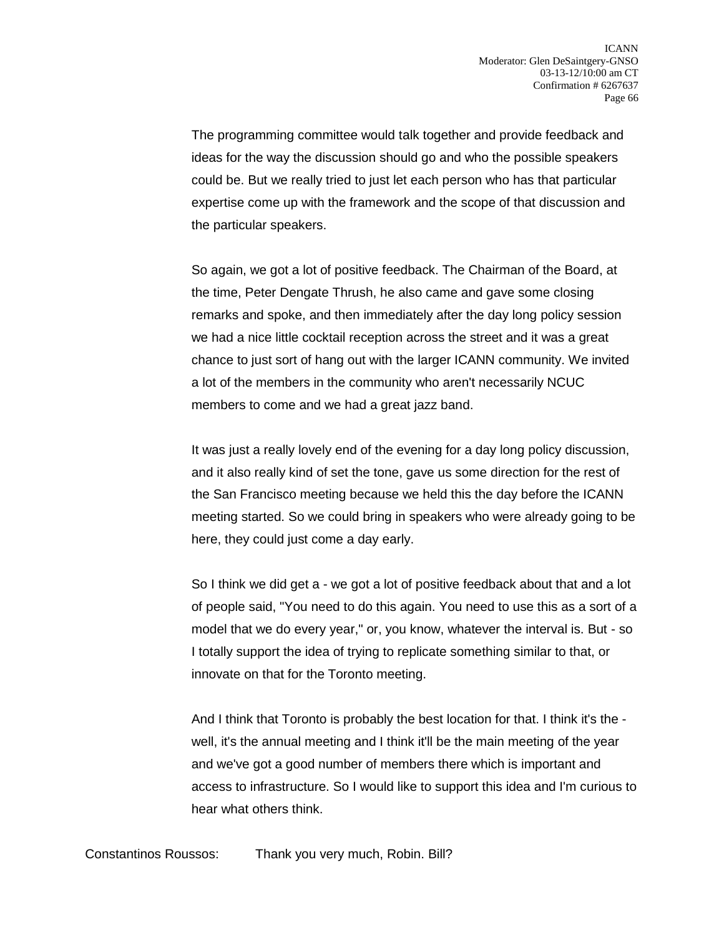The programming committee would talk together and provide feedback and ideas for the way the discussion should go and who the possible speakers could be. But we really tried to just let each person who has that particular expertise come up with the framework and the scope of that discussion and the particular speakers.

So again, we got a lot of positive feedback. The Chairman of the Board, at the time, Peter Dengate Thrush, he also came and gave some closing remarks and spoke, and then immediately after the day long policy session we had a nice little cocktail reception across the street and it was a great chance to just sort of hang out with the larger ICANN community. We invited a lot of the members in the community who aren't necessarily NCUC members to come and we had a great jazz band.

It was just a really lovely end of the evening for a day long policy discussion, and it also really kind of set the tone, gave us some direction for the rest of the San Francisco meeting because we held this the day before the ICANN meeting started. So we could bring in speakers who were already going to be here, they could just come a day early.

So I think we did get a - we got a lot of positive feedback about that and a lot of people said, "You need to do this again. You need to use this as a sort of a model that we do every year," or, you know, whatever the interval is. But - so I totally support the idea of trying to replicate something similar to that, or innovate on that for the Toronto meeting.

And I think that Toronto is probably the best location for that. I think it's the well, it's the annual meeting and I think it'll be the main meeting of the year and we've got a good number of members there which is important and access to infrastructure. So I would like to support this idea and I'm curious to hear what others think.

Constantinos Roussos: Thank you very much, Robin. Bill?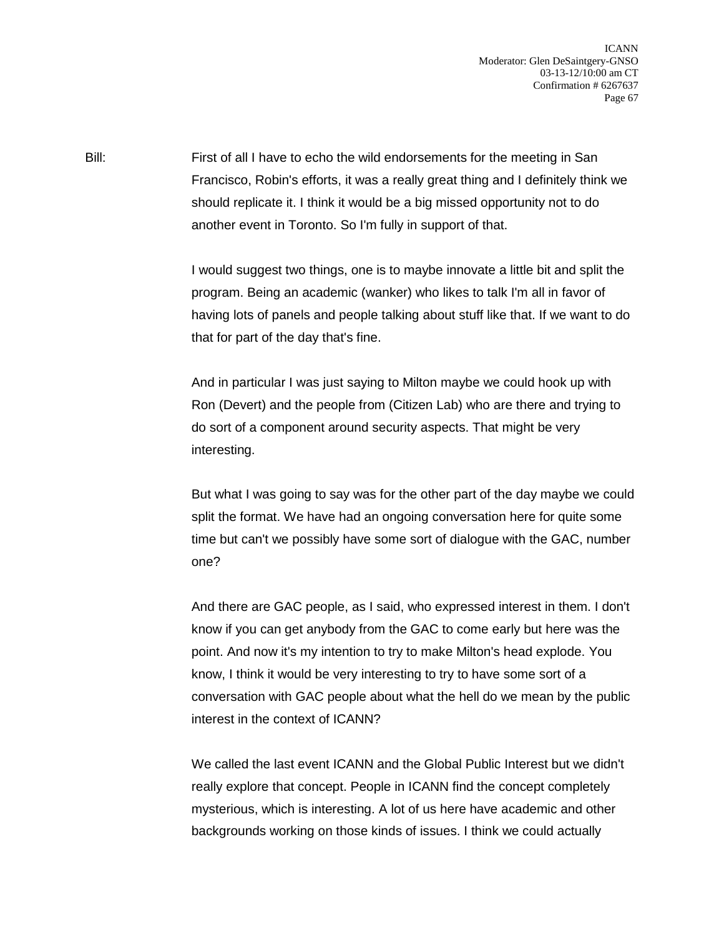Bill: First of all I have to echo the wild endorsements for the meeting in San Francisco, Robin's efforts, it was a really great thing and I definitely think we should replicate it. I think it would be a big missed opportunity not to do another event in Toronto. So I'm fully in support of that.

> I would suggest two things, one is to maybe innovate a little bit and split the program. Being an academic (wanker) who likes to talk I'm all in favor of having lots of panels and people talking about stuff like that. If we want to do that for part of the day that's fine.

And in particular I was just saying to Milton maybe we could hook up with Ron (Devert) and the people from (Citizen Lab) who are there and trying to do sort of a component around security aspects. That might be very interesting.

But what I was going to say was for the other part of the day maybe we could split the format. We have had an ongoing conversation here for quite some time but can't we possibly have some sort of dialogue with the GAC, number one?

And there are GAC people, as I said, who expressed interest in them. I don't know if you can get anybody from the GAC to come early but here was the point. And now it's my intention to try to make Milton's head explode. You know, I think it would be very interesting to try to have some sort of a conversation with GAC people about what the hell do we mean by the public interest in the context of ICANN?

We called the last event ICANN and the Global Public Interest but we didn't really explore that concept. People in ICANN find the concept completely mysterious, which is interesting. A lot of us here have academic and other backgrounds working on those kinds of issues. I think we could actually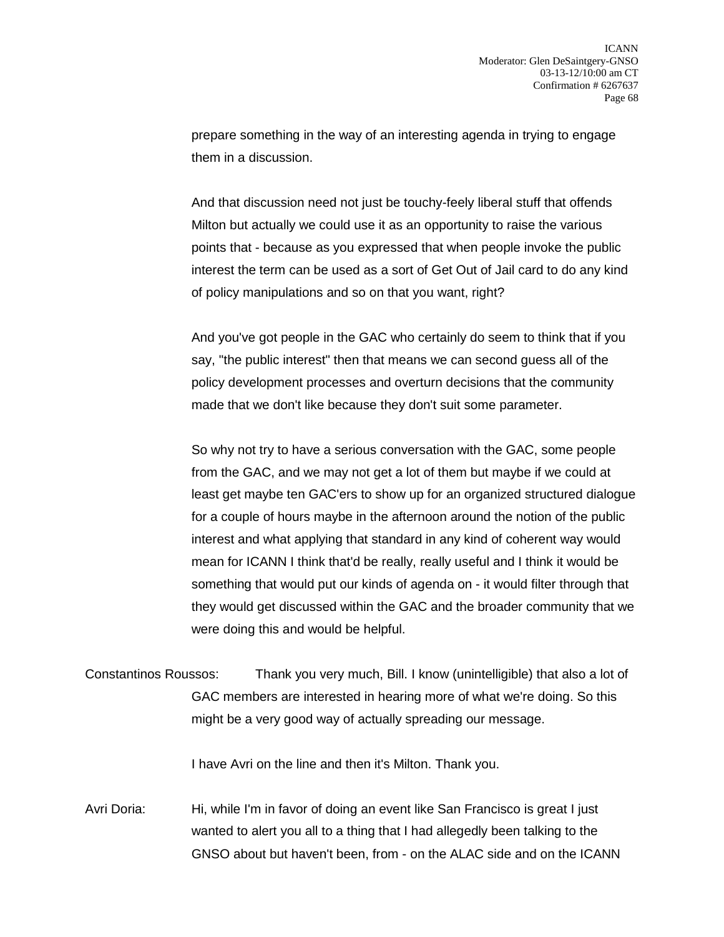prepare something in the way of an interesting agenda in trying to engage them in a discussion.

And that discussion need not just be touchy-feely liberal stuff that offends Milton but actually we could use it as an opportunity to raise the various points that - because as you expressed that when people invoke the public interest the term can be used as a sort of Get Out of Jail card to do any kind of policy manipulations and so on that you want, right?

And you've got people in the GAC who certainly do seem to think that if you say, "the public interest" then that means we can second guess all of the policy development processes and overturn decisions that the community made that we don't like because they don't suit some parameter.

So why not try to have a serious conversation with the GAC, some people from the GAC, and we may not get a lot of them but maybe if we could at least get maybe ten GAC'ers to show up for an organized structured dialogue for a couple of hours maybe in the afternoon around the notion of the public interest and what applying that standard in any kind of coherent way would mean for ICANN I think that'd be really, really useful and I think it would be something that would put our kinds of agenda on - it would filter through that they would get discussed within the GAC and the broader community that we were doing this and would be helpful.

Constantinos Roussos: Thank you very much, Bill. I know (unintelligible) that also a lot of GAC members are interested in hearing more of what we're doing. So this might be a very good way of actually spreading our message.

I have Avri on the line and then it's Milton. Thank you.

Avri Doria: Hi, while I'm in favor of doing an event like San Francisco is great I just wanted to alert you all to a thing that I had allegedly been talking to the GNSO about but haven't been, from - on the ALAC side and on the ICANN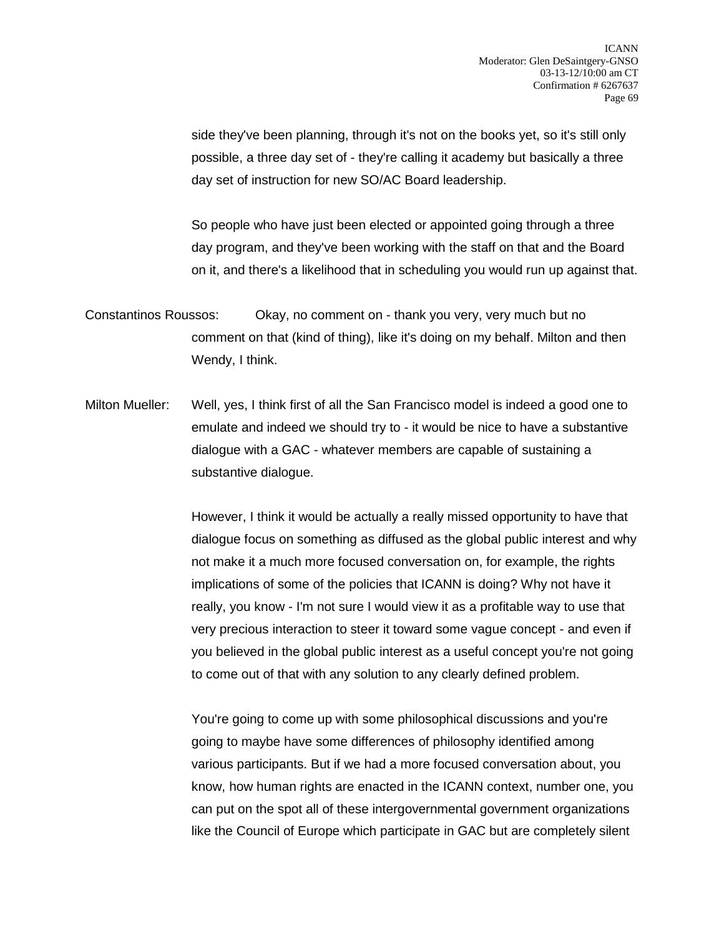side they've been planning, through it's not on the books yet, so it's still only possible, a three day set of - they're calling it academy but basically a three day set of instruction for new SO/AC Board leadership.

So people who have just been elected or appointed going through a three day program, and they've been working with the staff on that and the Board on it, and there's a likelihood that in scheduling you would run up against that.

- Constantinos Roussos: Okay, no comment on thank you very, very much but no comment on that (kind of thing), like it's doing on my behalf. Milton and then Wendy, I think.
- Milton Mueller: Well, yes, I think first of all the San Francisco model is indeed a good one to emulate and indeed we should try to - it would be nice to have a substantive dialogue with a GAC - whatever members are capable of sustaining a substantive dialogue.

However, I think it would be actually a really missed opportunity to have that dialogue focus on something as diffused as the global public interest and why not make it a much more focused conversation on, for example, the rights implications of some of the policies that ICANN is doing? Why not have it really, you know - I'm not sure I would view it as a profitable way to use that very precious interaction to steer it toward some vague concept - and even if you believed in the global public interest as a useful concept you're not going to come out of that with any solution to any clearly defined problem.

You're going to come up with some philosophical discussions and you're going to maybe have some differences of philosophy identified among various participants. But if we had a more focused conversation about, you know, how human rights are enacted in the ICANN context, number one, you can put on the spot all of these intergovernmental government organizations like the Council of Europe which participate in GAC but are completely silent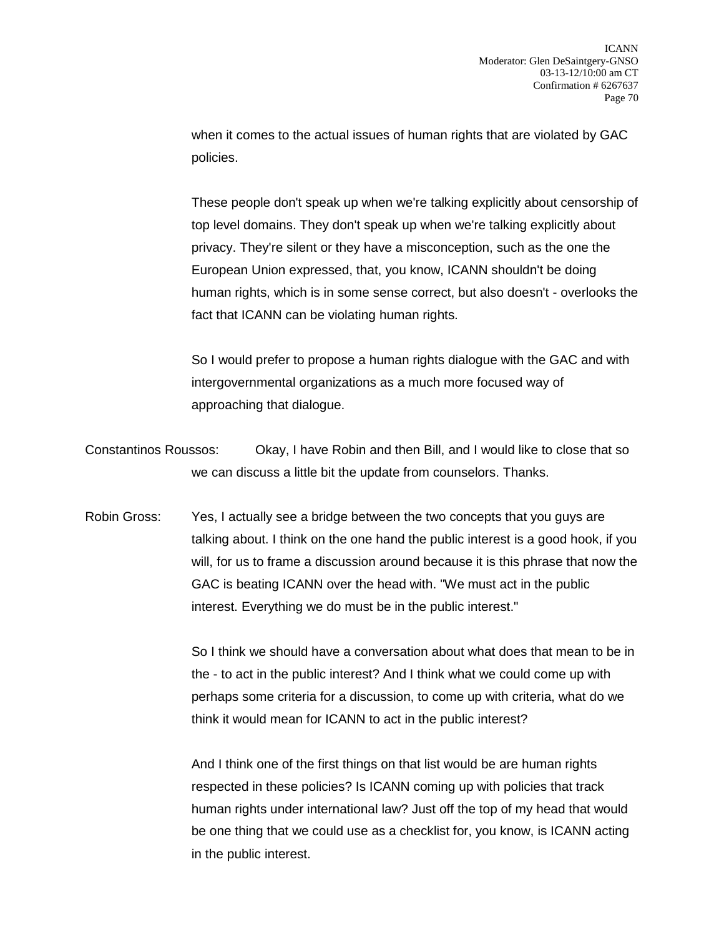when it comes to the actual issues of human rights that are violated by GAC policies.

These people don't speak up when we're talking explicitly about censorship of top level domains. They don't speak up when we're talking explicitly about privacy. They're silent or they have a misconception, such as the one the European Union expressed, that, you know, ICANN shouldn't be doing human rights, which is in some sense correct, but also doesn't - overlooks the fact that ICANN can be violating human rights.

So I would prefer to propose a human rights dialogue with the GAC and with intergovernmental organizations as a much more focused way of approaching that dialogue.

Constantinos Roussos: Okay, I have Robin and then Bill, and I would like to close that so we can discuss a little bit the update from counselors. Thanks.

Robin Gross: Yes, I actually see a bridge between the two concepts that you guys are talking about. I think on the one hand the public interest is a good hook, if you will, for us to frame a discussion around because it is this phrase that now the GAC is beating ICANN over the head with. "We must act in the public interest. Everything we do must be in the public interest."

> So I think we should have a conversation about what does that mean to be in the - to act in the public interest? And I think what we could come up with perhaps some criteria for a discussion, to come up with criteria, what do we think it would mean for ICANN to act in the public interest?

And I think one of the first things on that list would be are human rights respected in these policies? Is ICANN coming up with policies that track human rights under international law? Just off the top of my head that would be one thing that we could use as a checklist for, you know, is ICANN acting in the public interest.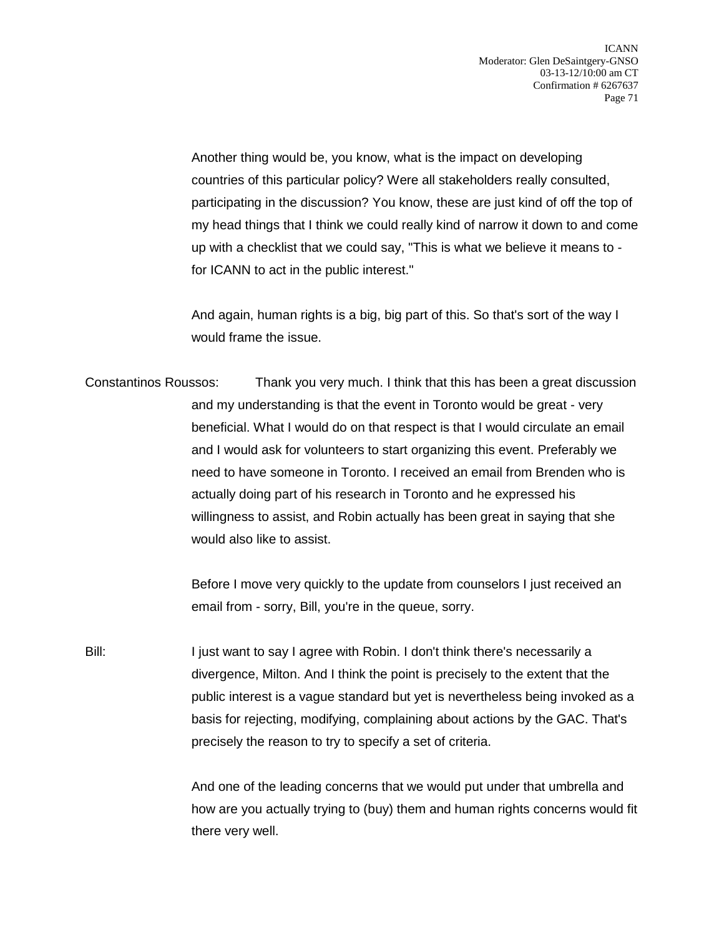Another thing would be, you know, what is the impact on developing countries of this particular policy? Were all stakeholders really consulted, participating in the discussion? You know, these are just kind of off the top of my head things that I think we could really kind of narrow it down to and come up with a checklist that we could say, "This is what we believe it means to for ICANN to act in the public interest."

And again, human rights is a big, big part of this. So that's sort of the way I would frame the issue.

Constantinos Roussos: Thank you very much. I think that this has been a great discussion and my understanding is that the event in Toronto would be great - very beneficial. What I would do on that respect is that I would circulate an email and I would ask for volunteers to start organizing this event. Preferably we need to have someone in Toronto. I received an email from Brenden who is actually doing part of his research in Toronto and he expressed his willingness to assist, and Robin actually has been great in saying that she would also like to assist.

> Before I move very quickly to the update from counselors I just received an email from - sorry, Bill, you're in the queue, sorry.

Bill: I just want to say I agree with Robin. I don't think there's necessarily a divergence, Milton. And I think the point is precisely to the extent that the public interest is a vague standard but yet is nevertheless being invoked as a basis for rejecting, modifying, complaining about actions by the GAC. That's precisely the reason to try to specify a set of criteria.

> And one of the leading concerns that we would put under that umbrella and how are you actually trying to (buy) them and human rights concerns would fit there very well.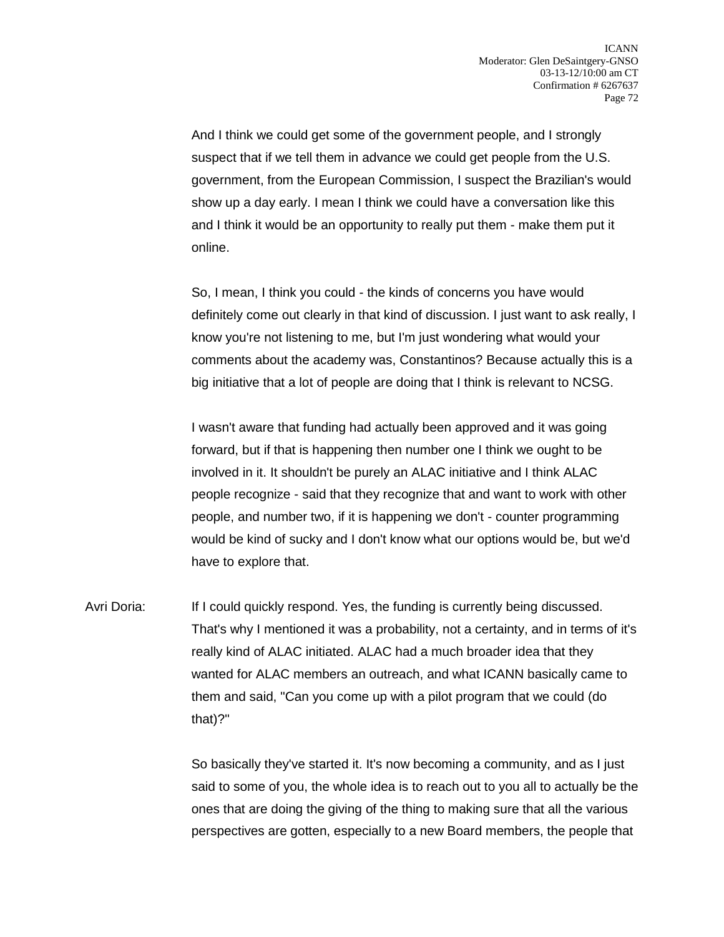And I think we could get some of the government people, and I strongly suspect that if we tell them in advance we could get people from the U.S. government, from the European Commission, I suspect the Brazilian's would show up a day early. I mean I think we could have a conversation like this and I think it would be an opportunity to really put them - make them put it online.

So, I mean, I think you could - the kinds of concerns you have would definitely come out clearly in that kind of discussion. I just want to ask really, I know you're not listening to me, but I'm just wondering what would your comments about the academy was, Constantinos? Because actually this is a big initiative that a lot of people are doing that I think is relevant to NCSG.

I wasn't aware that funding had actually been approved and it was going forward, but if that is happening then number one I think we ought to be involved in it. It shouldn't be purely an ALAC initiative and I think ALAC people recognize - said that they recognize that and want to work with other people, and number two, if it is happening we don't - counter programming would be kind of sucky and I don't know what our options would be, but we'd have to explore that.

Avri Doria: If I could quickly respond. Yes, the funding is currently being discussed. That's why I mentioned it was a probability, not a certainty, and in terms of it's really kind of ALAC initiated. ALAC had a much broader idea that they wanted for ALAC members an outreach, and what ICANN basically came to them and said, "Can you come up with a pilot program that we could (do that)?"

> So basically they've started it. It's now becoming a community, and as I just said to some of you, the whole idea is to reach out to you all to actually be the ones that are doing the giving of the thing to making sure that all the various perspectives are gotten, especially to a new Board members, the people that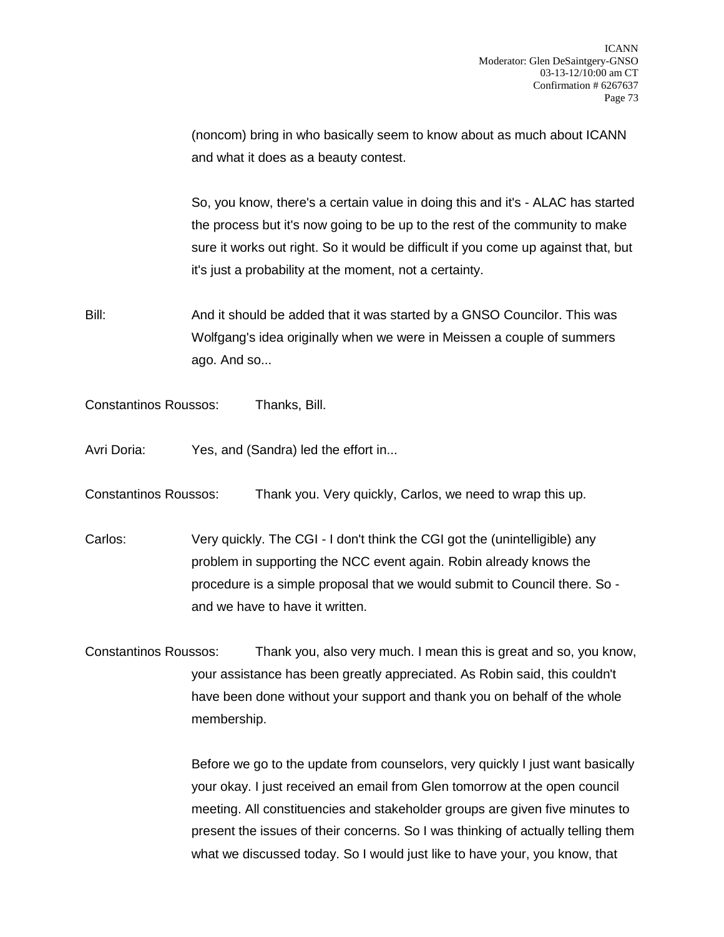(noncom) bring in who basically seem to know about as much about ICANN and what it does as a beauty contest.

So, you know, there's a certain value in doing this and it's - ALAC has started the process but it's now going to be up to the rest of the community to make sure it works out right. So it would be difficult if you come up against that, but it's just a probability at the moment, not a certainty.

Bill: And it should be added that it was started by a GNSO Councilor. This was Wolfgang's idea originally when we were in Meissen a couple of summers ago. And so...

Constantinos Roussos: Thanks, Bill.

- Avri Doria: Yes, and (Sandra) led the effort in...
- Constantinos Roussos: Thank you. Very quickly, Carlos, we need to wrap this up.

Carlos: Very quickly. The CGI - I don't think the CGI got the (unintelligible) any problem in supporting the NCC event again. Robin already knows the procedure is a simple proposal that we would submit to Council there. So and we have to have it written.

Constantinos Roussos: Thank you, also very much. I mean this is great and so, you know, your assistance has been greatly appreciated. As Robin said, this couldn't have been done without your support and thank you on behalf of the whole membership.

> Before we go to the update from counselors, very quickly I just want basically your okay. I just received an email from Glen tomorrow at the open council meeting. All constituencies and stakeholder groups are given five minutes to present the issues of their concerns. So I was thinking of actually telling them what we discussed today. So I would just like to have your, you know, that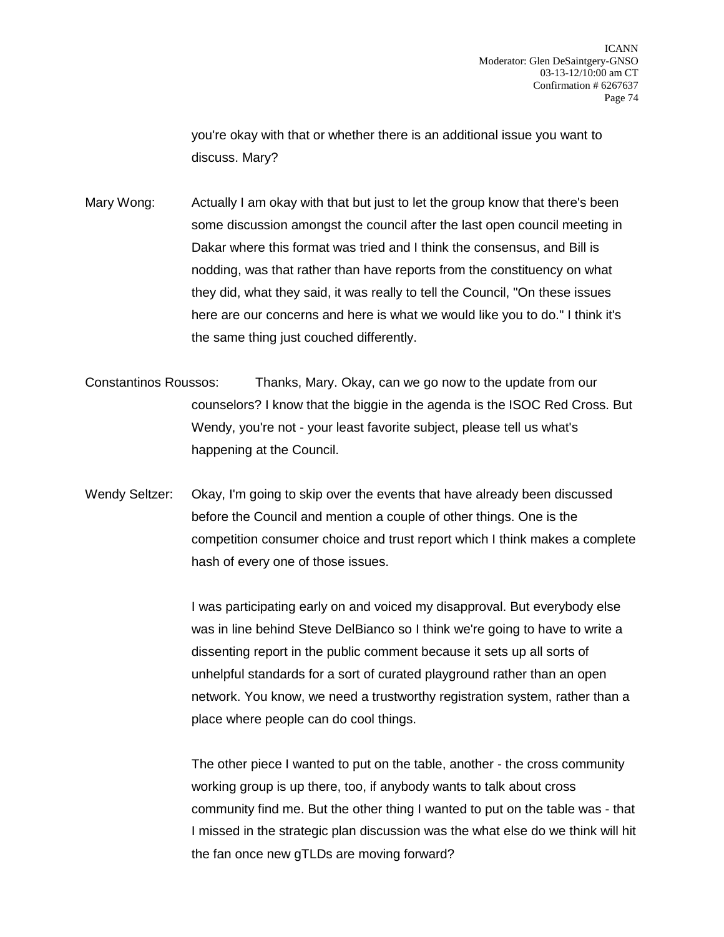you're okay with that or whether there is an additional issue you want to discuss. Mary?

Mary Wong: Actually I am okay with that but just to let the group know that there's been some discussion amongst the council after the last open council meeting in Dakar where this format was tried and I think the consensus, and Bill is nodding, was that rather than have reports from the constituency on what they did, what they said, it was really to tell the Council, "On these issues here are our concerns and here is what we would like you to do." I think it's the same thing just couched differently.

Constantinos Roussos: Thanks, Mary. Okay, can we go now to the update from our counselors? I know that the biggie in the agenda is the ISOC Red Cross. But Wendy, you're not - your least favorite subject, please tell us what's happening at the Council.

Wendy Seltzer: Okay, I'm going to skip over the events that have already been discussed before the Council and mention a couple of other things. One is the competition consumer choice and trust report which I think makes a complete hash of every one of those issues.

> I was participating early on and voiced my disapproval. But everybody else was in line behind Steve DelBianco so I think we're going to have to write a dissenting report in the public comment because it sets up all sorts of unhelpful standards for a sort of curated playground rather than an open network. You know, we need a trustworthy registration system, rather than a place where people can do cool things.

The other piece I wanted to put on the table, another - the cross community working group is up there, too, if anybody wants to talk about cross community find me. But the other thing I wanted to put on the table was - that I missed in the strategic plan discussion was the what else do we think will hit the fan once new gTLDs are moving forward?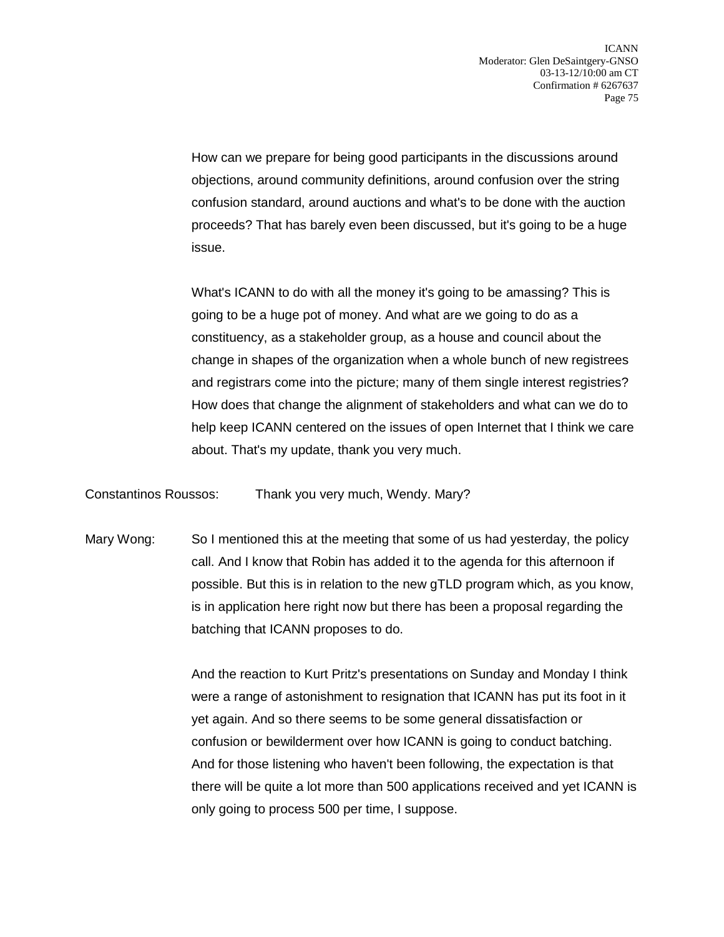How can we prepare for being good participants in the discussions around objections, around community definitions, around confusion over the string confusion standard, around auctions and what's to be done with the auction proceeds? That has barely even been discussed, but it's going to be a huge issue.

What's ICANN to do with all the money it's going to be amassing? This is going to be a huge pot of money. And what are we going to do as a constituency, as a stakeholder group, as a house and council about the change in shapes of the organization when a whole bunch of new registrees and registrars come into the picture; many of them single interest registries? How does that change the alignment of stakeholders and what can we do to help keep ICANN centered on the issues of open Internet that I think we care about. That's my update, thank you very much.

Constantinos Roussos: Thank you very much, Wendy. Mary?

Mary Wong: So I mentioned this at the meeting that some of us had yesterday, the policy call. And I know that Robin has added it to the agenda for this afternoon if possible. But this is in relation to the new gTLD program which, as you know, is in application here right now but there has been a proposal regarding the batching that ICANN proposes to do.

> And the reaction to Kurt Pritz's presentations on Sunday and Monday I think were a range of astonishment to resignation that ICANN has put its foot in it yet again. And so there seems to be some general dissatisfaction or confusion or bewilderment over how ICANN is going to conduct batching. And for those listening who haven't been following, the expectation is that there will be quite a lot more than 500 applications received and yet ICANN is only going to process 500 per time, I suppose.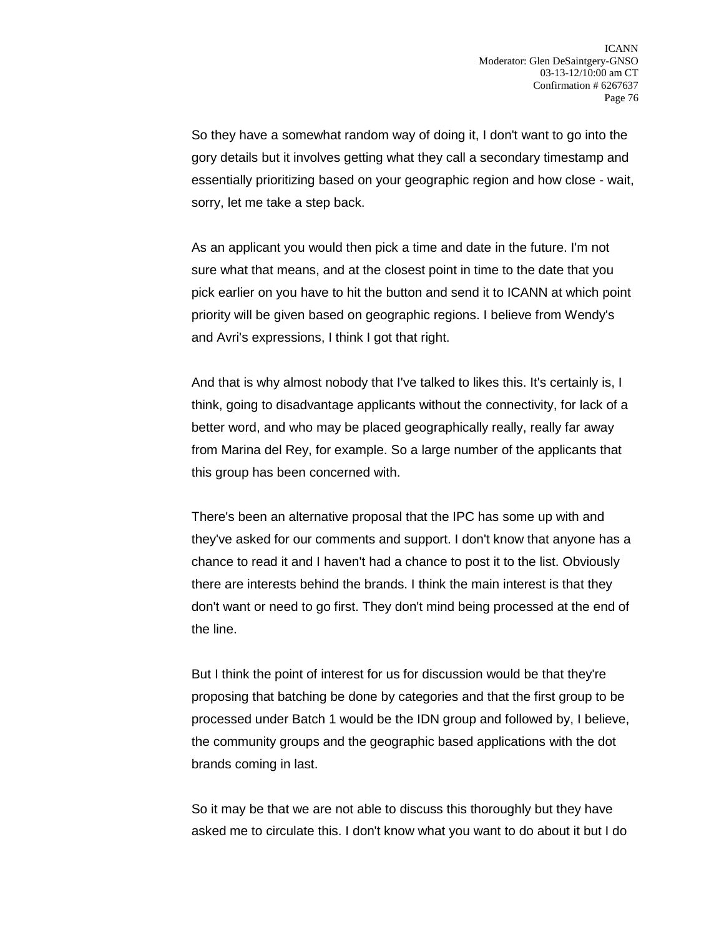So they have a somewhat random way of doing it, I don't want to go into the gory details but it involves getting what they call a secondary timestamp and essentially prioritizing based on your geographic region and how close - wait, sorry, let me take a step back.

As an applicant you would then pick a time and date in the future. I'm not sure what that means, and at the closest point in time to the date that you pick earlier on you have to hit the button and send it to ICANN at which point priority will be given based on geographic regions. I believe from Wendy's and Avri's expressions, I think I got that right.

And that is why almost nobody that I've talked to likes this. It's certainly is, I think, going to disadvantage applicants without the connectivity, for lack of a better word, and who may be placed geographically really, really far away from Marina del Rey, for example. So a large number of the applicants that this group has been concerned with.

There's been an alternative proposal that the IPC has some up with and they've asked for our comments and support. I don't know that anyone has a chance to read it and I haven't had a chance to post it to the list. Obviously there are interests behind the brands. I think the main interest is that they don't want or need to go first. They don't mind being processed at the end of the line.

But I think the point of interest for us for discussion would be that they're proposing that batching be done by categories and that the first group to be processed under Batch 1 would be the IDN group and followed by, I believe, the community groups and the geographic based applications with the dot brands coming in last.

So it may be that we are not able to discuss this thoroughly but they have asked me to circulate this. I don't know what you want to do about it but I do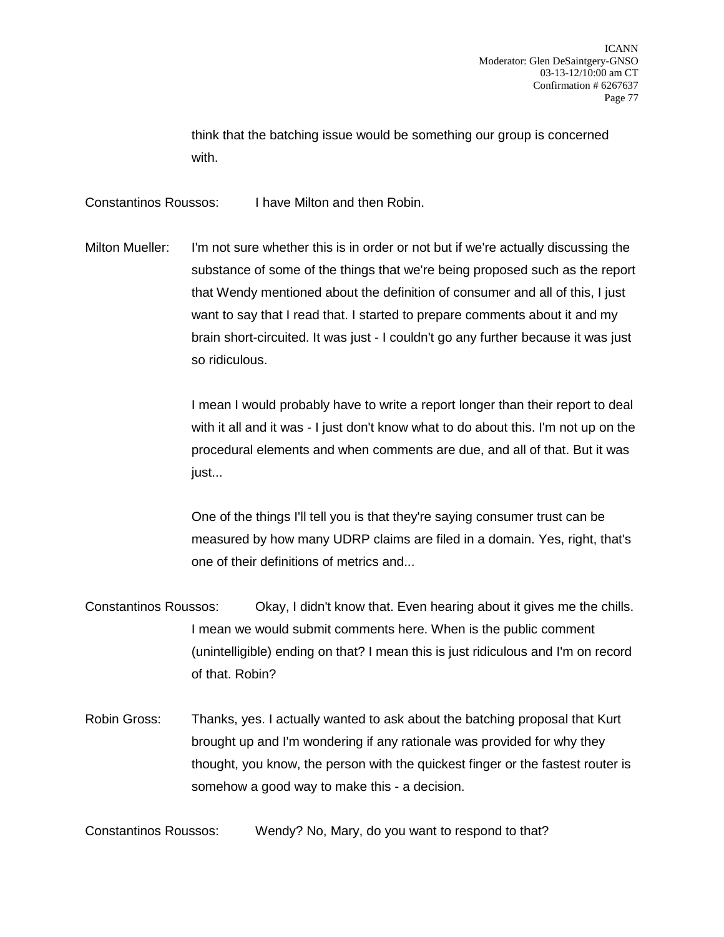think that the batching issue would be something our group is concerned with.

Constantinos Roussos: I have Milton and then Robin.

Milton Mueller: I'm not sure whether this is in order or not but if we're actually discussing the substance of some of the things that we're being proposed such as the report that Wendy mentioned about the definition of consumer and all of this, I just want to say that I read that. I started to prepare comments about it and my brain short-circuited. It was just - I couldn't go any further because it was just so ridiculous.

> I mean I would probably have to write a report longer than their report to deal with it all and it was - I just don't know what to do about this. I'm not up on the procedural elements and when comments are due, and all of that. But it was just...

> One of the things I'll tell you is that they're saying consumer trust can be measured by how many UDRP claims are filed in a domain. Yes, right, that's one of their definitions of metrics and...

- Constantinos Roussos: Okay, I didn't know that. Even hearing about it gives me the chills. I mean we would submit comments here. When is the public comment (unintelligible) ending on that? I mean this is just ridiculous and I'm on record of that. Robin?
- Robin Gross: Thanks, yes. I actually wanted to ask about the batching proposal that Kurt brought up and I'm wondering if any rationale was provided for why they thought, you know, the person with the quickest finger or the fastest router is somehow a good way to make this - a decision.

Constantinos Roussos: Wendy? No, Mary, do you want to respond to that?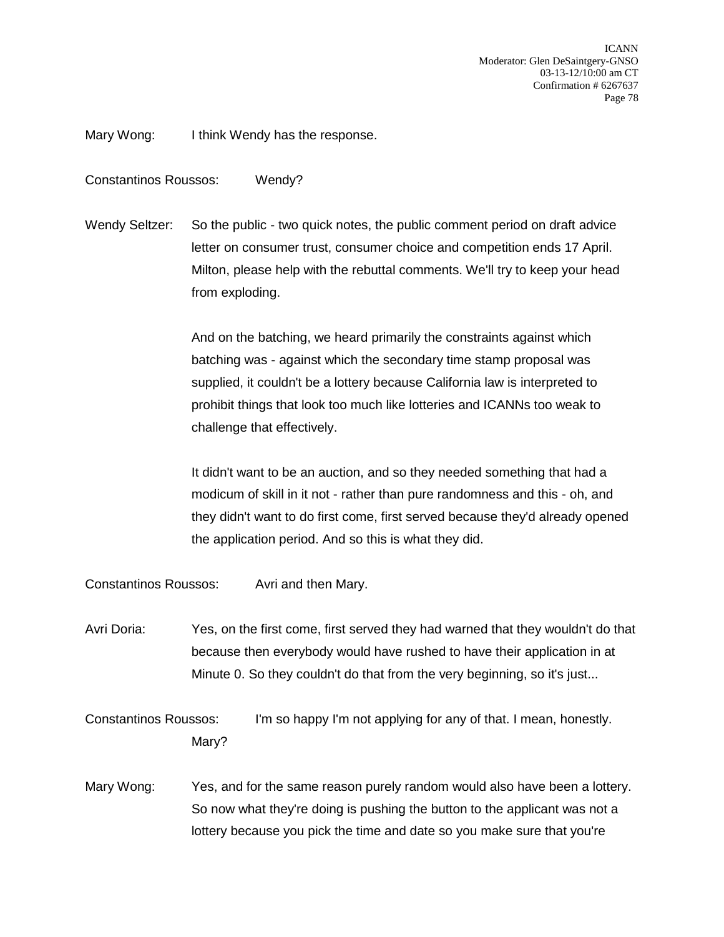Mary Wong: I think Wendy has the response.

Constantinos Roussos: Wendy?

Wendy Seltzer: So the public - two quick notes, the public comment period on draft advice letter on consumer trust, consumer choice and competition ends 17 April. Milton, please help with the rebuttal comments. We'll try to keep your head from exploding.

> And on the batching, we heard primarily the constraints against which batching was - against which the secondary time stamp proposal was supplied, it couldn't be a lottery because California law is interpreted to prohibit things that look too much like lotteries and ICANNs too weak to challenge that effectively.

It didn't want to be an auction, and so they needed something that had a modicum of skill in it not - rather than pure randomness and this - oh, and they didn't want to do first come, first served because they'd already opened the application period. And so this is what they did.

Constantinos Roussos: Avri and then Mary.

Avri Doria: Yes, on the first come, first served they had warned that they wouldn't do that because then everybody would have rushed to have their application in at Minute 0. So they couldn't do that from the very beginning, so it's just...

Constantinos Roussos: I'm so happy I'm not applying for any of that. I mean, honestly. Mary?

Mary Wong: Yes, and for the same reason purely random would also have been a lottery. So now what they're doing is pushing the button to the applicant was not a lottery because you pick the time and date so you make sure that you're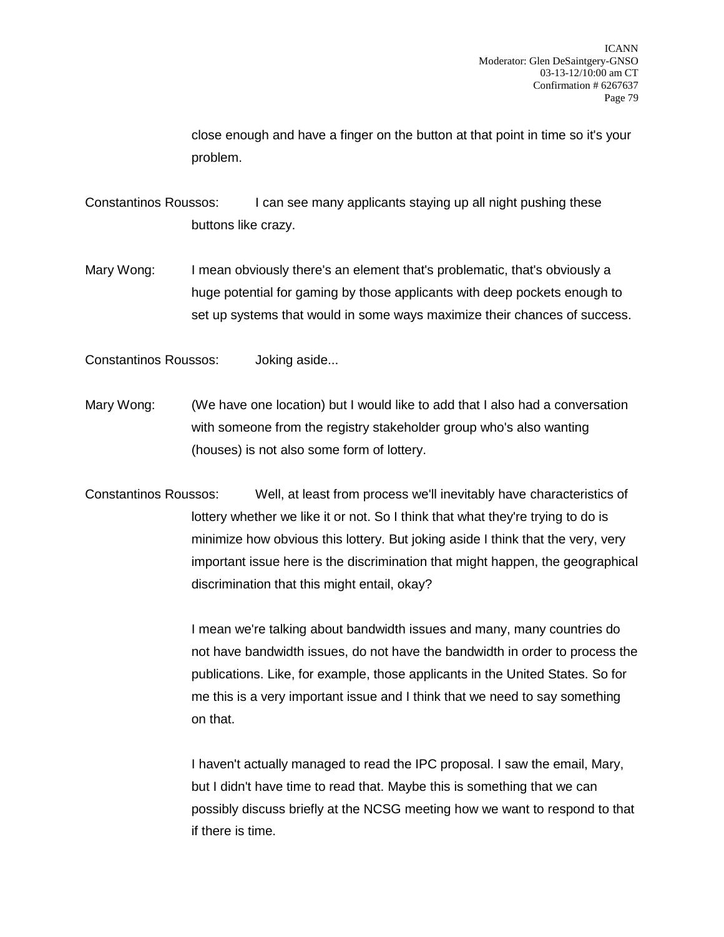close enough and have a finger on the button at that point in time so it's your problem.

Constantinos Roussos: I can see many applicants staying up all night pushing these buttons like crazy.

Mary Wong: I mean obviously there's an element that's problematic, that's obviously a huge potential for gaming by those applicants with deep pockets enough to set up systems that would in some ways maximize their chances of success.

Constantinos Roussos: Joking aside...

- Mary Wong: (We have one location) but I would like to add that I also had a conversation with someone from the registry stakeholder group who's also wanting (houses) is not also some form of lottery.
- Constantinos Roussos: Well, at least from process we'll inevitably have characteristics of lottery whether we like it or not. So I think that what they're trying to do is minimize how obvious this lottery. But joking aside I think that the very, very important issue here is the discrimination that might happen, the geographical discrimination that this might entail, okay?

I mean we're talking about bandwidth issues and many, many countries do not have bandwidth issues, do not have the bandwidth in order to process the publications. Like, for example, those applicants in the United States. So for me this is a very important issue and I think that we need to say something on that.

I haven't actually managed to read the IPC proposal. I saw the email, Mary, but I didn't have time to read that. Maybe this is something that we can possibly discuss briefly at the NCSG meeting how we want to respond to that if there is time.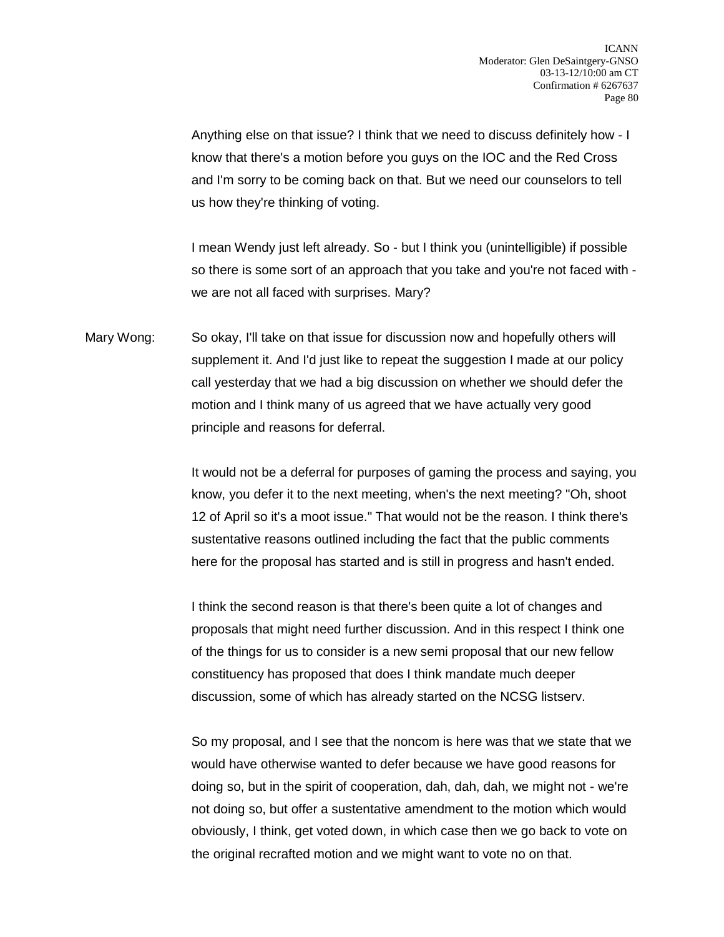Anything else on that issue? I think that we need to discuss definitely how - I know that there's a motion before you guys on the IOC and the Red Cross and I'm sorry to be coming back on that. But we need our counselors to tell us how they're thinking of voting.

I mean Wendy just left already. So - but I think you (unintelligible) if possible so there is some sort of an approach that you take and you're not faced with we are not all faced with surprises. Mary?

Mary Wong: So okay, I'll take on that issue for discussion now and hopefully others will supplement it. And I'd just like to repeat the suggestion I made at our policy call yesterday that we had a big discussion on whether we should defer the motion and I think many of us agreed that we have actually very good principle and reasons for deferral.

> It would not be a deferral for purposes of gaming the process and saying, you know, you defer it to the next meeting, when's the next meeting? "Oh, shoot 12 of April so it's a moot issue." That would not be the reason. I think there's sustentative reasons outlined including the fact that the public comments here for the proposal has started and is still in progress and hasn't ended.

I think the second reason is that there's been quite a lot of changes and proposals that might need further discussion. And in this respect I think one of the things for us to consider is a new semi proposal that our new fellow constituency has proposed that does I think mandate much deeper discussion, some of which has already started on the NCSG listserv.

So my proposal, and I see that the noncom is here was that we state that we would have otherwise wanted to defer because we have good reasons for doing so, but in the spirit of cooperation, dah, dah, dah, we might not - we're not doing so, but offer a sustentative amendment to the motion which would obviously, I think, get voted down, in which case then we go back to vote on the original recrafted motion and we might want to vote no on that.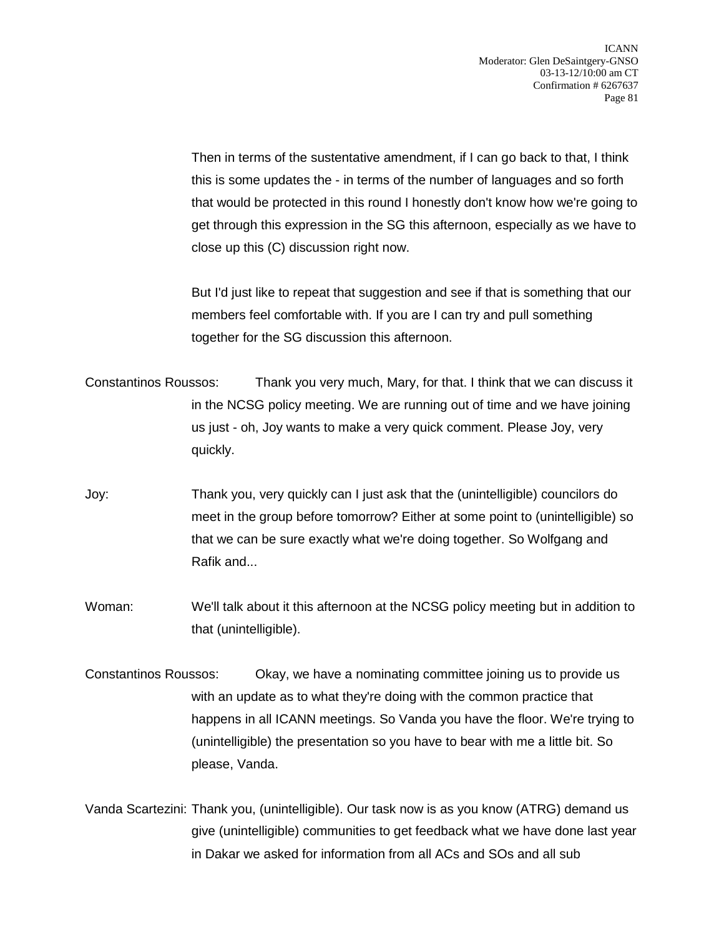Then in terms of the sustentative amendment, if I can go back to that, I think this is some updates the - in terms of the number of languages and so forth that would be protected in this round I honestly don't know how we're going to get through this expression in the SG this afternoon, especially as we have to close up this (C) discussion right now.

But I'd just like to repeat that suggestion and see if that is something that our members feel comfortable with. If you are I can try and pull something together for the SG discussion this afternoon.

- Constantinos Roussos: Thank you very much, Mary, for that. I think that we can discuss it in the NCSG policy meeting. We are running out of time and we have joining us just - oh, Joy wants to make a very quick comment. Please Joy, very quickly.
- Joy: Thank you, very quickly can I just ask that the (unintelligible) councilors do meet in the group before tomorrow? Either at some point to (unintelligible) so that we can be sure exactly what we're doing together. So Wolfgang and Rafik and...
- Woman: We'll talk about it this afternoon at the NCSG policy meeting but in addition to that (unintelligible).
- Constantinos Roussos: Okay, we have a nominating committee joining us to provide us with an update as to what they're doing with the common practice that happens in all ICANN meetings. So Vanda you have the floor. We're trying to (unintelligible) the presentation so you have to bear with me a little bit. So please, Vanda.
- Vanda Scartezini: Thank you, (unintelligible). Our task now is as you know (ATRG) demand us give (unintelligible) communities to get feedback what we have done last year in Dakar we asked for information from all ACs and SOs and all sub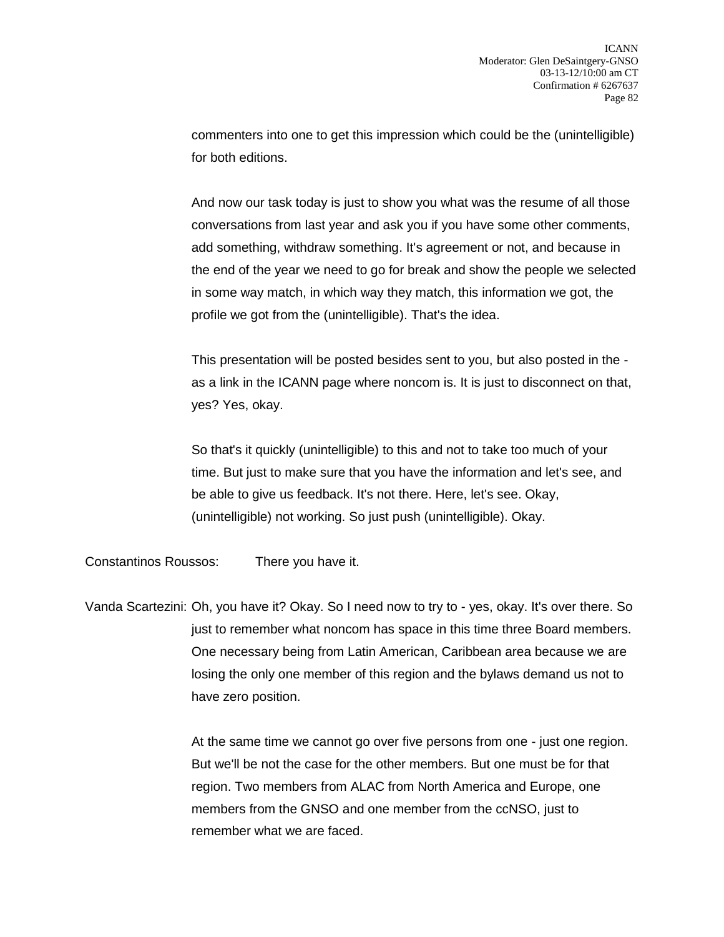commenters into one to get this impression which could be the (unintelligible) for both editions.

And now our task today is just to show you what was the resume of all those conversations from last year and ask you if you have some other comments, add something, withdraw something. It's agreement or not, and because in the end of the year we need to go for break and show the people we selected in some way match, in which way they match, this information we got, the profile we got from the (unintelligible). That's the idea.

This presentation will be posted besides sent to you, but also posted in the as a link in the ICANN page where noncom is. It is just to disconnect on that, yes? Yes, okay.

So that's it quickly (unintelligible) to this and not to take too much of your time. But just to make sure that you have the information and let's see, and be able to give us feedback. It's not there. Here, let's see. Okay, (unintelligible) not working. So just push (unintelligible). Okay.

Constantinos Roussos: There you have it.

Vanda Scartezini: Oh, you have it? Okay. So I need now to try to - yes, okay. It's over there. So just to remember what noncom has space in this time three Board members. One necessary being from Latin American, Caribbean area because we are losing the only one member of this region and the bylaws demand us not to have zero position.

> At the same time we cannot go over five persons from one - just one region. But we'll be not the case for the other members. But one must be for that region. Two members from ALAC from North America and Europe, one members from the GNSO and one member from the ccNSO, just to remember what we are faced.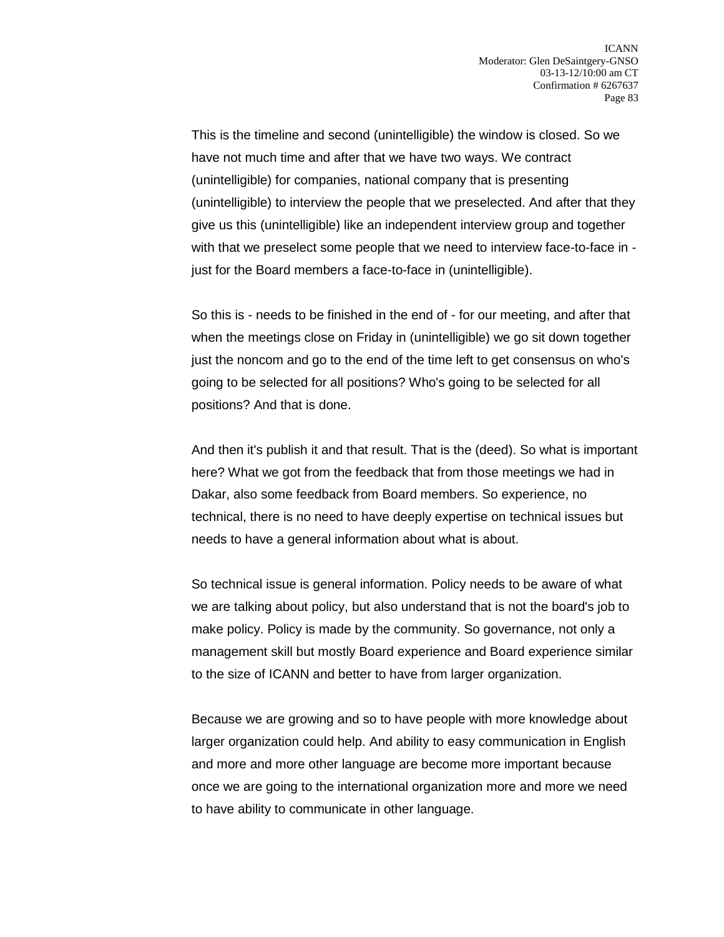This is the timeline and second (unintelligible) the window is closed. So we have not much time and after that we have two ways. We contract (unintelligible) for companies, national company that is presenting (unintelligible) to interview the people that we preselected. And after that they give us this (unintelligible) like an independent interview group and together with that we preselect some people that we need to interview face-to-face in just for the Board members a face-to-face in (unintelligible).

So this is - needs to be finished in the end of - for our meeting, and after that when the meetings close on Friday in (unintelligible) we go sit down together just the noncom and go to the end of the time left to get consensus on who's going to be selected for all positions? Who's going to be selected for all positions? And that is done.

And then it's publish it and that result. That is the (deed). So what is important here? What we got from the feedback that from those meetings we had in Dakar, also some feedback from Board members. So experience, no technical, there is no need to have deeply expertise on technical issues but needs to have a general information about what is about.

So technical issue is general information. Policy needs to be aware of what we are talking about policy, but also understand that is not the board's job to make policy. Policy is made by the community. So governance, not only a management skill but mostly Board experience and Board experience similar to the size of ICANN and better to have from larger organization.

Because we are growing and so to have people with more knowledge about larger organization could help. And ability to easy communication in English and more and more other language are become more important because once we are going to the international organization more and more we need to have ability to communicate in other language.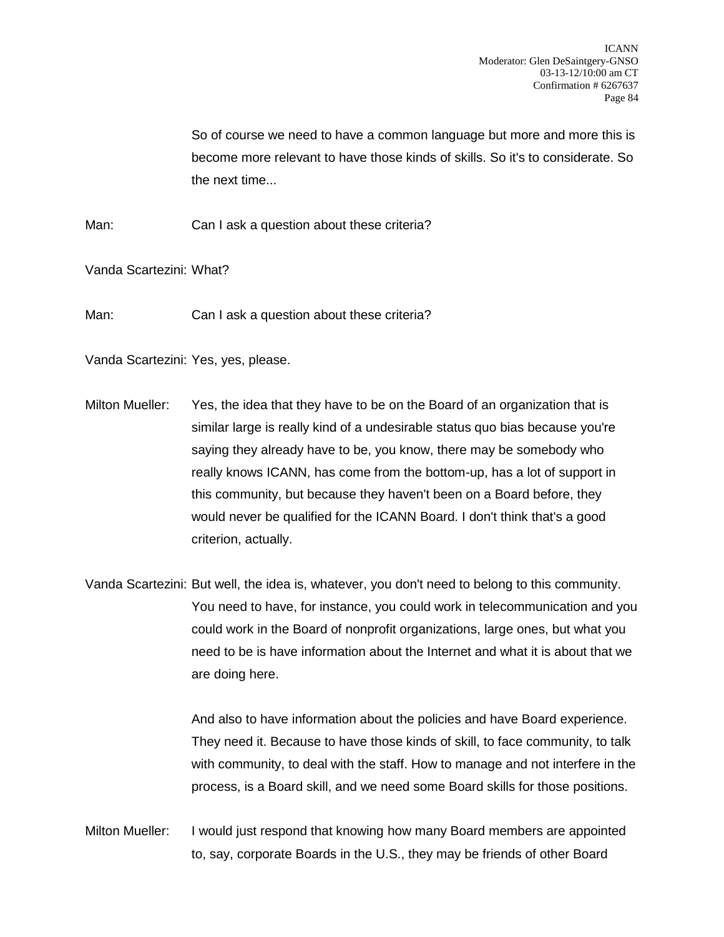So of course we need to have a common language but more and more this is become more relevant to have those kinds of skills. So it's to considerate. So the next time...

Man: Can I ask a question about these criteria?

Vanda Scartezini: What?

Man: Can I ask a question about these criteria?

Vanda Scartezini: Yes, yes, please.

- Milton Mueller: Yes, the idea that they have to be on the Board of an organization that is similar large is really kind of a undesirable status quo bias because you're saying they already have to be, you know, there may be somebody who really knows ICANN, has come from the bottom-up, has a lot of support in this community, but because they haven't been on a Board before, they would never be qualified for the ICANN Board. I don't think that's a good criterion, actually.
- Vanda Scartezini: But well, the idea is, whatever, you don't need to belong to this community. You need to have, for instance, you could work in telecommunication and you could work in the Board of nonprofit organizations, large ones, but what you need to be is have information about the Internet and what it is about that we are doing here.

And also to have information about the policies and have Board experience. They need it. Because to have those kinds of skill, to face community, to talk with community, to deal with the staff. How to manage and not interfere in the process, is a Board skill, and we need some Board skills for those positions.

Milton Mueller: I would just respond that knowing how many Board members are appointed to, say, corporate Boards in the U.S., they may be friends of other Board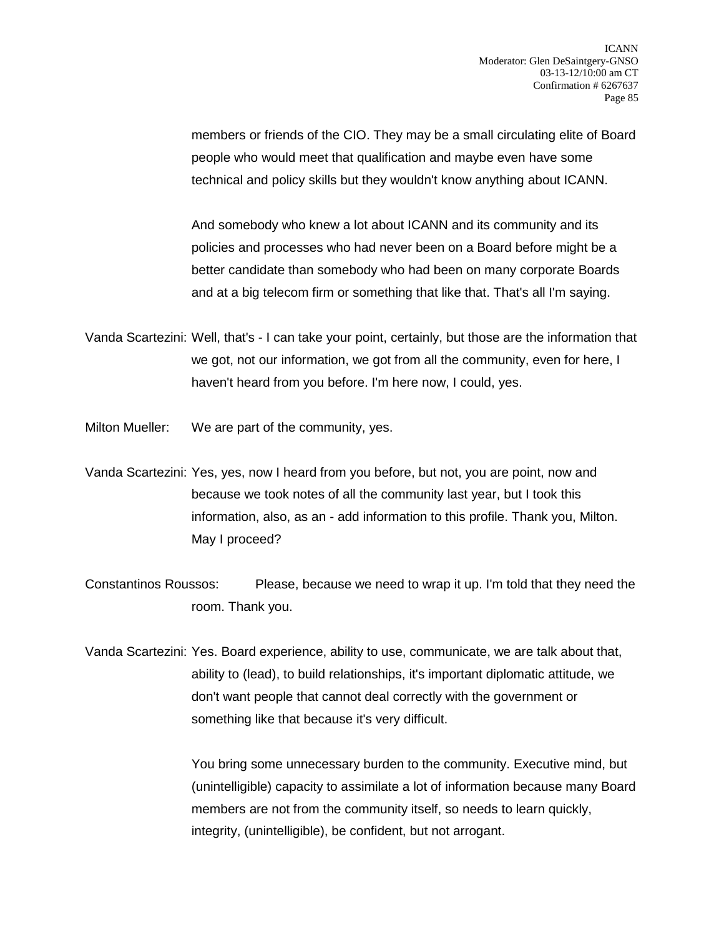members or friends of the CIO. They may be a small circulating elite of Board people who would meet that qualification and maybe even have some technical and policy skills but they wouldn't know anything about ICANN.

And somebody who knew a lot about ICANN and its community and its policies and processes who had never been on a Board before might be a better candidate than somebody who had been on many corporate Boards and at a big telecom firm or something that like that. That's all I'm saying.

- Vanda Scartezini: Well, that's I can take your point, certainly, but those are the information that we got, not our information, we got from all the community, even for here, I haven't heard from you before. I'm here now, I could, yes.
- Milton Mueller: We are part of the community, yes.
- Vanda Scartezini: Yes, yes, now I heard from you before, but not, you are point, now and because we took notes of all the community last year, but I took this information, also, as an - add information to this profile. Thank you, Milton. May I proceed?
- Constantinos Roussos: Please, because we need to wrap it up. I'm told that they need the room. Thank you.
- Vanda Scartezini: Yes. Board experience, ability to use, communicate, we are talk about that, ability to (lead), to build relationships, it's important diplomatic attitude, we don't want people that cannot deal correctly with the government or something like that because it's very difficult.

You bring some unnecessary burden to the community. Executive mind, but (unintelligible) capacity to assimilate a lot of information because many Board members are not from the community itself, so needs to learn quickly, integrity, (unintelligible), be confident, but not arrogant.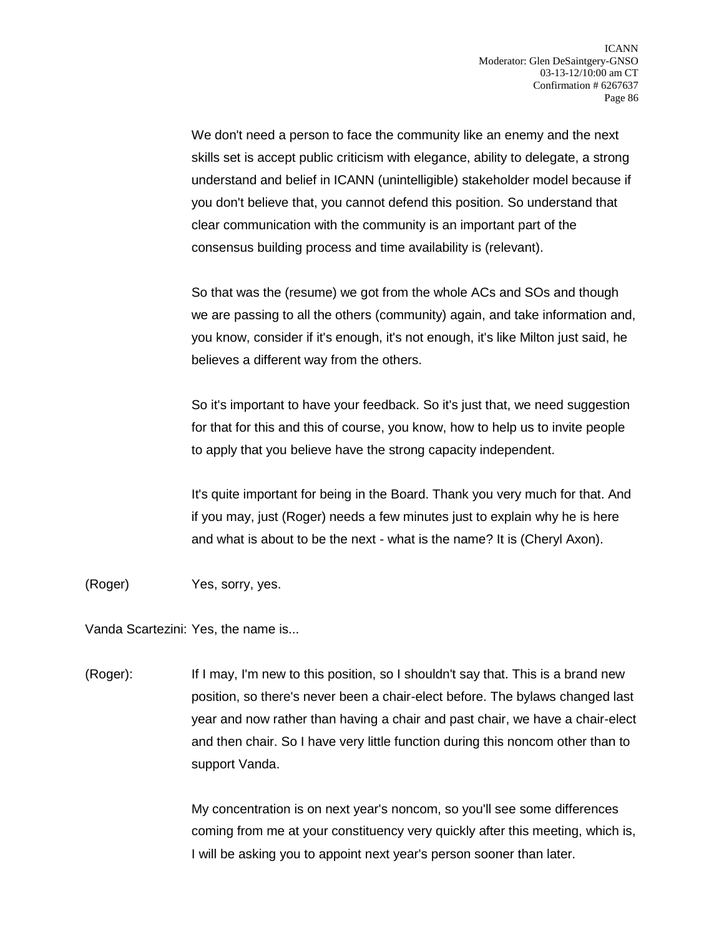We don't need a person to face the community like an enemy and the next skills set is accept public criticism with elegance, ability to delegate, a strong understand and belief in ICANN (unintelligible) stakeholder model because if you don't believe that, you cannot defend this position. So understand that clear communication with the community is an important part of the consensus building process and time availability is (relevant).

So that was the (resume) we got from the whole ACs and SOs and though we are passing to all the others (community) again, and take information and, you know, consider if it's enough, it's not enough, it's like Milton just said, he believes a different way from the others.

So it's important to have your feedback. So it's just that, we need suggestion for that for this and this of course, you know, how to help us to invite people to apply that you believe have the strong capacity independent.

It's quite important for being in the Board. Thank you very much for that. And if you may, just (Roger) needs a few minutes just to explain why he is here and what is about to be the next - what is the name? It is (Cheryl Axon).

(Roger) Yes, sorry, yes.

Vanda Scartezini: Yes, the name is...

(Roger): If I may, I'm new to this position, so I shouldn't say that. This is a brand new position, so there's never been a chair-elect before. The bylaws changed last year and now rather than having a chair and past chair, we have a chair-elect and then chair. So I have very little function during this noncom other than to support Vanda.

> My concentration is on next year's noncom, so you'll see some differences coming from me at your constituency very quickly after this meeting, which is, I will be asking you to appoint next year's person sooner than later.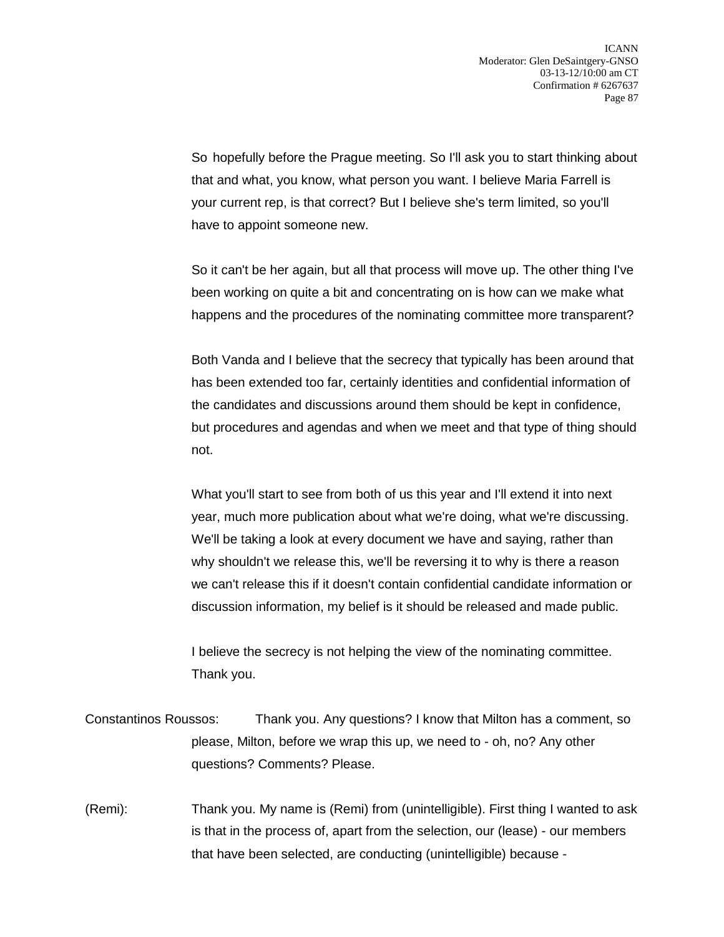So hopefully before the Prague meeting. So I'll ask you to start thinking about that and what, you know, what person you want. I believe Maria Farrell is your current rep, is that correct? But I believe she's term limited, so you'll have to appoint someone new.

So it can't be her again, but all that process will move up. The other thing I've been working on quite a bit and concentrating on is how can we make what happens and the procedures of the nominating committee more transparent?

Both Vanda and I believe that the secrecy that typically has been around that has been extended too far, certainly identities and confidential information of the candidates and discussions around them should be kept in confidence, but procedures and agendas and when we meet and that type of thing should not.

What you'll start to see from both of us this year and I'll extend it into next year, much more publication about what we're doing, what we're discussing. We'll be taking a look at every document we have and saying, rather than why shouldn't we release this, we'll be reversing it to why is there a reason we can't release this if it doesn't contain confidential candidate information or discussion information, my belief is it should be released and made public.

I believe the secrecy is not helping the view of the nominating committee. Thank you.

- Constantinos Roussos: Thank you. Any questions? I know that Milton has a comment, so please, Milton, before we wrap this up, we need to - oh, no? Any other questions? Comments? Please.
- (Remi): Thank you. My name is (Remi) from (unintelligible). First thing I wanted to ask is that in the process of, apart from the selection, our (lease) - our members that have been selected, are conducting (unintelligible) because -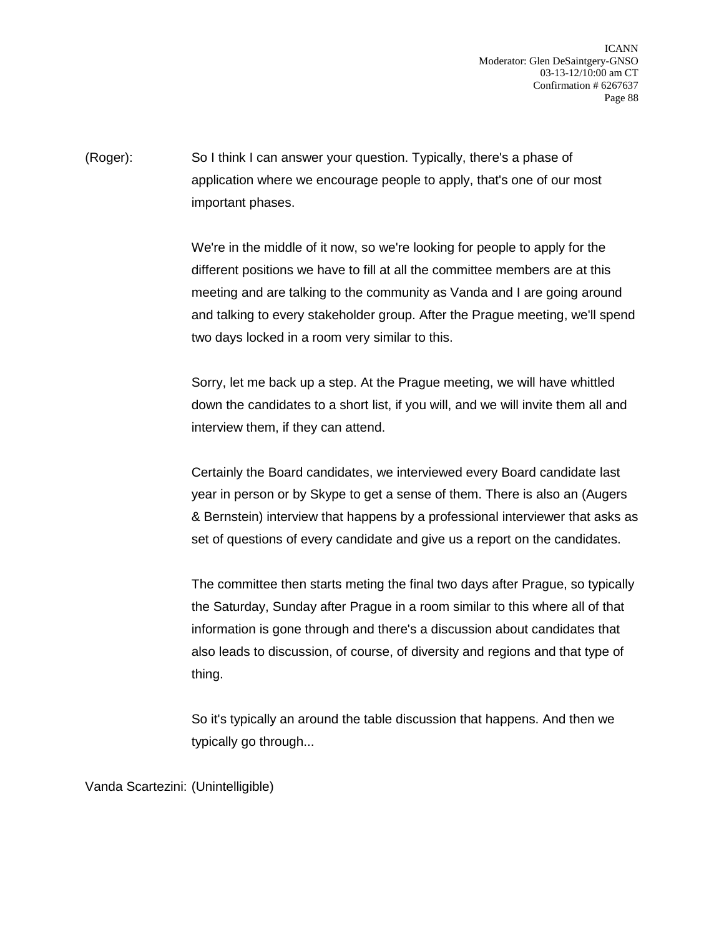ICANN Moderator: Glen DeSaintgery-GNSO 03-13-12/10:00 am CT Confirmation # 6267637 Page 88

(Roger): So I think I can answer your question. Typically, there's a phase of application where we encourage people to apply, that's one of our most important phases.

> We're in the middle of it now, so we're looking for people to apply for the different positions we have to fill at all the committee members are at this meeting and are talking to the community as Vanda and I are going around and talking to every stakeholder group. After the Prague meeting, we'll spend two days locked in a room very similar to this.

Sorry, let me back up a step. At the Prague meeting, we will have whittled down the candidates to a short list, if you will, and we will invite them all and interview them, if they can attend.

Certainly the Board candidates, we interviewed every Board candidate last year in person or by Skype to get a sense of them. There is also an (Augers & Bernstein) interview that happens by a professional interviewer that asks as set of questions of every candidate and give us a report on the candidates.

The committee then starts meting the final two days after Prague, so typically the Saturday, Sunday after Prague in a room similar to this where all of that information is gone through and there's a discussion about candidates that also leads to discussion, of course, of diversity and regions and that type of thing.

So it's typically an around the table discussion that happens. And then we typically go through...

Vanda Scartezini: (Unintelligible)